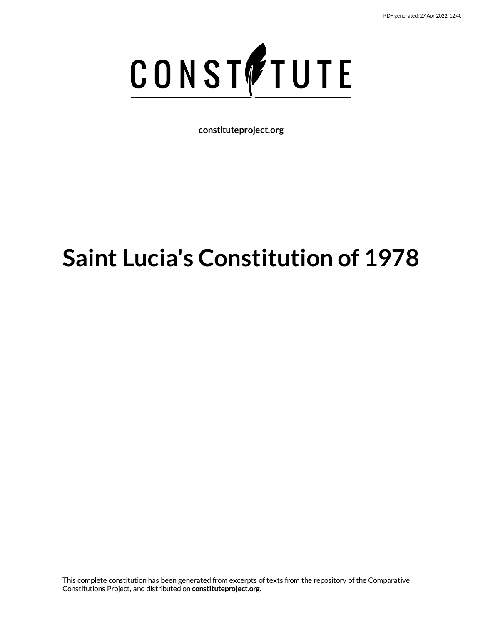

**constituteproject.org**

# **Saint Lucia's Constitution of 1978**

This complete constitution has been generated from excerpts of texts from the repository of the Comparative Constitutions Project, and distributed on **constituteproject.org**.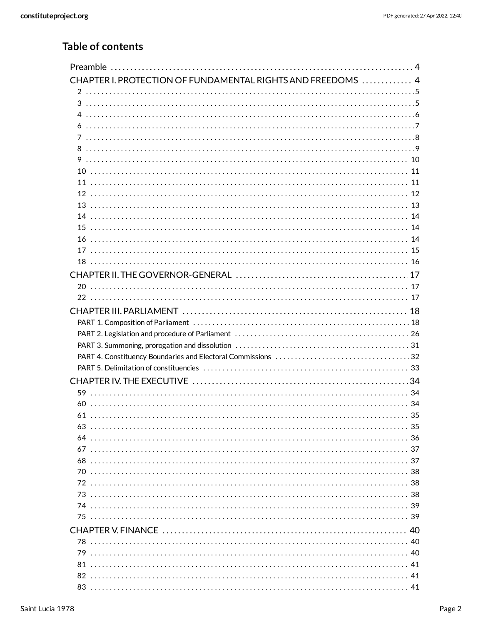## **Table of contents**

| CHAPTER I. PROTECTION OF FUNDAMENTAL RIGHTS AND FREEDOMS  4 |  |
|-------------------------------------------------------------|--|
|                                                             |  |
|                                                             |  |
|                                                             |  |
|                                                             |  |
|                                                             |  |
|                                                             |  |
|                                                             |  |
|                                                             |  |
|                                                             |  |
|                                                             |  |
|                                                             |  |
|                                                             |  |
|                                                             |  |
|                                                             |  |
|                                                             |  |
|                                                             |  |
|                                                             |  |
|                                                             |  |
|                                                             |  |
|                                                             |  |
|                                                             |  |
|                                                             |  |
|                                                             |  |
|                                                             |  |
|                                                             |  |
|                                                             |  |
|                                                             |  |
|                                                             |  |
|                                                             |  |
|                                                             |  |
|                                                             |  |
|                                                             |  |
|                                                             |  |
|                                                             |  |
|                                                             |  |
|                                                             |  |
|                                                             |  |
|                                                             |  |
|                                                             |  |
|                                                             |  |
|                                                             |  |
|                                                             |  |
|                                                             |  |
|                                                             |  |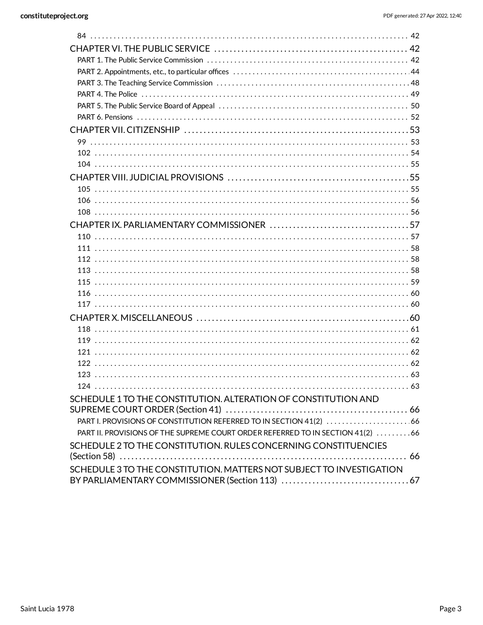| 124                                                                            |
|--------------------------------------------------------------------------------|
| SCHEDULE 1 TO THE CONSTITUTION. ALTERATION OF CONSTITUTION AND                 |
| PART I. PROVISIONS OF CONSTITUTION REFERRED TO IN SECTION 41(2) 66             |
| PART II. PROVISIONS OF THE SUPREME COURT ORDER REFERRED TO IN SECTION 41(2) 66 |
| SCHEDULE 2 TO THE CONSTITUTION. RULES CONCERNING CONSTITUENCIES                |
|                                                                                |
| SCHEDULE 3 TO THE CONSTITUTION. MATTERS NOT SUBJECT TO INVESTIGATION           |
|                                                                                |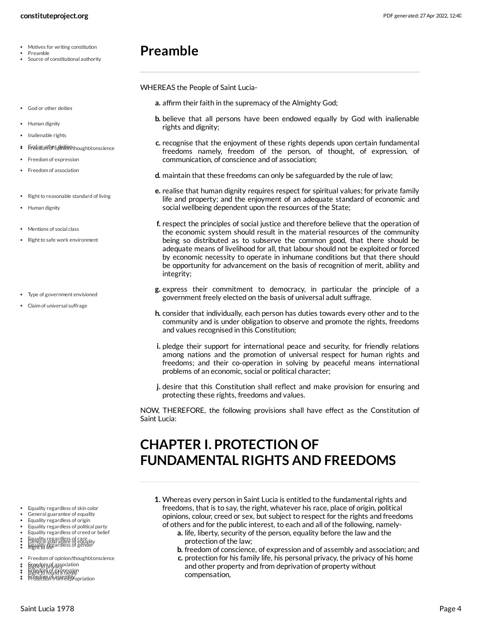- Motives for writing constitution  $\bullet$
- Preamble Source of constitutional authority

## <span id="page-3-0"></span>**Preamble**

<span id="page-3-2"></span>WHEREAS the People of Saint Lucia-

- **a.** affirm their faith in the supremacy of the Almighty God;
- **b.** believe that all persons have been endowed equally by God with inalienable rights and dignity;
- **c.** recognise that the enjoyment of these rights depends upon certain fundamental freedoms namely, freedom of the person, of thought, of expression, of communication, of conscience and of association;
- **d.** maintain that these freedoms can only be safeguarded by the rule of law;
- **e.** realise that human dignity requires respect for spiritual values; for private family life and property; and the enjoyment of an adequate standard of economic and social wellbeing dependent upon the resources of the State;
- **f.** respect the principles of social justice and therefore believe that the operation of the economic system should result in the material resources of the community being so distributed as to subserve the common good, that there should be adequate means of livelihood for all, that labour should not be exploited or forced by economic necessity to operate in inhumane conditions but that there should be opportunity for advancement on the basis of recognition of merit, ability and integrity;
- **g.** express their commitment to democracy, in particular the principle of a government freely elected on the basis of universal adult suffrage.
- **h.** consider that individually, each person has duties towards every other and to the community and is under obligation to observe and promote the rights, freedoms and values recognised in this Constitution;
- **i.** pledge their support for international peace and security, for friendly relations among nations and the promotion of universal respect for human rights and freedoms; and their co-operation in solving by peaceful means international problems of an economic, social or political character;
- **j.** desire that this Constitution shall reflect and make provision for ensuring and protecting these rights, freedoms and values.

NOW, THEREFORE, the following provisions shall have effect as the Constitution of Saint Lucia:

## <span id="page-3-1"></span>**CHAPTER I. PROTECTION OF FUNDAMENTAL RIGHTS AND FREEDOMS**

- **1.** Whereas every person in Saint Lucia is entitled to the fundamental rights and freedoms, that is to say, the right, whatever his race, place of origin, political opinions, colour, creed or sex, but subject to respect for the rights and freedoms of others and for the public interest, to each and all of the following, namely
	- **a.** life, liberty, security of the person, equality before the law and the protection of the law;
	- **b.** freedom of conscience, of expression and of assembly and association; and
	- **c.** protection for his family life, his personal privacy, the privacy of his home and other property and from deprivation of property without compensation,
- God or other deities
- Human dignity
- Inalienable rights
- **Freedom of opinion of our original system**
- Freedom of expression
- Freedom of association
- Right to reasonable standard of living
- Human dignity
- Mentions of social class
- Right to safe work environment
- Type of government envisioned
- Claim of universal suffrage

 $\ddot{\cdot}$ 

Freedom of association<br>Freedom of expression<br>Freedom of assembly Ri<del>ght to</del> privacy<br>Right to found a family<br>Protection f*r*om explorements

Equality regardless of skin color General guarantee of equality Equality regardless of origin Equality regardless of political party Equality regardless of creed or belief Equality regardless of race Equality regardless of gender General guarantee of equality Rightto life

Freedom of opinion/thought/conscience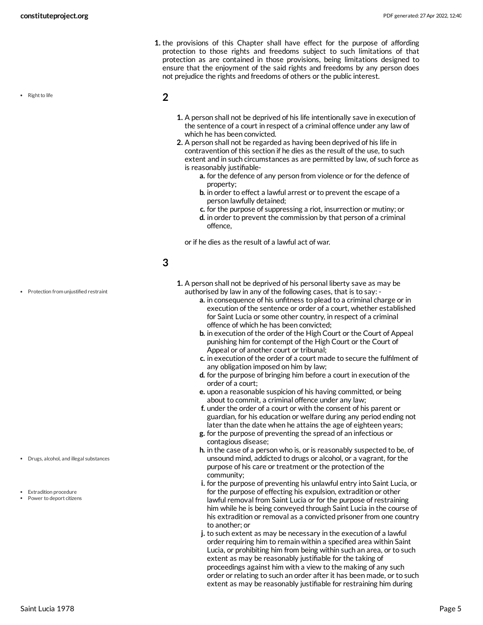• Right to life

**1.** the provisions of this Chapter shall have effect for the purpose of affording protection to those rights and freedoms subject to such limitations of that protection as are contained in those provisions, being limitations designed to ensure that the enjoyment of the said rights and freedoms by any person does not prejudice the rights and freedoms of others or the public interest.

<span id="page-4-0"></span>**2**

- **1.** A person shall not be deprived of his life intentionally save in execution of the sentence of a court in respect of a criminal offence under any law of which he has been convicted.
- **2.** A person shall not be regarded as having been deprived of his life in contravention of this section if he dies as the result of the use, to such extent and in such circumstances as are permitted by law, of such force as is reasonably justifiable
	- **a.** for the defence of any person from violence or for the defence of property;
	- **b.** in order to effect a lawful arrest or to prevent the escape of a person lawfully detained;
	- **c.** for the purpose of suppressing a riot, insurrection or mutiny; or
	- **d.** in order to prevent the commission by that person of a criminal offence,

or if he dies as the result of a lawful act of war.

### <span id="page-4-1"></span>**3**

- **1.** A person shall not be deprived of his personal liberty save as may be authorised by law in any of the following cases, that is to say:
	- **a.** in consequence of his unfitness to plead to a criminal charge or in execution of the sentence or order of a court, whether established for Saint Lucia or some other country, in respect of a criminal offence of which he has been convicted;
	- **b.** in execution of the order of the High Court or the Court of Appeal punishing him for contempt of the High Court or the Court of Appeal or of another court or tribunal;
	- **c.** in execution of the order of a court made to secure the fulfilment of any obligation imposed on him by law;
	- **d.** for the purpose of bringing him before a court in execution of the order of a court;
	- **e.** upon a reasonable suspicion of his having committed, or being about to commit, a criminal offence under any law;
	- **f.** under the order of a court or with the consent of his parent or guardian, for his education or welfare during any period ending not later than the date when he attains the age of eighteen years;
	- **g.** for the purpose of preventing the spread of an infectious or contagious disease;
	- **h.** in the case of a person who is, or is reasonably suspected to be, of unsound mind, addicted to drugs or alcohol, or a vagrant, for the purpose of his care or treatment or the protection of the community;
	- **i.** for the purpose of preventing his unlawful entry into Saint Lucia, or for the purpose of effecting his expulsion, extradition or other lawful removal from Saint Lucia or for the purpose of restraining him while he is being conveyed through Saint Lucia in the course of his extradition or removal as a convicted prisoner from one country to another; or
	- **j.** to such extent as may be necessary in the execution of a lawful order requiring him to remain within a specified area within Saint Lucia, or prohibiting him from being within such an area, or to such extent as may be reasonably justifiable for the taking of proceedings against him with a view to the making of any such order or relating to such an order after it has been made, or to such extent as may be reasonably justifiable for restraining him during

• Protection from unjustified restraint

- Drugs, alcohol, and illegal substances
- Extradition procedure Power to deport citizens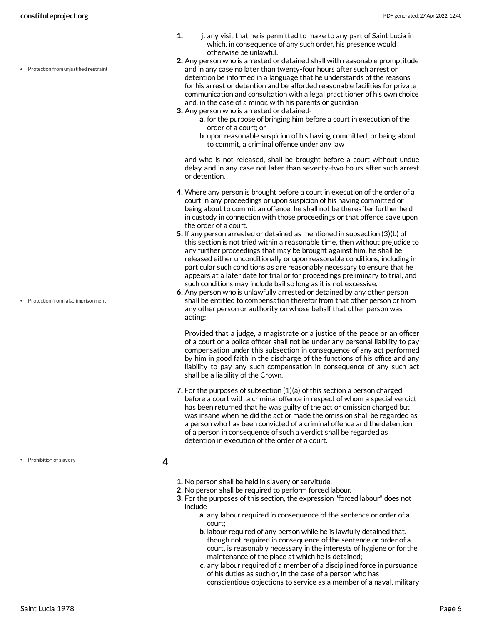• Protection from false imprisonment

- **1. j.** any visit that he is permitted to make to any part of Saint Lucia in which, in consequence of any such order, his presence would otherwise be unlawful.
- **2.** Any person who is arrested or detained shall with reasonable promptitude and in any case no later than twenty-four hours after such arrest or detention be informed in a language that he understands of the reasons for his arrest or detention and be afforded reasonable facilities for private communication and consultation with a legal practitioner of his own choice and, in the case of a minor, with his parents or guardian.
- **3.** Any person who is arrested or detained
	- **a.** for the purpose of bringing him before a court in execution of the order of a court; or
	- **b.** upon reasonable suspicion of his having committed, or being about to commit, a criminal offence under any law

and who is not released, shall be brought before a court without undue delay and in any case not later than seventy-two hours after such arrest or detention.

- **4.** Where any person is brought before a court in execution of the order of a court in any proceedings or upon suspicion of his having committed or being about to commit an offence, he shall not be thereafter further held in custody in connection with those proceedings or that offence save upon the order of a court.
- **5.** If any person arrested or detained as mentioned in subsection (3)(b) of this section is not tried within a reasonable time, then without prejudice to any further proceedings that may be brought against him, he shall be released either unconditionally or upon reasonable conditions, including in particular such conditions as are reasonably necessary to ensure that he appears at a later date for trial or for proceedings preliminary to trial, and such conditions may include bail so long as it is not excessive.
- **6.** Any person who is unlawfully arrested or detained by any other person shall be entitled to compensation therefor from that other person or from any other person or authority on whose behalf that other person was acting:

Provided that a judge, a magistrate or a justice of the peace or an officer of a court or a police officer shall not be under any personal liability to pay compensation under this subsection in consequence of any act performed by him in good faith in the discharge of the functions of his office and any liability to pay any such compensation in consequence of any such act shall be a liability of the Crown.

**7.** For the purposes of subsection (1)(a) of this section a person charged before a court with a criminal offence in respect of whom a special verdict has been returned that he was guilty of the act or omission charged but was insane when he did the act or made the omission shall be regarded as a person who has been convicted of a criminal offence and the detention of a person in consequence of such a verdict shall be regarded as detention in execution of the order of a court.

### <span id="page-5-0"></span>**4**

- **1.** No person shall be held in slavery or servitude.
- **2.** No person shall be required to perform forced labour.
- **3.** For the purposes of this section, the expression "forced labour" does not include
	- **a.** any labour required in consequence of the sentence or order of a court;
	- **b.** labour required of any person while he is lawfully detained that, though not required in consequence of the sentence or order of a court, is reasonably necessary in the interests of hygiene or for the maintenance of the place at which he is detained;
	- **c.** any labour required of a member of a disciplined force in pursuance of his duties as such or, in the case of a person who has conscientious objections to service as a member of a naval, military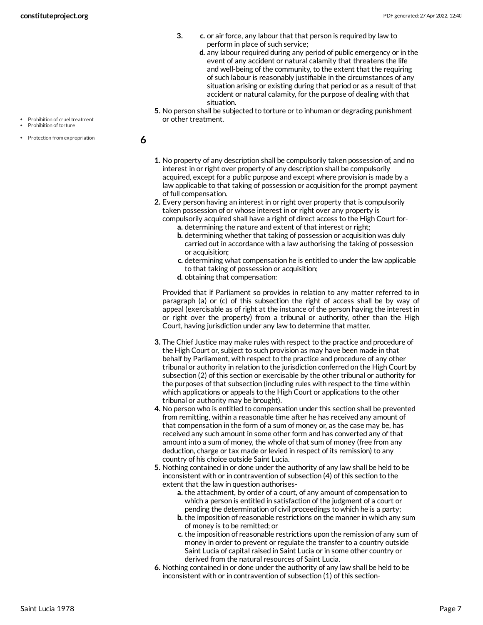- **3. c.** or air force, any labour that that person is required by law to perform in place of such service;
	- **d.** any labour required during any period of public emergency or in the event of any accident or natural calamity that threatens the life and well-being of the community, to the extent that the requiring of such labour is reasonably justifiable in the circumstances of any situation arising or existing during that period or as a result of that accident or natural calamity, for the purpose of dealing with that situation.
- **5.** No person shall be subjected to torture or to inhuman or degrading punishment or other treatment.
- Prohibition of cruel treatment • Protection from expropriation

Prohibition of torture

<span id="page-6-0"></span>**6**

- **1.** No property of any description shall be compulsorily taken possession of, and no interest in or right over property of any description shall be compulsorily acquired, except for a public purpose and except where provision is made by a law applicable to that taking of possession or acquisition for the prompt payment of full compensation.
- **2.** Every person having an interest in or right over property that is compulsorily taken possession of or whose interest in or right over any property is compulsorily acquired shall have a right of direct access to the High Court for
	- **a.** determining the nature and extent of that interest or right;
		- **b.** determining whether that taking of possession or acquisition was duly carried out in accordance with a law authorising the taking of possession or acquisition;
		- **c.** determining what compensation he is entitled to under the law applicable to that taking of possession or acquisition;
		- **d.** obtaining that compensation:

Provided that if Parliament so provides in relation to any matter referred to in paragraph (a) or (c) of this subsection the right of access shall be by way of appeal (exercisable as of right at the instance of the person having the interest in or right over the property) from a tribunal or authority, other than the High Court, having jurisdiction under any law to determine that matter.

- **3.** The Chief Justice may make rules with respect to the practice and procedure of the High Court or, subject to such provision as may have been made in that behalf by Parliament, with respect to the practice and procedure of any other tribunal or authority in relation to the jurisdiction conferred on the High Court by subsection (2) of this section or exercisable by the other tribunal or authority for the purposes of that subsection (including rules with respect to the time within which applications or appeals to the High Court or applications to the other tribunal or authority may be brought).
- **4.** No person who is entitled to compensation under this section shall be prevented from remitting, within a reasonable time after he has received any amount of that compensation in the form of a sum of money or, as the case may be, has received any such amount in some other form and has converted any of that amount into a sum of money, the whole of that sum of money (free from any deduction, charge or tax made or levied in respect of its remission) to any country of his choice outside Saint Lucia.
- **5.** Nothing contained in or done under the authority of any law shall be held to be inconsistent with or in contravention of subsection (4) of this section to the extent that the law in question authorises
	- **a.** the attachment, by order of a court, of any amount of compensation to which a person is entitled in satisfaction of the judgment of a court or pending the determination of civil proceedings to which he is a party;
	- **b.** the imposition of reasonable restrictions on the manner in which any sum of money is to be remitted; or
	- **c.** the imposition of reasonable restrictions upon the remission of any sum of money in order to prevent or regulate the transfer to a country outside Saint Lucia of capital raised in Saint Lucia or in some other country or derived from the natural resources of Saint Lucia.
- **6.** Nothing contained in or done under the authority of any law shall be held to be inconsistent with or in contravention of subsection (1) of this section-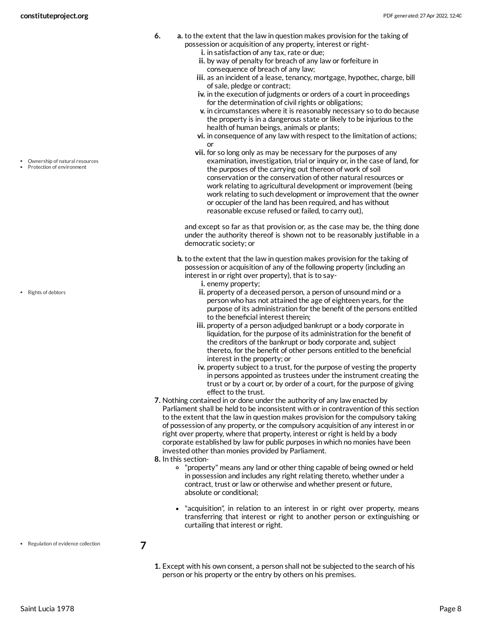Ownership of natural resources Protection of environment

• Rights of debtors

- **6. a.** to the extent that the law in question makes provision for the taking of possession or acquisition of any property, interest or right**i.** in satisfaction of any tax, rate or due;
	- **ii.** by way of penalty for breach of any law or forfeiture in consequence of breach of any law;
	- **iii.** as an incident of a lease, tenancy, mortgage, hypothec, charge, bill of sale, pledge or contract;
	- **iv.** in the execution of judgments or orders of a court in proceedings for the determination of civil rights or obligations;
	- **v.** in circumstances where it is reasonably necessary so to do because the property is in a dangerous state or likely to be injurious to the health of human beings, animals or plants;
	- **vi.** in consequence of any law with respect to the limitation of actions; or
	- **vii.** for so long only as may be necessary for the purposes of any examination, investigation, trial or inquiry or, in the case of land, for the purposes of the carrying out thereon of work of soil conservation or the conservation of other natural resources or work relating to agricultural development or improvement (being work relating to such development or improvement that the owner or occupier of the land has been required, and has without reasonable excuse refused or failed, to carry out),

and except so far as that provision or, as the case may be, the thing done under the authority thereof is shown not to be reasonably justifiable in a democratic society; or

**b.** to the extent that the law in question makes provision for the taking of possession or acquisition of any of the following property (including an interest in or right over property), that is to say-

**i.** enemy property;

- **ii.** property of a deceased person, a person of unsound mind or a person who has not attained the age of eighteen years, for the purpose of its administration for the benefit of the persons entitled to the beneficial interest therein;
- **iii.** property of a person adjudged bankrupt or a body corporate in liquidation, for the purpose of its administration for the benefit of the creditors of the bankrupt or body corporate and, subject thereto, for the benefit of other persons entitled to the beneficial interest in the property; or
- **iv.** property subject to a trust, for the purpose of vesting the property in persons appointed as trustees under the instrument creating the trust or by a court or, by order of a court, for the purpose of giving effect to the trust.
- **7.** Nothing contained in or done under the authority of any law enacted by Parliament shall be held to be inconsistent with or in contravention of this section to the extent that the law in question makes provision for the compulsory taking of possession of any property, or the compulsory acquisition of any interest in or right over property, where that property, interest or right is held by a body corporate established by law for public purposes in which no monies have been invested other than monies provided by Parliament.
- **8.** In this section-
	- "property" means any land or other thing capable of being owned or held in possession and includes any right relating thereto, whether under a contract, trust or law or otherwise and whether present or future, absolute or conditional;
	- "acquisition", in relation to an interest in or right over property, means transferring that interest or right to another person or extinguishing or curtailing that interest or right.

Regulation of evidence collection

<span id="page-7-0"></span>**7**

**1.** Except with his own consent, a person shall not be subjected to the search of his person or his property or the entry by others on his premises.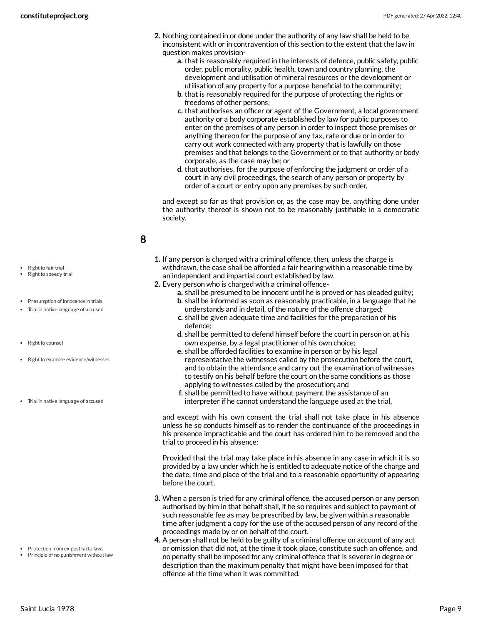- **2.** Nothing contained in or done under the authority of any law shall be held to be inconsistent with or in contravention of this section to the extent that the law in question makes provision
	- **a.** that is reasonably required in the interests of defence, public safety, public order, public morality, public health, town and country planning, the development and utilisation of mineral resources or the development or utilisation of any property for a purpose beneficial to the community;
	- **b.** that is reasonably required for the purpose of protecting the rights or freedoms of other persons;
	- **c.** that authorises an officer or agent of the Government, a local government authority or a body corporate established by law for public purposes to enter on the premises of any person in order to inspect those premises or anything thereon for the purpose of any tax, rate or due or in order to carry out work connected with any property that is lawfully on those premises and that belongs to the Government or to that authority or body corporate, as the case may be; or
	- **d.** that authorises, for the purpose of enforcing the judgment or order of a court in any civil proceedings, the search of any person or property by order of a court or entry upon any premises by such order,

and except so far as that provision or, as the case may be, anything done under the authority thereof is shown not to be reasonably justifiable in a democratic society.

## <span id="page-8-0"></span>**8**

- **1.** If any person is charged with a criminal offence, then, unless the charge is withdrawn, the case shall be afforded a fair hearing within a reasonable time by an independent and impartial court established by law.
- **2.** Every person who is charged with a criminal offence
	- **a.** shall be presumed to be innocent until he is proved or has pleaded guilty; **b.** shall be informed as soon as reasonably practicable, in a language that he understands and in detail, of the nature of the offence charged;
	- **c.** shall be given adequate time and facilities for the preparation of his defence;
	- **d.** shall be permitted to defend himself before the court in person or, at his own expense, by a legal practitioner of his own choice;
	- **e.** shall be afforded facilities to examine in person or by his legal representative the witnesses called by the prosecution before the court, and to obtain the attendance and carry out the examination of witnesses to testify on his behalf before the court on the same conditions as those applying to witnesses called by the prosecution; and
	- **f.** shall be permitted to have without payment the assistance of an interpreter if he cannot understand the language used at the trial,

and except with his own consent the trial shall not take place in his absence unless he so conducts himself as to render the continuance of the proceedings in his presence impracticable and the court has ordered him to be removed and the trial to proceed in his absence:

Provided that the trial may take place in his absence in any case in which it is so provided by a law under which he is entitled to adequate notice of the charge and the date, time and place of the trial and to a reasonable opportunity of appearing before the court.

- **3.** When a person is tried for any criminal offence, the accused person or any person authorised by him in that behalf shall, if he so requires and subject to payment of such reasonable fee as may be prescribed by law, be given within a reasonable time after judgment a copy for the use of the accused person of any record of the proceedings made by or on behalf of the court.
- **4.** A person shall not be held to be guilty of a criminal offence on account of any act or omission that did not, at the time it took place, constitute such an offence, and no penalty shall be imposed for any criminal offence that is severer in degree or description than the maximum penalty that might have been imposed for that offence at the time when it was committed.

• Right to fair trial

- Right to speedy trial
- Presumption of innocence in trials
- Trial in native language of accused
- Right to counsel
- Right to examine evidence/witnesses
- Trial in native language of accused

- Protection from ex post facto laws
- Principle of no punishment without law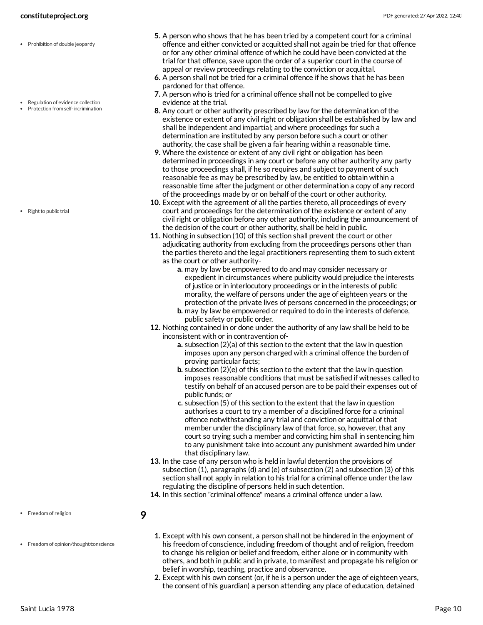- Prohibition of double jeopardy
- Protection from self-incrimination

• Right to public trial

- Regulation of evidence collection
- evidence at the trial. **8.** Any court or other authority prescribed by law for the determination of the existence or extent of any civil right or obligation shall be established by law and shall be independent and impartial; and where proceedings for such a determination are instituted by any person before such a court or other authority, the case shall be given a fair hearing within a reasonable time.

**7.** A person who is tried for a criminal offence shall not be compelled to give

appeal or review proceedings relating to the conviction or acquittal. **6.** A person shall not be tried for a criminal offence if he shows that he has been

pardoned for that offence.

**5.** A person who shows that he has been tried by a competent court for a criminal offence and either convicted or acquitted shall not again be tried for that offence or for any other criminal offence of which he could have been convicted at the trial for that offence, save upon the order of a superior court in the course of

- **9.** Where the existence or extent of any civil right or obligation has been determined in proceedings in any court or before any other authority any party to those proceedings shall, if he so requires and subject to payment of such reasonable fee as may be prescribed by law, be entitled to obtain within a reasonable time after the judgment or other determination a copy of any record of the proceedings made by or on behalf of the court or other authority.
- **10.** Except with the agreement of all the parties thereto, all proceedings of every court and proceedings for the determination of the existence or extent of any civil right or obligation before any other authority, including the announcement of the decision of the court or other authority, shall be held in public.
- **11.** Nothing in subsection (10) of this section shall prevent the court or other adjudicating authority from excluding from the proceedings persons other than the parties thereto and the legal practitioners representing them to such extent as the court or other authority
	- **a.** may by law be empowered to do and may consider necessary or expedient in circumstances where publicity would prejudice the interests of justice or in interlocutory proceedings or in the interests of public morality, the welfare of persons under the age of eighteen years or the protection of the private lives of persons concerned in the proceedings; or
	- **b.** may by law be empowered or required to do in the interests of defence, public safety or public order.
- **12.** Nothing contained in or done under the authority of any law shall be held to be inconsistent with or in contravention of
	- **a.** subsection (2)(a) of this section to the extent that the law in question imposes upon any person charged with a criminal offence the burden of proving particular facts;
	- **b.** subsection (2)(e) of this section to the extent that the law in question imposes reasonable conditions that must be satisfied if witnesses called to testify on behalf of an accused person are to be paid their expenses out of public funds; or
	- **c.** subsection (5) of this section to the extent that the law in question authorises a court to try a member of a disciplined force for a criminal offence notwithstanding any trial and conviction or acquittal of that member under the disciplinary law of that force, so, however, that any court so trying such a member and convicting him shall in sentencing him to any punishment take into account any punishment awarded him under that disciplinary law.
- **13.** In the case of any person who is held in lawful detention the provisions of subsection (1), paragraphs (d) and (e) of subsection (2) and subsection (3) of this section shall not apply in relation to his trial for a criminal offence under the law regulating the discipline of persons held in such detention.
- **14.** In this section "criminal offence" means a criminal offence under a law.

- Freedom of religion
- <span id="page-9-0"></span>**9**
- Freedom of opinion/thought/conscience
- **1.** Except with his own consent, a person shall not be hindered in the enjoyment of his freedom of conscience, including freedom of thought and of religion, freedom to change his religion or belief and freedom, either alone or in community with others, and both in public and in private, to manifest and propagate his religion or belief in worship, teaching, practice and observance.
- **2.** Except with his own consent (or, if he is a person under the age of eighteen years, the consent of his guardian) a person attending any place of education, detained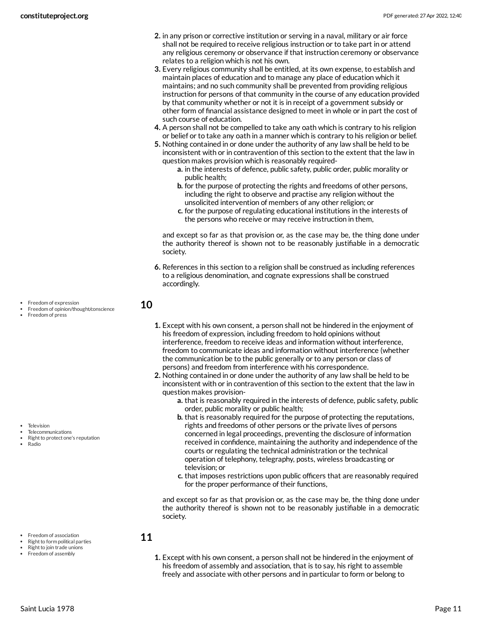- **2.** in any prison or corrective institution or serving in a naval, military or air force shall not be required to receive religious instruction or to take part in or attend any religious ceremony or observance if that instruction ceremony or observance relates to a religion which is not his own.
- **3.** Every religious community shall be entitled, at its own expense, to establish and maintain places of education and to manage any place of education which it maintains; and no such community shall be prevented from providing religious instruction for persons of that community in the course of any education provided by that community whether or not it is in receipt of a government subsidy or other form of financial assistance designed to meet in whole or in part the cost of such course of education.
- **4.** A person shall not be compelled to take any oath which is contrary to his religion or belief or to take any oath in a manner which is contrary to his religion or belief.
- **5.** Nothing contained in or done under the authority of any law shall be held to be inconsistent with or in contravention of this section to the extent that the law in question makes provision which is reasonably required
	- **a.** in the interests of defence, public safety, public order, public morality or public health;
	- **b.** for the purpose of protecting the rights and freedoms of other persons, including the right to observe and practise any religion without the unsolicited intervention of members of any other religion; or
	- **c.** for the purpose of regulating educational institutions in the interests of the persons who receive or may receive instruction in them,

and except so far as that provision or, as the case may be, the thing done under the authority thereof is shown not to be reasonably justifiable in a democratic society.

- **6.** References in this section to a religion shall be construed as including references to a religious denomination, and cognate expressions shall be construed accordingly.
- Freedom of expression Freedom of opinion/thought/conscience
- Freedom of press

- 
- Television
- Telecommunications Right to protect one's reputation
- Radio

### <span id="page-10-0"></span>**10**

- **1.** Except with his own consent, a person shall not be hindered in the enjoyment of his freedom of expression, including freedom to hold opinions without interference, freedom to receive ideas and information without interference, freedom to communicate ideas and information without interference (whether the communication be to the public generally or to any person or class of persons) and freedom from interference with his correspondence.
- **2.** Nothing contained in or done under the authority of any law shall be held to be inconsistent with or in contravention of this section to the extent that the law in question makes provision
	- **a.** that is reasonably required in the interests of defence, public safety, public order, public morality or public health;
	- **b.** that is reasonably required for the purpose of protecting the reputations, rights and freedoms of other persons or the private lives of persons concerned in legal proceedings, preventing the disclosure of information received in confidence, maintaining the authority and independence of the courts or regulating the technical administration or the technical operation of telephony, telegraphy, posts, wireless broadcasting or television; or
	- **c.** that imposes restrictions upon public officers that are reasonably required for the proper performance of their functions,

and except so far as that provision or, as the case may be, the thing done under the authority thereof is shown not to be reasonably justifiable in a democratic society.

- Freedom of association
- Right to form political parties
- Right to join trade unions
- Freedom of assembly

#### <span id="page-10-1"></span>**11**

**1.** Except with his own consent, a person shall not be hindered in the enjoyment of his freedom of assembly and association, that is to say, his right to assemble freely and associate with other persons and in particular to form or belong to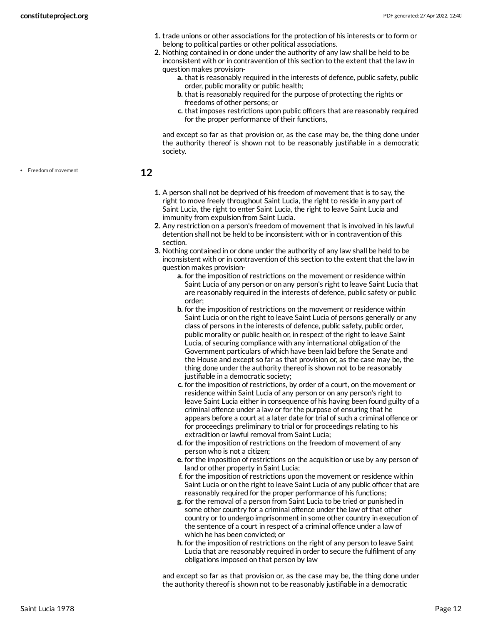- **1.** trade unions or other associations for the protection of his interests or to form or belong to political parties or other political associations.
- **2.** Nothing contained in or done under the authority of any law shall be held to be inconsistent with or in contravention of this section to the extent that the law in question makes provision
	- **a.** that is reasonably required in the interests of defence, public safety, public order, public morality or public health;
	- **b.** that is reasonably required for the purpose of protecting the rights or freedoms of other persons; or
	- **c.** that imposes restrictions upon public officers that are reasonably required for the proper performance of their functions,

and except so far as that provision or, as the case may be, the thing done under the authority thereof is shown not to be reasonably justifiable in a democratic society.

#### • Freedom of movement

- <span id="page-11-0"></span>**12**
	- **1.** A person shall not be deprived of his freedom of movement that is to say, the right to move freely throughout Saint Lucia, the right to reside in any part of Saint Lucia, the right to enter Saint Lucia, the right to leave Saint Lucia and immunity from expulsion from Saint Lucia.
	- **2.** Any restriction on a person's freedom of movement that is involved in his lawful detention shall not be held to be inconsistent with or in contravention of this section.
	- **3.** Nothing contained in or done under the authority of any law shall be held to be inconsistent with or in contravention of this section to the extent that the law in question makes provision
		- **a.** for the imposition of restrictions on the movement or residence within Saint Lucia of any person or on any person's right to leave Saint Lucia that are reasonably required in the interests of defence, public safety or public order;
		- **b.** for the imposition of restrictions on the movement or residence within Saint Lucia or on the right to leave Saint Lucia of persons generally or any class of persons in the interests of defence, public safety, public order, public morality or public health or, in respect of the right to leave Saint Lucia, of securing compliance with any international obligation of the Government particulars of which have been laid before the Senate and the House and except so far as that provision or, as the case may be, the thing done under the authority thereof is shown not to be reasonably justifiable in a democratic society;
		- **c.** for the imposition of restrictions, by order of a court, on the movement or residence within Saint Lucia of any person or on any person's right to leave Saint Lucia either in consequence of his having been found guilty of a criminal offence under a law or for the purpose of ensuring that he appears before a court at a later date for trial of such a criminal offence or for proceedings preliminary to trial or for proceedings relating to his extradition or lawful removal from Saint Lucia;
		- **d.** for the imposition of restrictions on the freedom of movement of any person who is not a citizen;
		- **e.** for the imposition of restrictions on the acquisition or use by any person of land or other property in Saint Lucia;
		- **f.** for the imposition of restrictions upon the movement or residence within Saint Lucia or on the right to leave Saint Lucia of any public officer that are reasonably required for the proper performance of his functions;
		- **g.** for the removal of a person from Saint Lucia to be tried or punished in some other country for a criminal offence under the law of that other country or to undergo imprisonment in some other country in execution of the sentence of a court in respect of a criminal offence under a law of which he has been convicted; or
		- **h.** for the imposition of restrictions on the right of any person to leave Saint Lucia that are reasonably required in order to secure the fulfilment of any obligations imposed on that person by law

and except so far as that provision or, as the case may be, the thing done under the authority thereof is shown not to be reasonably justifiable in a democratic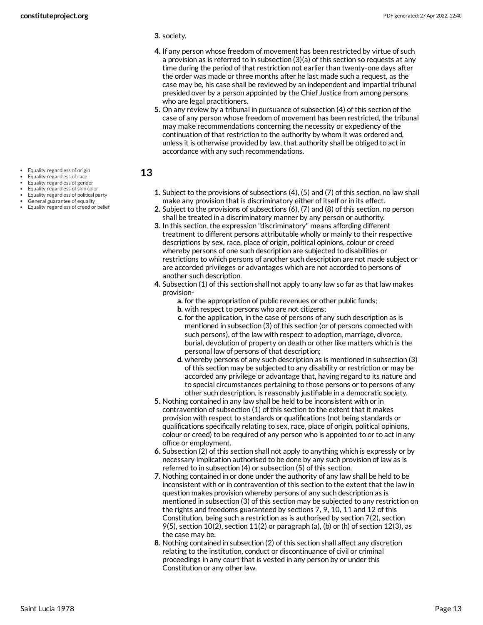**3.** society.

<span id="page-12-0"></span>**13**

- **4.** If any person whose freedom of movement has been restricted by virtue of such a provision as is referred to in subsection (3)(a) of this section so requests at any time during the period of that restriction not earlier than twenty-one days after the order was made or three months after he last made such a request, as the case may be, his case shall be reviewed by an independent and impartial tribunal presided over by a person appointed by the Chief Justice from among persons who are legal practitioners.
- **5.** On any review by a tribunal in pursuance of subsection (4) of this section of the case of any person whose freedom of movement has been restricted, the tribunal may make recommendations concerning the necessity or expediency of the continuation of that restriction to the authority by whom it was ordered and, unless it is otherwise provided by law, that authority shall be obliged to act in accordance with any such recommendations.
- Equality regardless of origin
- Equality regardless of race Equality regardless of gender
- Equality regardless of skin color
- Equality regardless of political party
- General guarantee of equality
- Equality regardless of creed or belief
- **1.** Subject to the provisions of subsections (4), (5) and (7) of this section, no law shall make any provision that is discriminatory either of itself or in its effect.
- **2.** Subject to the provisions of subsections (6), (7) and (8) of this section, no person shall be treated in a discriminatory manner by any person or authority.
- **3.** In this section, the expression "discriminatory" means affording different treatment to different persons attributable wholly or mainly to their respective descriptions by sex, race, place of origin, political opinions, colour or creed whereby persons of one such description are subjected to disabilities or restrictions to which persons of another such description are not made subject or are accorded privileges or advantages which are not accorded to persons of another such description.
- **4.** Subsection (1) of this section shall not apply to any law so far as that law makes provision
	- **a.** for the appropriation of public revenues or other public funds;
	- **b.** with respect to persons who are not citizens;
	- **c.** for the application, in the case of persons of any such description as is mentioned in subsection (3) of this section (or of persons connected with such persons), of the law with respect to adoption, marriage, divorce, burial, devolution of property on death or other like matters which is the personal law of persons of that description;
	- **d.** whereby persons of any such description as is mentioned in subsection (3) of this section may be subjected to any disability or restriction or may be accorded any privilege or advantage that, having regard to its nature and to special circumstances pertaining to those persons or to persons of any other such description, is reasonably justifiable in a democratic society.
- **5.** Nothing contained in any law shall be held to be inconsistent with or in contravention of subsection (1) of this section to the extent that it makes provision with respect to standards or qualifications (not being standards or qualifications specifically relating to sex, race, place of origin, political opinions, colour or creed) to be required of any person who is appointed to or to act in any office or employment.
- **6.** Subsection (2) of this section shall not apply to anything which is expressly or by necessary implication authorised to be done by any such provision of law as is referred to in subsection (4) or subsection (5) of this section.
- **7.** Nothing contained in or done under the authority of any law shall be held to be inconsistent with or in contravention of this section to the extent that the law in question makes provision whereby persons of any such description as is mentioned in subsection (3) of this section may be subjected to any restriction on the rights and freedoms guaranteed by sections 7, 9, 10, 11 and 12 of this Constitution, being such a restriction as is authorised by section 7(2), section  $9(5)$ , section  $10(2)$ , section  $11(2)$  or paragraph (a), (b) or (h) of section  $12(3)$ , as the case may be.
- **8.** Nothing contained in subsection (2) of this section shall affect any discretion relating to the institution, conduct or discontinuance of civil or criminal proceedings in any court that is vested in any person by or under this Constitution or any other law.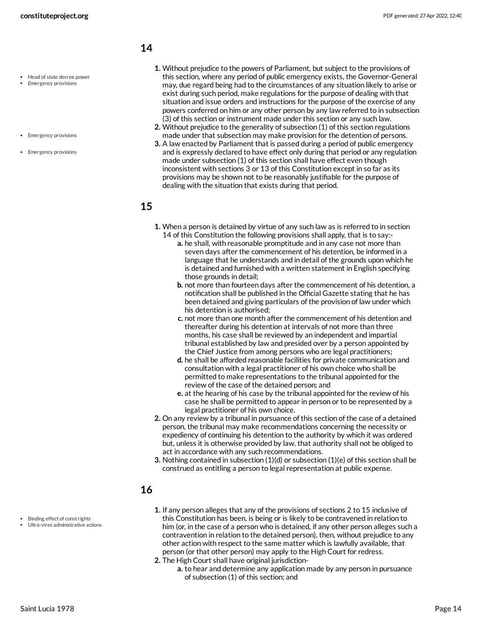Head of state decree power Emergency provisions

• Emergency provisions

**Emergency provisions** 

- <span id="page-13-0"></span>**14**
	- **1.** Without prejudice to the powers of Parliament, but subject to the provisions of this section, where any period of public emergency exists, the Governor-General may, due regard being had to the circumstances of any situation likely to arise or exist during such period, make regulations for the purpose of dealing with that situation and issue orders and instructions for the purpose of the exercise of any powers conferred on him or any other person by any law referred to in subsection (3) of this section or instrument made under this section or any such law.
	- **2.** Without prejudice to the generality of subsection (1) of this section regulations made under that subsection may make provision for the detention of persons.
	- **3.** A law enacted by Parliament that is passed during a period of public emergency and is expressly declared to have effect only during that period or any regulation made under subsection (1) of this section shall have effect even though inconsistent with sections 3 or 13 of this Constitution except in so far as its provisions may be shown not to be reasonably justifiable for the purpose of dealing with the situation that exists during that period.

## <span id="page-13-1"></span>**15**

- **1.** When a person is detained by virtue of any such law as is referred to in section 14 of this Constitution the following provisions shall apply, that is to say:
	- **a.** he shall, with reasonable promptitude and in any case not more than seven days after the commencement of his detention, be informed in a language that he understands and in detail of the grounds upon which he is detained and furnished with a written statement in English specifying those grounds in detail;
	- **b.** not more than fourteen days after the commencement of his detention, a notification shall be published in the Official Gazette stating that he has been detained and giving particulars of the provision of law under which his detention is authorised;
	- **c.** not more than one month after the commencement of his detention and thereafter during his detention at intervals of not more than three months, his case shall be reviewed by an independent and impartial tribunal established by law and presided over by a person appointed by the Chief Justice from among persons who are legal practitioners;
	- **d.** he shall be afforded reasonable facilities for private communication and consultation with a legal practitioner of his own choice who shall be permitted to make representations to the tribunal appointed for the review of the case of the detained person; and
	- **e.** at the hearing of his case by the tribunal appointed for the review of his case he shall be permitted to appear in person or to be represented by a legal practitioner of his own choice.
- **2.** On any review by a tribunal in pursuance of this section of the case of a detained person, the tribunal may make recommendations concerning the necessity or expediency of continuing his detention to the authority by which it was ordered but, unless it is otherwise provided by law, that authority shall not be obliged to act in accordance with any such recommendations.
- **3.** Nothing contained in subsection (1)(d) or subsection (1)(e) of this section shall be construed as entitling a person to legal representation at public expense.

## <span id="page-13-2"></span>**16**

- Binding effect of const rights
- Ultra-vires administrative actions
- **1.** If any person alleges that any of the provisions of sections 2 to 15 inclusive of this Constitution has been, is being or is likely to be contravened in relation to him (or, in the case of a person who is detained, if any other person alleges such a contravention in relation to the detained person), then, without prejudice to any other action with respect to the same matter which is lawfully available, that person (or that other person) may apply to the High Court for redress.
- **2.** The High Court shall have original jurisdiction
	- **a.** to hear and determine any application made by any person in pursuance of subsection (1) of this section; and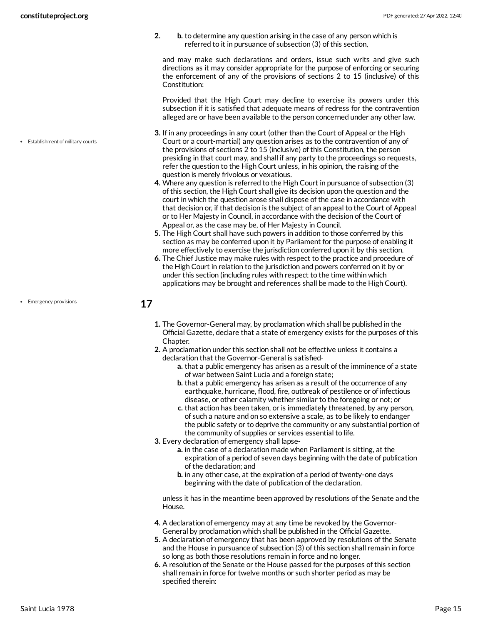Establishment of military courts

**2. b.** to determine any question arising in the case of any person which is referred to it in pursuance of subsection (3) of this section,

and may make such declarations and orders, issue such writs and give such directions as it may consider appropriate for the purpose of enforcing or securing the enforcement of any of the provisions of sections 2 to 15 (inclusive) of this Constitution:

Provided that the High Court may decline to exercise its powers under this subsection if it is satisfied that adequate means of redress for the contravention alleged are or have been available to the person concerned under any other law.

- **3.** If in any proceedings in any court (other than the Court of Appeal or the High Court or a court-martial) any question arises as to the contravention of any of the provisions of sections 2 to 15 (inclusive) of this Constitution, the person presiding in that court may, and shall if any party to the proceedings so requests, refer the question to the High Court unless, in his opinion, the raising of the question is merely frivolous or vexatious.
- **4.** Where any question is referred to the High Court in pursuance of subsection (3) of this section, the High Court shall give its decision upon the question and the court in which the question arose shall dispose of the case in accordance with that decision or, if that decision is the subject of an appeal to the Court of Appeal or to Her Majesty in Council, in accordance with the decision of the Court of Appeal or, as the case may be, of Her Majesty in Council.
- **5.** The High Court shall have such powers in addition to those conferred by this section as may be conferred upon it by Parliament for the purpose of enabling it more effectively to exercise the jurisdiction conferred upon it by this section.
- **6.** The Chief Justice may make rules with respect to the practice and procedure of the High Court in relation to the jurisdiction and powers conferred on it by or under this section (including rules with respect to the time within which applications may be brought and references shall be made to the High Court).

• Emergency provisions

#### <span id="page-14-0"></span>**17**

- **1.** The Governor-General may, by proclamation which shall be published in the Official Gazette, declare that a state of emergency exists for the purposes of this Chapter.
- **2.** A proclamation under this section shall not be effective unless it contains a declaration that the Governor-General is satisfied
	- **a.** that a public emergency has arisen as a result of the imminence of a state of war between Saint Lucia and a foreign state;
	- **b.** that a public emergency has arisen as a result of the occurrence of any earthquake, hurricane, flood, fire, outbreak of pestilence or of infectious disease, or other calamity whether similar to the foregoing or not; or
	- **c.** that action has been taken, or is immediately threatened, by any person, of such a nature and on so extensive a scale, as to be likely to endanger the public safety or to deprive the community or any substantial portion of the community of supplies or services essential to life.
- **3.** Every declaration of emergency shall lapse
	- **a.** in the case of a declaration made when Parliament is sitting, at the expiration of a period of seven days beginning with the date of publication of the declaration; and
	- **b.** in any other case, at the expiration of a period of twenty-one days beginning with the date of publication of the declaration.

unless it has in the meantime been approved by resolutions of the Senate and the House.

- **4.** A declaration of emergency may at any time be revoked by the Governor-General by proclamation which shall be published in the Official Gazette.
- **5.** A declaration of emergency that has been approved by resolutions of the Senate and the House in pursuance of subsection (3) of this section shall remain in force so long as both those resolutions remain in force and no longer.
- **6.** A resolution of the Senate or the House passed for the purposes of this section shall remain in force for twelve months or such shorter period as may be specified therein: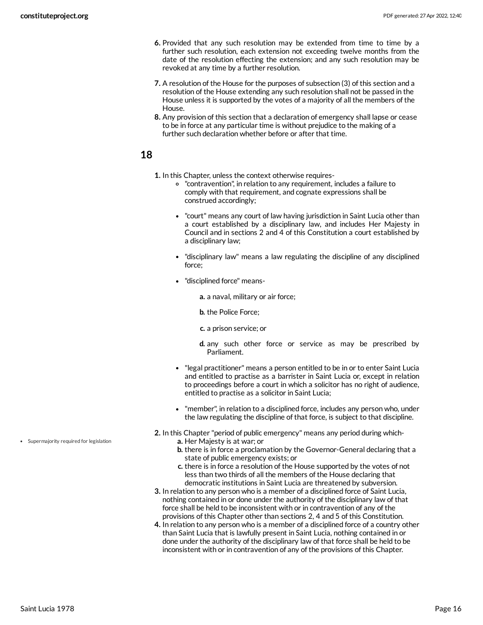- **6.** Provided that any such resolution may be extended from time to time by a further such resolution, each extension not exceeding twelve months from the date of the resolution effecting the extension; and any such resolution may be revoked at any time by a further resolution.
- **7.** A resolution of the House for the purposes of subsection (3) of this section and a resolution of the House extending any such resolution shall not be passed in the House unless it is supported by the votes of a majority of all the members of the House.
- **8.** Any provision of this section that a declaration of emergency shall lapse or cease to be in force at any particular time is without prejudice to the making of a further such declaration whether before or after that time.

### <span id="page-15-0"></span>**18**

- **1.** In this Chapter, unless the context otherwise requires-
	- "contravention", in relation to any requirement, includes a failure to comply with that requirement, and cognate expressions shall be construed accordingly;
	- "court" means any court of law having jurisdiction in Saint Lucia other than a court established by a disciplinary law, and includes Her Majesty in Council and in sections 2 and 4 of this Constitution a court established by a disciplinary law;
	- "disciplinary law" means a law regulating the discipline of any disciplined force;
	- "disciplined force" means-

**a.** a naval, military or air force;

**b.** the Police Force;

**c.** a prison service; or

**d.** any such other force or service as may be prescribed by Parliament.

- "legal practitioner" means a person entitled to be in or to enter Saint Lucia and entitled to practise as a barrister in Saint Lucia or, except in relation to proceedings before a court in which a solicitor has no right of audience, entitled to practise as a solicitor in Saint Lucia;
- "member", in relation to a disciplined force, includes any person who, under the law regulating the discipline of that force, is subject to that discipline.
- **2.** In this Chapter "period of public emergency" means any period during which
	- **a.** Her Majesty is at war; or
	- **b.** there is in force a proclamation by the Governor-General declaring that a state of public emergency exists; or
	- **c.** there is in force a resolution of the House supported by the votes of not less than two thirds of all the members of the House declaring that democratic institutions in Saint Lucia are threatened by subversion.
- **3.** In relation to any person who is a member of a disciplined force of Saint Lucia, nothing contained in or done under the authority of the disciplinary law of that force shall be held to be inconsistent with or in contravention of any of the provisions of this Chapter other than sections 2, 4 and 5 of this Constitution.
- <span id="page-15-1"></span>**4.** In relation to any person who is a member of a disciplined force of a country other than Saint Lucia that is lawfully present in Saint Lucia, nothing contained in or done under the authority of the disciplinary law of that force shall be held to be inconsistent with or in contravention of any of the provisions of this Chapter.

Supermajority required for legislation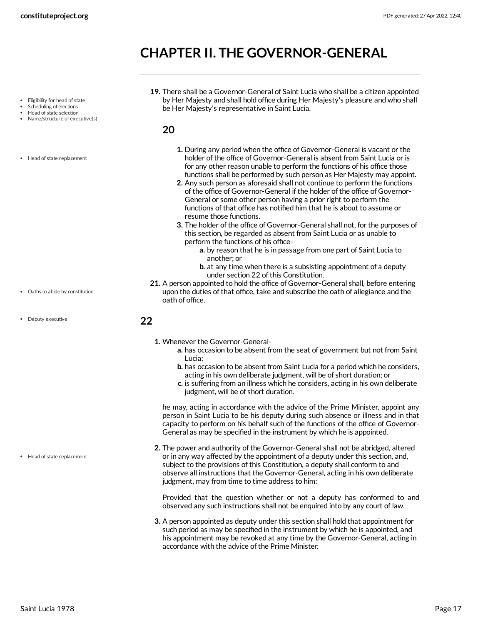## <span id="page-16-0"></span>**CHAPTER II. THE GOVERNOR-GENERAL**

- Eligibility for head of state
- Scheduling of elections Head of state selection
- Name/structure of executive(s)
- Head of state replacement

**19.** There shall be a Governor-General of Saint Lucia who shall be a citizen appointed by Her Majesty and shall hold office during Her Majesty's pleasure and who shall be Her Majesty's representative in Saint Lucia.

### <span id="page-16-1"></span>**20**

- **1.** During any period when the office of Governor-General is vacant or the holder of the office of Governor-General is absent from Saint Lucia or is for any other reason unable to perform the functions of his office those functions shall be performed by such person as Her Majesty may appoint.
- **2.** Any such person as aforesaid shall not continue to perform the functions of the office of Governor-General if the holder of the office of Governor-General or some other person having a prior right to perform the functions of that office has notified him that he is about to assume or resume those functions.
- **3.** The holder of the office of Governor-General shall not, for the purposes of this section, be regarded as absent from Saint Lucia or as unable to perform the functions of his office
	- **a.** by reason that he is in passage from one part of Saint Lucia to another; or
	- **b.** at any time when there is a subsisting appointment of a deputy under section 22 of this Constitution.
- **21.** A person appointed to hold the office of Governor-General shall, before entering upon the duties of that office, take and subscribe the oath of allegiance and the oath of office.

• Deputy executive

• Head of state replacement

Oaths to abide by constitution

<span id="page-16-2"></span>**22**

- **1.** Whenever the Governor-General
	- **a.** has occasion to be absent from the seat of government but not from Saint Lucia;
	- **b.** has occasion to be absent from Saint Lucia for a period which he considers, acting in his own deliberate judgment, will be of short duration; or
	- **c.** is suffering from an illness which he considers, acting in his own deliberate judgment, will be of short duration.

he may, acting in accordance with the advice of the Prime Minister, appoint any person in Saint Lucia to be his deputy during such absence or illness and in that capacity to perform on his behalf such of the functions of the office of Governor-General as may be specified in the instrument by which he is appointed.

**2.** The power and authority of the Governor-General shall not be abridged, altered or in any way affected by the appointment of a deputy under this section, and, subject to the provisions of this Constitution, a deputy shall conform to and observe all instructions that the Governor-General, acting in his own deliberate judgment, may from time to time address to him:

Provided that the question whether or not a deputy has conformed to and observed any such instructions shall not be enquired into by any court of law.

**3.** A person appointed as deputy under this section shall hold that appointment for such period as may be specified in the instrument by which he is appointed, and his appointment may be revoked at any time by the Governor-General, acting in accordance with the advice of the Prime Minister.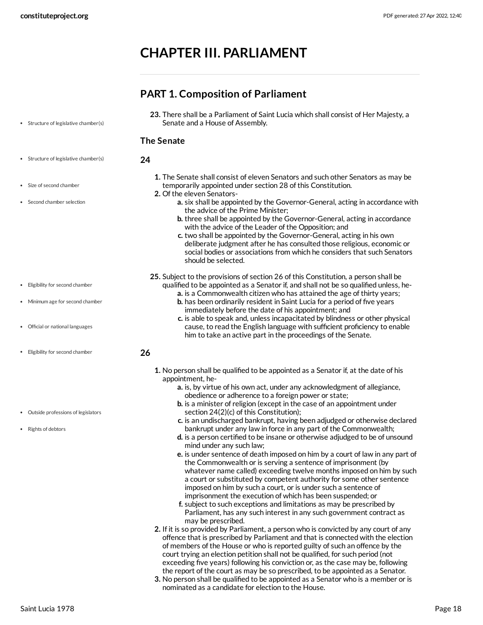<span id="page-17-3"></span> $\ddot{\phantom{0}}$ 

## <span id="page-17-4"></span><span id="page-17-2"></span><span id="page-17-1"></span><span id="page-17-0"></span>**CHAPTER III. PARLIAMENT**

|                                     | <b>PART 1. Composition of Parliament</b>                                                                                                                                                                                                                                                                                                                                                                                                                                                                                                                                                               |
|-------------------------------------|--------------------------------------------------------------------------------------------------------------------------------------------------------------------------------------------------------------------------------------------------------------------------------------------------------------------------------------------------------------------------------------------------------------------------------------------------------------------------------------------------------------------------------------------------------------------------------------------------------|
| Structure of legislative chamber(s) | 23. There shall be a Parliament of Saint Lucia which shall consist of Her Majesty, a<br>Senate and a House of Assembly.                                                                                                                                                                                                                                                                                                                                                                                                                                                                                |
|                                     | <b>The Senate</b>                                                                                                                                                                                                                                                                                                                                                                                                                                                                                                                                                                                      |
| Structure of legislative chamber(s) | 24                                                                                                                                                                                                                                                                                                                                                                                                                                                                                                                                                                                                     |
| Size of second chamber              | 1. The Senate shall consist of eleven Senators and such other Senators as may be<br>temporarily appointed under section 28 of this Constitution.<br>2. Of the eleven Senators-                                                                                                                                                                                                                                                                                                                                                                                                                         |
| Second chamber selection            | a. six shall be appointed by the Governor-General, acting in accordance with<br>the advice of the Prime Minister;<br><b>b.</b> three shall be appointed by the Governor-General, acting in accordance<br>with the advice of the Leader of the Opposition; and<br>c. two shall be appointed by the Governor-General, acting in his own<br>deliberate judgment after he has consulted those religious, economic or<br>social bodies or associations from which he considers that such Senators<br>should be selected.                                                                                    |
| Eligibility for second chamber      | 25. Subject to the provisions of section 26 of this Constitution, a person shall be<br>qualified to be appointed as a Senator if, and shall not be so qualified unless, he-<br>a. is a Commonwealth citizen who has attained the age of thirty years;                                                                                                                                                                                                                                                                                                                                                  |
| Minimum age for second chamber      | b. has been ordinarily resident in Saint Lucia for a period of five years<br>immediately before the date of his appointment; and                                                                                                                                                                                                                                                                                                                                                                                                                                                                       |
| Official or national languages      | c. is able to speak and, unless incapacitated by blindness or other physical<br>cause, to read the English language with sufficient proficiency to enable<br>him to take an active part in the proceedings of the Senate.                                                                                                                                                                                                                                                                                                                                                                              |
| Eligibility for second chamber      | 26                                                                                                                                                                                                                                                                                                                                                                                                                                                                                                                                                                                                     |
|                                     | 1. No person shall be qualified to be appointed as a Senator if, at the date of his<br>appointment, he-<br>a. is, by virtue of his own act, under any acknowledgment of allegiance,<br>obedience or adherence to a foreign power or state;                                                                                                                                                                                                                                                                                                                                                             |
| Outside professions of legislators  | <b>b.</b> is a minister of religion (except in the case of an appointment under<br>section 24(2)(c) of this Constitution);                                                                                                                                                                                                                                                                                                                                                                                                                                                                             |
| Rights of debtors                   | c. is an undischarged bankrupt, having been adjudged or otherwise declared<br>bankrupt under any law in force in any part of the Commonwealth;<br>d. is a person certified to be insane or otherwise adjudged to be of unsound<br>mind under any such law;                                                                                                                                                                                                                                                                                                                                             |
|                                     | e. is under sentence of death imposed on him by a court of law in any part of<br>the Commonwealth or is serving a sentence of imprisonment (by<br>whatever name called) exceeding twelve months imposed on him by such<br>a court or substituted by competent authority for some other sentence<br>imposed on him by such a court, or is under such a sentence of<br>imprisonment the execution of which has been suspended; or<br>f. subject to such exceptions and limitations as may be prescribed by<br>Parliament, has any such interest in any such government contract as<br>may be prescribed. |
|                                     | 2. If it is so provided by Parliament, a person who is convicted by any court of any<br>offence that is prescribed by Parliament and that is connected with the election<br>of members of the House or who is reported guilty of such an offence by the<br>court trying an election petition shall not be qualified, for such period (not<br>exceeding five years) following his conviction or, as the case may be, following<br>the report of the court as may be so prescribed, to be appointed as a Senator.<br>3. No person shall be qualified to be appointed as a Senator who is a member or is  |

nominated as a candidate for election to the House.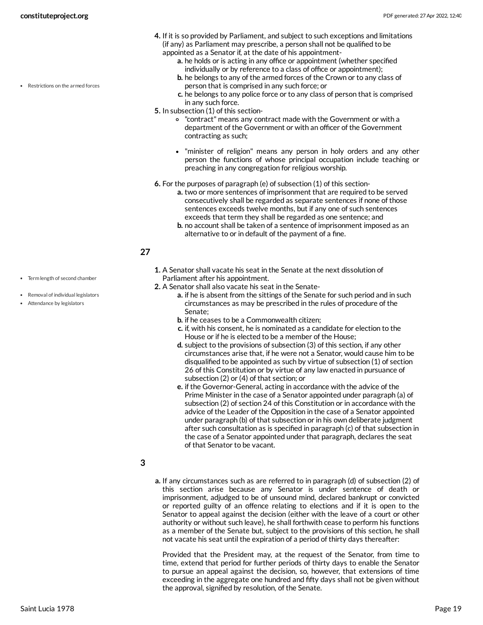Restrictions on the armed forces

- **4.** If it is so provided by Parliament, and subject to such exceptions and limitations (if any) as Parliament may prescribe, a person shall not be qualified to be appointed as a Senator if, at the date of his appointment
	- **a.** he holds or is acting in any office or appointment (whether specified individually or by reference to a class of office or appointment);
	- **b.** he belongs to any of the armed forces of the Crown or to any class of person that is comprised in any such force; or
	- **c.** he belongs to any police force or to any class of person that is comprised in any such force.
- **5.** In subsection (1) of this section-
	- "contract" means any contract made with the Government or with a department of the Government or with an officer of the Government contracting as such;
	- "minister of religion" means any person in holy orders and any other person the functions of whose principal occupation include teaching or preaching in any congregation for religious worship.
- **6.** For the purposes of paragraph (e) of subsection (1) of this section
	- **a.** two or more sentences of imprisonment that are required to be served consecutively shall be regarded as separate sentences if none of those sentences exceeds twelve months, but if any one of such sentences exceeds that term they shall be regarded as one sentence; and
	- **b.** no account shall be taken of a sentence of imprisonment imposed as an alternative to or in default of the payment of a fine.

### <span id="page-18-0"></span>**27**

- **1.** A Senator shall vacate his seat in the Senate at the next dissolution of Parliament after his appointment.
- **2.** A Senator shall also vacate his seat in the Senate
	- **a.** if he is absent from the sittings of the Senate for such period and in such circumstances as may be prescribed in the rules of procedure of the Senate;
	- **b.** if he ceases to be a Commonwealth citizen;
	- **c.** if, with his consent, he is nominated as a candidate for election to the House or if he is elected to be a member of the House;
	- **d.** subject to the provisions of subsection (3) of this section, if any other circumstances arise that, if he were not a Senator, would cause him to be disqualified to be appointed as such by virtue of subsection (1) of section 26 of this Constitution or by virtue of any law enacted in pursuance of subsection (2) or (4) of that section; or
	- **e.** if the Governor-General, acting in accordance with the advice of the Prime Minister in the case of a Senator appointed under paragraph (a) of subsection (2) of section 24 of this Constitution or in accordance with the advice of the Leader of the Opposition in the case of a Senator appointed under paragraph (b) of that subsection or in his own deliberate judgment after such consultation as is specified in paragraph (c) of that subsection in the case of a Senator appointed under that paragraph, declares the seat of that Senator to be vacant.
- **3**
- **a.** If any circumstances such as are referred to in paragraph (d) of subsection (2) of this section arise because any Senator is under sentence of death or imprisonment, adjudged to be of unsound mind, declared bankrupt or convicted or reported guilty of an offence relating to elections and if it is open to the Senator to appeal against the decision (either with the leave of a court or other authority or without such leave), he shall forthwith cease to perform his functions as a member of the Senate but, subject to the provisions of this section, he shall not vacate his seat until the expiration of a period of thirty days thereafter:

Provided that the President may, at the request of the Senator, from time to time, extend that period for further periods of thirty days to enable the Senator to pursue an appeal against the decision, so, however, that extensions of time exceeding in the aggregate one hundred and fifty days shall not be given without the approval, signified by resolution, of the Senate.

- Term length of second chamber
- Removal of individual legislators
- Attendance by legislators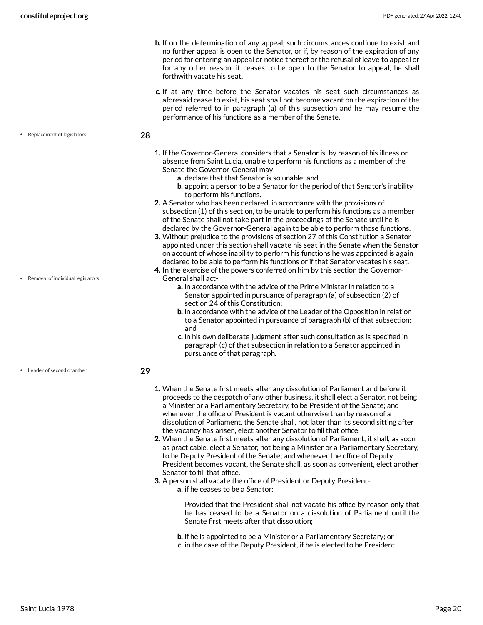- **b.** If on the determination of any appeal, such circumstances continue to exist and no further appeal is open to the Senator, or if, by reason of the expiration of any period for entering an appeal or notice thereof or the refusal of leave to appeal or for any other reason, it ceases to be open to the Senator to appeal, he shall forthwith vacate his seat.
- **c.** If at any time before the Senator vacates his seat such circumstances as aforesaid cease to exist, his seat shall not become vacant on the expiration of the period referred to in paragraph (a) of this subsection and he may resume the performance of his functions as a member of the Senate.

#### Replacement of legislators

Removal of individual legislators

Leader of second chamber

- **1.** If the Governor-General considers that a Senator is, by reason of his illness or absence from Saint Lucia, unable to perform his functions as a member of the Senate the Governor-General may
	- **a.** declare that that Senator is so unable; and
	- **b.** appoint a person to be a Senator for the period of that Senator's inability to perform his functions.
- **2.** A Senator who has been declared, in accordance with the provisions of subsection (1) of this section, to be unable to perform his functions as a member of the Senate shall not take part in the proceedings of the Senate until he is declared by the Governor-General again to be able to perform those functions.
- **3.** Without prejudice to the provisions of section 27 of this Constitution a Senator appointed under this section shall vacate his seat in the Senate when the Senator on account of whose inability to perform his functions he was appointed is again declared to be able to perform his functions or if that Senator vacates his seat.
- **4.** In the exercise of the powers conferred on him by this section the Governor-General shall act
	- **a.** in accordance with the advice of the Prime Minister in relation to a Senator appointed in pursuance of paragraph (a) of subsection (2) of section 24 of this Constitution;
	- **b.** in accordance with the advice of the Leader of the Opposition in relation to a Senator appointed in pursuance of paragraph (b) of that subsection; and
	- **c.** in his own deliberate judgment after such consultation as is specified in paragraph (c) of that subsection in relation to a Senator appointed in pursuance of that paragraph.

#### <span id="page-19-0"></span>**29**

<span id="page-19-1"></span>**28**

- **1.** When the Senate first meets after any dissolution of Parliament and before it proceeds to the despatch of any other business, it shall elect a Senator, not being a Minister or a Parliamentary Secretary, to be President of the Senate; and whenever the office of President is vacant otherwise than by reason of a dissolution of Parliament, the Senate shall, not later than its second sitting after the vacancy has arisen, elect another Senator to fill that office.
- **2.** When the Senate first meets after any dissolution of Parliament, it shall, as soon as practicable, elect a Senator, not being a Minister or a Parliamentary Secretary, to be Deputy President of the Senate; and whenever the office of Deputy President becomes vacant, the Senate shall, as soon as convenient, elect another Senator to fill that office.
- **3.** A person shall vacate the office of President or Deputy President**a.** if he ceases to be a Senator:
	-

Provided that the President shall not vacate his office by reason only that he has ceased to be a Senator on a dissolution of Parliament until the Senate first meets after that dissolution;

**b.** if he is appointed to be a Minister or a Parliamentary Secretary; or **c.** in the case of the Deputy President, if he is elected to be President.

Saint Lucia 1978 Page 20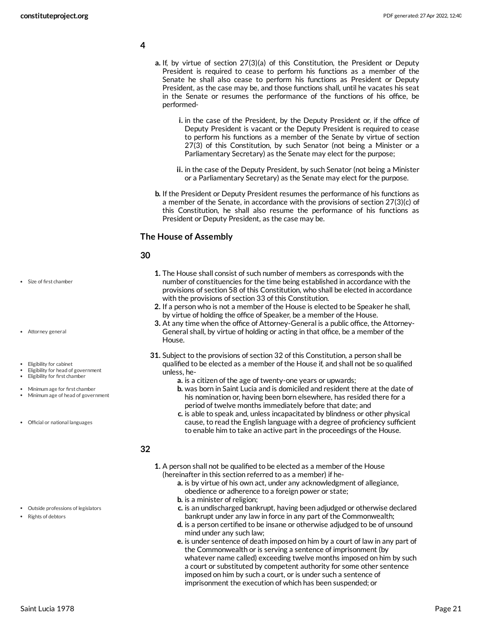**4**

- **a.** If, by virtue of section 27(3)(a) of this Constitution, the President or Deputy President is required to cease to perform his functions as a member of the Senate he shall also cease to perform his functions as President or Deputy President, as the case may be, and those functions shall, until he vacates his seat in the Senate or resumes the performance of the functions of his office, be performed
	- **i.** in the case of the President, by the Deputy President or, if the office of Deputy President is vacant or the Deputy President is required to cease to perform his functions as a member of the Senate by virtue of section 27(3) of this Constitution, by such Senator (not being a Minister or a Parliamentary Secretary) as the Senate may elect for the purpose;
	- **ii.** in the case of the Deputy President, by such Senator (not being a Minister or a Parliamentary Secretary) as the Senate may elect for the purpose.
- **b.** If the President or Deputy President resumes the performance of his functions as a member of the Senate, in accordance with the provisions of section 27(3)(c) of this Constitution, he shall also resume the performance of his functions as President or Deputy President, as the case may be.

#### <span id="page-20-1"></span>**The House of Assembly**

#### <span id="page-20-0"></span>**30**

- **1.** The House shall consist of such number of members as corresponds with the number of constituencies for the time being established in accordance with the provisions of section 58 of this Constitution, who shall be elected in accordance with the provisions of section 33 of this Constitution.
- **2.** If a person who is not a member of the House is elected to be Speaker he shall, by virtue of holding the office of Speaker, be a member of the House.
- **3.** At any time when the office of Attorney-General is a public office, the Attorney-General shall, by virtue of holding or acting in that office, be a member of the House.
- **31.** Subject to the provisions of section 32 of this Constitution, a person shall be qualified to be elected as a member of the House if, and shall not be so qualified unless, he
	- **a.** is a citizen of the age of twenty-one years or upwards;
	- **b.** was born in Saint Lucia and is domiciled and resident there at the date of his nomination or, having been born elsewhere, has resided there for a period of twelve months immediately before that date; and
	- **c.** is able to speak and, unless incapacitated by blindness or other physical cause, to read the English language with a degree of proficiency sufficient to enable him to take an active part in the proceedings of the House.

#### <span id="page-20-2"></span>**32**

- **1.** A person shall not be qualified to be elected as a member of the House (hereinafter in this section referred to as a member) if he
	- **a.** is by virtue of his own act, under any acknowledgment of allegiance, obedience or adherence to a foreign power or state;
	- **b.** is a minister of religion;
	- **c.** is an undischarged bankrupt, having been adjudged or otherwise declared bankrupt under any law in force in any part of the Commonwealth;
	- **d.** is a person certified to be insane or otherwise adjudged to be of unsound mind under any such law;
	- **e.** is under sentence of death imposed on him by a court of law in any part of the Commonwealth or is serving a sentence of imprisonment (by whatever name called) exceeding twelve months imposed on him by such a court or substituted by competent authority for some other sentence imposed on him by such a court, or is under such a sentence of imprisonment the execution of which has been suspended; or

Size of first chamber

- Attorney general
- Eligibility for cabinet
- Eligibility for head of government
- Eligibility for first chamber
- Minimum age for first chamber
- Minimum age of head of government

Official or national languages

- Outside professions of legislators
- Rights of debtors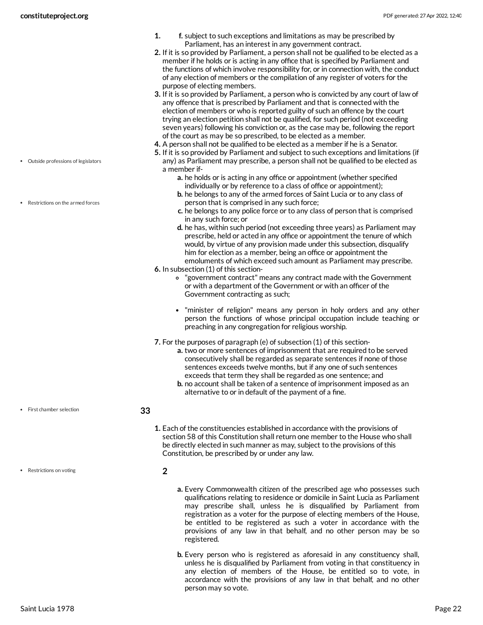- **1. f.** subject to such exceptions and limitations as may be prescribed by Parliament, has an interest in any government contract.
- **2.** If it is so provided by Parliament, a person shall not be qualified to be elected as a member if he holds or is acting in any office that is specified by Parliament and the functions of which involve responsibility for, or in connection with, the conduct of any election of members or the compilation of any register of voters for the purpose of electing members.
- **3.** If it is so provided by Parliament, a person who is convicted by any court of law of any offence that is prescribed by Parliament and that is connected with the election of members or who is reported guilty of such an offence by the court trying an election petition shall not be qualified, for such period (not exceeding seven years) following his conviction or, as the case may be, following the report of the court as may be so prescribed, to be elected as a member.
- **4.** A person shall not be qualified to be elected as a member if he is a Senator.
- **5.** If it is so provided by Parliament and subject to such exceptions and limitations (if any) as Parliament may prescribe, a person shall not be qualified to be elected as a member if
	- **a.** he holds or is acting in any office or appointment (whether specified individually or by reference to a class of office or appointment);
	- **b.** he belongs to any of the armed forces of Saint Lucia or to any class of person that is comprised in any such force;
	- **c.** he belongs to any police force or to any class of person that is comprised in any such force; or
	- **d.** he has, within such period (not exceeding three years) as Parliament may prescribe, held or acted in any office or appointment the tenure of which would, by virtue of any provision made under this subsection, disqualify him for election as a member, being an office or appointment the emoluments of which exceed such amount as Parliament may prescribe.
- **6.** In subsection (1) of this section-
	- "government contract" means any contract made with the Government or with a department of the Government or with an officer of the Government contracting as such;
	- "minister of religion" means any person in holy orders and any other person the functions of whose principal occupation include teaching or preaching in any congregation for religious worship.
- **7.** For the purposes of paragraph (e) of subsection (1) of this section
	- **a.** two or more sentences of imprisonment that are required to be served consecutively shall be regarded as separate sentences if none of those sentences exceeds twelve months, but if any one of such sentences exceeds that term they shall be regarded as one sentence; and
	- **b.** no account shall be taken of a sentence of imprisonment imposed as an alternative to or in default of the payment of a fine.
- <span id="page-21-0"></span>**33**
- **1.** Each of the constituencies established in accordance with the provisions of section 58 of this Constitution shall return one member to the House who shall be directly elected in such manner as may, subject to the provisions of this Constitution, be prescribed by or under any law.
	- **2**
- <span id="page-21-1"></span>**a.** Every Commonwealth citizen of the prescribed age who possesses such qualifications relating to residence or domicile in Saint Lucia as Parliament may prescribe shall, unless he is disqualified by Parliament from registration as a voter for the purpose of electing members of the House, be entitled to be registered as such a voter in accordance with the provisions of any law in that behalf, and no other person may be so registered.
- **b.** Every person who is registered as aforesaid in any constituency shall, unless he is disqualified by Parliament from voting in that constituency in any election of members of the House, be entitled so to vote, in accordance with the provisions of any law in that behalf, and no other person may so vote.
- Outside professions of legislators
- Restrictions on the armed forces

First chamber selection

Restrictions on voting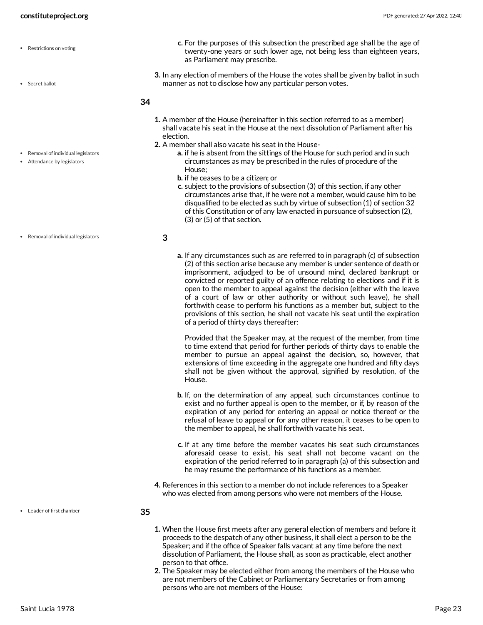- Restrictions on voting
- Secret ballot

- Removal of individual legislators
- Attendance by legislators

Removal of individual legislators

- **c.** For the purposes of this subsection the prescribed age shall be the age of twenty-one years or such lower age, not being less than eighteen years, as Parliament may prescribe.
- **3.** In any election of members of the House the votes shall be given by ballot in such manner as not to disclose how any particular person votes.

<span id="page-22-0"></span>**34**

- **1.** A member of the House (hereinafter in this section referred to as a member) shall vacate his seat in the House at the next dissolution of Parliament after his election.
- **2.** A member shall also vacate his seat in the House
	- **a.** if he is absent from the sittings of the House for such period and in such circumstances as may be prescribed in the rules of procedure of the House;
	- **b.** if he ceases to be a citizen; or
	- **c.** subject to the provisions of subsection (3) of this section, if any other circumstances arise that, if he were not a member, would cause him to be disqualified to be elected as such by virtue of subsection (1) of section 32 of this Constitution or of any law enacted in pursuance of subsection (2), (3) or (5) of that section.
- **3**
- **a.** If any circumstances such as are referred to in paragraph (c) of subsection (2) of this section arise because any member is under sentence of death or imprisonment, adjudged to be of unsound mind, declared bankrupt or convicted or reported guilty of an offence relating to elections and if it is open to the member to appeal against the decision (either with the leave of a court of law or other authority or without such leave), he shall forthwith cease to perform his functions as a member but, subject to the provisions of this section, he shall not vacate his seat until the expiration of a period of thirty days thereafter:

Provided that the Speaker may, at the request of the member, from time to time extend that period for further periods of thirty days to enable the member to pursue an appeal against the decision, so, however, that extensions of time exceeding in the aggregate one hundred and fifty days shall not be given without the approval, signified by resolution, of the House.

- **b.** If, on the determination of any appeal, such circumstances continue to exist and no further appeal is open to the member, or if, by reason of the expiration of any period for entering an appeal or notice thereof or the refusal of leave to appeal or for any other reason, it ceases to be open to the member to appeal, he shall forthwith vacate his seat.
- **c.** If at any time before the member vacates his seat such circumstances aforesaid cease to exist, his seat shall not become vacant on the expiration of the period referred to in paragraph (a) of this subsection and he may resume the performance of his functions as a member.
- **4.** References in this section to a member do not include references to a Speaker who was elected from among persons who were not members of the House.

Leader of first chamber

- <span id="page-22-1"></span>**35**
- **1.** When the House first meets after any general election of members and before it proceeds to the despatch of any other business, it shall elect a person to be the Speaker; and if the office of Speaker falls vacant at any time before the next dissolution of Parliament, the House shall, as soon as practicable, elect another person to that office.
- **2.** The Speaker may be elected either from among the members of the House who are not members of the Cabinet or Parliamentary Secretaries or from among persons who are not members of the House: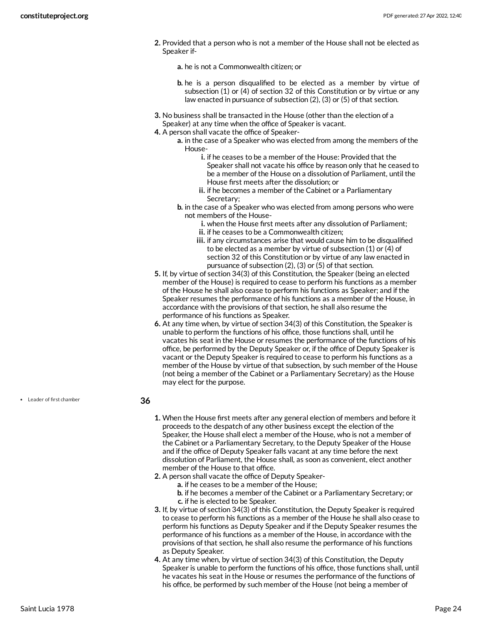- **2.** Provided that a person who is not a member of the House shall not be elected as Speaker if
	- **a.** he is not a Commonwealth citizen; or
	- **b.** he is a person disqualified to be elected as a member by virtue of subsection (1) or (4) of section 32 of this Constitution or by virtue or any law enacted in pursuance of subsection (2), (3) or (5) of that section.
- **3.** No business shall be transacted in the House (other than the election of a Speaker) at any time when the office of Speaker is vacant.
- **4.** A person shall vacate the office of Speaker
	- **a.** in the case of a Speaker who was elected from among the members of the House
		- **i.** if he ceases to be a member of the House: Provided that the Speaker shall not vacate his office by reason only that he ceased to be a member of the House on a dissolution of Parliament, until the House first meets after the dissolution; or
		- **ii.** if he becomes a member of the Cabinet or a Parliamentary Secretary;
		- **b.** in the case of a Speaker who was elected from among persons who were not members of the House
			- **i.** when the House first meets after any dissolution of Parliament; **ii.** if he ceases to be a Commonwealth citizen;
			- **iii.** if any circumstances arise that would cause him to be disqualified to be elected as a member by virtue of subsection (1) or (4) of section 32 of this Constitution or by virtue of any law enacted in pursuance of subsection (2), (3) or (5) of that section.
- **5.** If, by virtue of section 34(3) of this Constitution, the Speaker (being an elected member of the House) is required to cease to perform his functions as a member of the House he shall also cease to perform his functions as Speaker; and if the Speaker resumes the performance of his functions as a member of the House, in accordance with the provisions of that section, he shall also resume the performance of his functions as Speaker.
- **6.** At any time when, by virtue of section 34(3) of this Constitution, the Speaker is unable to perform the functions of his office, those functions shall, until he vacates his seat in the House or resumes the performance of the functions of his office, be performed by the Deputy Speaker or, if the office of Deputy Speaker is vacant or the Deputy Speaker is required to cease to perform his functions as a member of the House by virtue of that subsection, by such member of the House (not being a member of the Cabinet or a Parliamentary Secretary) as the House may elect for the purpose.

Leader of first chamber

- <span id="page-23-0"></span>**36**
	- **1.** When the House first meets after any general election of members and before it proceeds to the despatch of any other business except the election of the Speaker, the House shall elect a member of the House, who is not a member of the Cabinet or a Parliamentary Secretary, to the Deputy Speaker of the House and if the office of Deputy Speaker falls vacant at any time before the next dissolution of Parliament, the House shall, as soon as convenient, elect another member of the House to that office.
	- **2.** A person shall vacate the office of Deputy Speaker
		- **a.** if he ceases to be a member of the House;
		- **b.** if he becomes a member of the Cabinet or a Parliamentary Secretary; or
		- **c.** if he is elected to be Speaker.
	- **3.** If, by virtue of section 34(3) of this Constitution, the Deputy Speaker is required to cease to perform his functions as a member of the House he shall also cease to perform his functions as Deputy Speaker and if the Deputy Speaker resumes the performance of his functions as a member of the House, in accordance with the provisions of that section, he shall also resume the performance of his functions as Deputy Speaker.
	- **4.** At any time when, by virtue of section 34(3) of this Constitution, the Deputy Speaker is unable to perform the functions of his office, those functions shall, until he vacates his seat in the House or resumes the performance of the functions of his office, be performed by such member of the House (not being a member of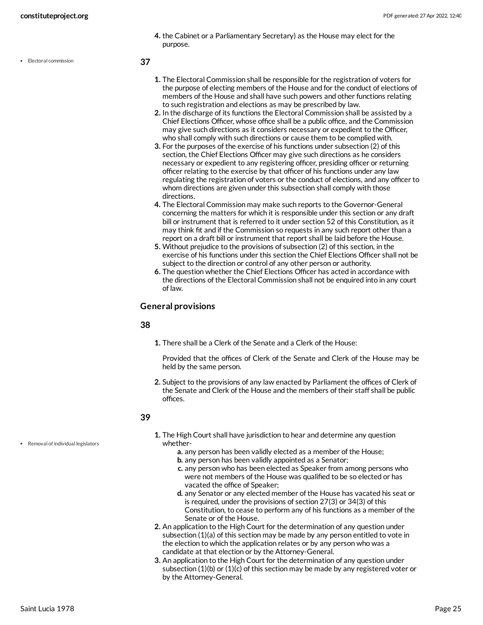**4.** the Cabinet or a Parliamentary Secretary) as the House may elect for the purpose.

Electoral commission

- **1.** The Electoral Commission shall be responsible for the registration of voters for the purpose of electing members of the House and for the conduct of elections of members of the House and shall have such powers and other functions relating to such registration and elections as may be prescribed by law.
- **2.** In the discharge of its functions the Electoral Commission shall be assisted by a Chief Elections Officer, whose office shall be a public office, and the Commission may give such directions as it considers necessary or expedient to the Officer, who shall comply with such directions or cause them to be complied with.
- **3.** For the purposes of the exercise of his functions under subsection (2) of this section, the Chief Elections Officer may give such directions as he considers necessary or expedient to any registering officer, presiding officer or returning officer relating to the exercise by that officer of his functions under any law regulating the registration of voters or the conduct of elections, and any officer to whom directions are given under this subsection shall comply with those directions.
- **4.** The Electoral Commission may make such reports to the Governor-General concerning the matters for which it is responsible under this section or any draft bill or instrument that is referred to it under section 52 of this Constitution, as it may think fit and if the Commission so requests in any such report other than a report on a draft bill or instrument that report shall be laid before the House.
- **5.** Without prejudice to the provisions of subsection (2) of this section, in the exercise of his functions under this section the Chief Elections Officer shall not be subject to the direction or control of any other person or authority.
- **6.** The question whether the Chief Elections Officer has acted in accordance with the directions of the Electoral Commission shall not be enquired into in any court of law.

#### **General provisions**

#### **38**

<span id="page-24-0"></span>**37**

**1.** There shall be a Clerk of the Senate and a Clerk of the House:

Provided that the offices of Clerk of the Senate and Clerk of the House may be held by the same person.

**2.** Subject to the provisions of any law enacted by Parliament the offices of Clerk of the Senate and Clerk of the House and the members of their staff shall be public offices.

#### <span id="page-24-1"></span>**39**

- **1.** The High Court shall have jurisdiction to hear and determine any question whether
	- **a.** any person has been validly elected as a member of the House;
	- **b.** any person has been validly appointed as a Senator;
	- **c.** any person who has been elected as Speaker from among persons who were not members of the House was qualified to be so elected or has vacated the office of Speaker;
	- **d.** any Senator or any elected member of the House has vacated his seat or is required, under the provisions of section 27(3) or 34(3) of this Constitution, to cease to perform any of his functions as a member of the Senate or of the House.
- **2.** An application to the High Court for the determination of any question under subsection (1)(a) of this section may be made by any person entitled to vote in the election to which the application relates or by any person who was a candidate at that election or by the Attorney-General.
- **3.** An application to the High Court for the determination of any question under subsection  $(1)(b)$  or  $(1)(c)$  of this section may be made by any registered voter or by the Attorney-General.

Removal of individual legislators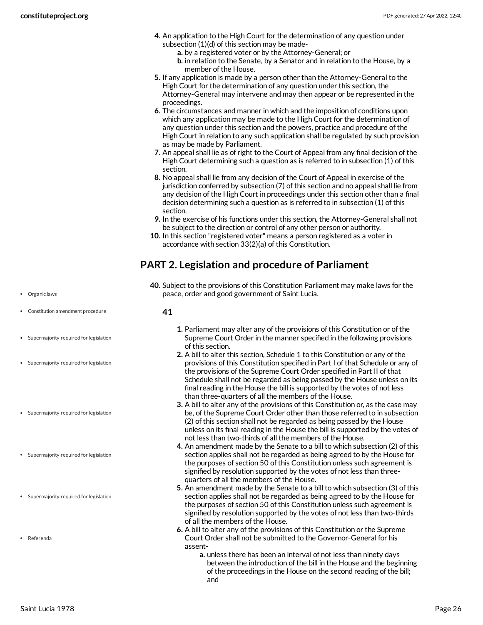- **4.** An application to the High Court for the determination of any question under subsection (1)(d) of this section may be made
	- **a.** by a registered voter or by the Attorney-General; or
	- **b.** in relation to the Senate, by a Senator and in relation to the House, by a member of the House.
- **5.** If any application is made by a person other than the Attorney-General to the High Court for the determination of any question under this section, the Attorney-General may intervene and may then appear or be represented in the proceedings.
- **6.** The circumstances and manner in which and the imposition of conditions upon which any application may be made to the High Court for the determination of any question under this section and the powers, practice and procedure of the High Court in relation to any such application shall be regulated by such provision as may be made by Parliament.
- **7.** An appeal shall lie as of right to the Court of Appeal from any final decision of the High Court determining such a question as is referred to in subsection (1) of this section.
- **8.** No appeal shall lie from any decision of the Court of Appeal in exercise of the jurisdiction conferred by subsection (7) of this section and no appeal shall lie from any decision of the High Court in proceedings under this section other than a final decision determining such a question as is referred to in subsection (1) of this section.
- **9.** In the exercise of his functions under this section, the Attorney-General shall not be subject to the direction or control of any other person or authority.
- **10.** In this section "registered voter" means a person registered as a voter in accordance with section 33(2)(a) of this Constitution.

## <span id="page-25-0"></span>**PART 2. Legislation and procedure of Parliament**

**40.** Subject to the provisions of this Constitution Parliament may make laws for the peace, order and good government of Saint Lucia.

#### <span id="page-25-1"></span>**41**

- **1.** Parliament may alter any of the provisions of this Constitution or of the Supreme Court Order in the manner specified in the following provisions of this section.
- **2.** A bill to alter this section, Schedule 1 to this Constitution or any of the provisions of this Constitution specified in Part I of that Schedule or any of the provisions of the Supreme Court Order specified in Part II of that Schedule shall not be regarded as being passed by the House unless on its final reading in the House the bill is supported by the votes of not less than three-quarters of all the members of the House.
- **3.** A bill to alter any of the provisions of this Constitution or, as the case may be, of the Supreme Court Order other than those referred to in subsection (2) of this section shall not be regarded as being passed by the House unless on its final reading in the House the bill is supported by the votes of not less than two-thirds of all the members of the House.
- **4.** An amendment made by the Senate to a bill to which subsection (2) of this section applies shall not be regarded as being agreed to by the House for the purposes of section 50 of this Constitution unless such agreement is signified by resolution supported by the votes of not less than threequarters of all the members of the House.
- **5.** An amendment made by the Senate to a bill to which subsection (3) of this section applies shall not be regarded as being agreed to by the House for the purposes of section 50 of this Constitution unless such agreement is signified by resolution supported by the votes of not less than two-thirds of all the members of the House.
- **6.** A bill to alter any of the provisions of this Constitution or the Supreme Court Order shall not be submitted to the Governor-General for his assent
	- **a.** unless there has been an interval of not less than ninety days between the introduction of the bill in the House and the beginning of the proceedings in the House on the second reading of the bill; and

Organic laws

- Constitution amendment procedure
- Supermajority required for legislation
- Supermajority required for legislation
- Supermajority required for legislation
- Supermajority required for legislation
- Supermajority required for legislation
- Referenda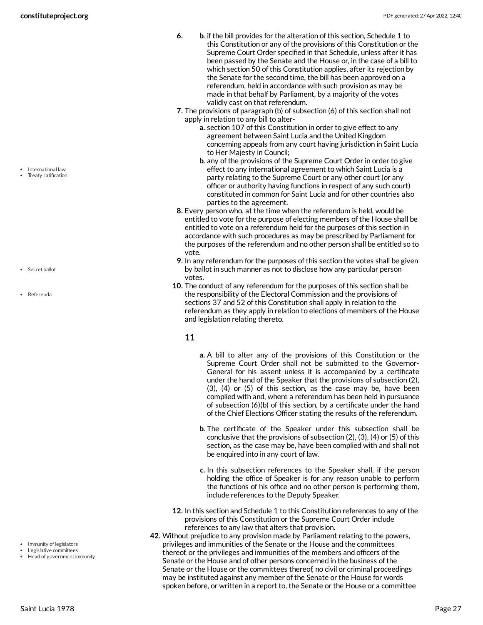- **6. b.** if the bill provides for the alteration of this section, Schedule 1 to this Constitution or any of the provisions of this Constitution or the Supreme Court Order specified in that Schedule, unless after it has been passed by the Senate and the House or, in the case of a bill to which section 50 of this Constitution applies, after its rejection by the Senate for the second time, the bill has been approved on a referendum, held in accordance with such provision as may be made in that behalf by Parliament, by a majority of the votes validly cast on that referendum.
- **7.** The provisions of paragraph (b) of subsection (6) of this section shall not apply in relation to any bill to alter
	- **a.** section 107 of this Constitution in order to give effect to any agreement between Saint Lucia and the United Kingdom concerning appeals from any court having jurisdiction in Saint Lucia to Her Majesty in Council;
	- **b.** any of the provisions of the Supreme Court Order in order to give effect to any international agreement to which Saint Lucia is a party relating to the Supreme Court or any other court (or any officer or authority having functions in respect of any such court) constituted in common for Saint Lucia and for other countries also parties to the agreement.
- **8.** Every person who, at the time when the referendum is held, would be entitled to vote for the purpose of electing members of the House shall be entitled to vote on a referendum held for the purposes of this section in accordance with such procedures as may be prescribed by Parliament for the purposes of the referendum and no other person shall be entitled so to vote.
- **9.** In any referendum for the purposes of this section the votes shall be given by ballot in such manner as not to disclose how any particular person votes.
- **10.** The conduct of any referendum for the purposes of this section shall be the responsibility of the Electoral Commission and the provisions of sections 37 and 52 of this Constitution shall apply in relation to the referendum as they apply in relation to elections of members of the House and legislation relating thereto.

#### **11**

- **a.** A bill to alter any of the provisions of this Constitution or the Supreme Court Order shall not be submitted to the Governor-General for his assent unless it is accompanied by a certificate under the hand of the Speaker that the provisions of subsection (2), (3), (4) or (5) of this section, as the case may be, have been complied with and, where a referendum has been held in pursuance of subsection (6)(b) of this section, by a certificate under the hand of the Chief Elections Officer stating the results of the referendum.
- **b.** The certificate of the Speaker under this subsection shall be conclusive that the provisions of subsection (2), (3), (4) or (5) of this section, as the case may be, have been complied with and shall not be enquired into in any court of law.
- **c.** In this subsection references to the Speaker shall, if the person holding the office of Speaker is for any reason unable to perform the functions of his office and no other person is performing them, include references to the Deputy Speaker.
- **12.** In this section and Schedule 1 to this Constitution references to any of the provisions of this Constitution or the Supreme Court Order include references to any law that alters that provision.
- **42.** Without prejudice to any provision made by Parliament relating to the powers, privileges and immunities of the Senate or the House and the committees thereof, or the privileges and immunities of the members and officers of the Senate or the House and of other persons concerned in the business of the Senate or the House or the committees thereof, no civil or criminal proceedings may be instituted against any member of the Senate or the House for words spoken before, or written in a report to, the Senate or the House or a committee

• International law Treaty ratification

- Secret ballot
- Referenda

- Immunity of legislators
- Legislative committees
- Head of government immunity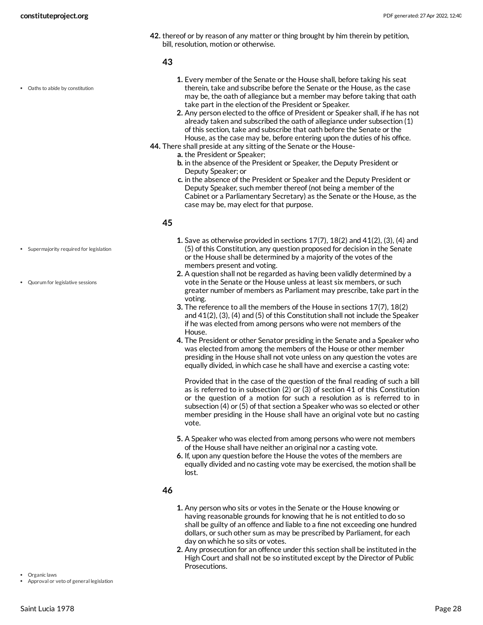Oaths to abide by constitution

**42.** thereof or by reason of any matter or thing brought by him therein by petition, bill, resolution, motion or otherwise.

#### <span id="page-27-1"></span>**43**

- **1.** Every member of the Senate or the House shall, before taking his seat therein, take and subscribe before the Senate or the House, as the case may be, the oath of allegiance but a member may before taking that oath take part in the election of the President or Speaker.
- **2.** Any person elected to the office of President or Speaker shall, if he has not already taken and subscribed the oath of allegiance under subsection (1) of this section, take and subscribe that oath before the Senate or the House, as the case may be, before entering upon the duties of his office.
- **44.** There shall preside at any sitting of the Senate or the House
	- **a.** the President or Speaker;
		- **b.** in the absence of the President or Speaker, the Deputy President or Deputy Speaker; or
		- **c.** in the absence of the President or Speaker and the Deputy President or Deputy Speaker, such member thereof (not being a member of the Cabinet or a Parliamentary Secretary) as the Senate or the House, as the case may be, may elect for that purpose.

#### <span id="page-27-2"></span>**45**

- Supermajority required for legislation
- Quorum for legislative sessions
- **1.** Save as otherwise provided in sections 17(7), 18(2) and 41(2), (3), (4) and (5) of this Constitution, any question proposed for decision in the Senate or the House shall be determined by a majority of the votes of the members present and voting.
- **2.** A question shall not be regarded as having been validly determined by a vote in the Senate or the House unless at least six members, or such greater number of members as Parliament may prescribe, take part in the voting.
- **3.** The reference to all the members of the House in sections 17(7), 18(2) and 41(2), (3), (4) and (5) of this Constitution shall not include the Speaker if he was elected from among persons who were not members of the House.
- **4.** The President or other Senator presiding in the Senate and a Speaker who was elected from among the members of the House or other member presiding in the House shall not vote unless on any question the votes are equally divided, in which case he shall have and exercise a casting vote:

Provided that in the case of the question of the final reading of such a bill as is referred to in subsection (2) or (3) of section 41 of this Constitution or the question of a motion for such a resolution as is referred to in subsection (4) or (5) of that section a Speaker who was so elected or other member presiding in the House shall have an original vote but no casting vote.

- **5.** A Speaker who was elected from among persons who were not members of the House shall have neither an original nor a casting vote.
- **6.** If, upon any question before the House the votes of the members are equally divided and no casting vote may be exercised, the motion shall be lost.

#### **46**

- **1.** Any person who sits or votes in the Senate or the House knowing or having reasonable grounds for knowing that he is not entitled to do so shall be guilty of an offence and liable to a fine not exceeding one hundred dollars, or such other sum as may be prescribed by Parliament, for each day on which he so sits or votes.
- <span id="page-27-0"></span>**2.** Any prosecution for an offence under this section shall be instituted in the High Court and shall not be so instituted except by the Director of Public Prosecutions.

Organic laws

Approval or veto of general legislation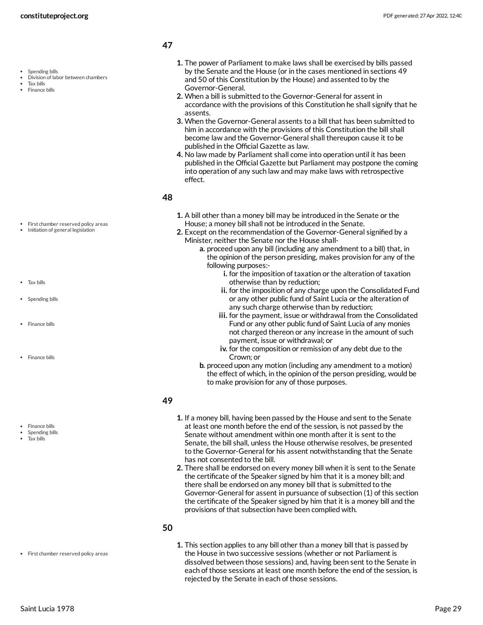- Spending bills
- Division of labor between chambers
- Tax bills
- Finance bills
- **47**
- **1.** The power of Parliament to make laws shall be exercised by bills passed by the Senate and the House (or in the cases mentioned in sections 49 and 50 of this Constitution by the House) and assented to by the Governor-General.
- **2.** When a bill is submitted to the Governor-General for assent in accordance with the provisions of this Constitution he shall signify that he assents.
- **3.** When the Governor-General assents to a bill that has been submitted to him in accordance with the provisions of this Constitution the bill shall become law and the Governor-General shall thereupon cause it to be published in the Official Gazette as law.
- **4.** No law made by Parliament shall come into operation until it has been published in the Official Gazette but Parliament may postpone the coming into operation of any such law and may make laws with retrospective effect.

#### <span id="page-28-0"></span>**48**

- **1.** A bill other than a money bill may be introduced in the Senate or the House; a money bill shall not be introduced in the Senate.
- **2.** Except on the recommendation of the Governor-General signified by a Minister, neither the Senate nor the House shall
	- **a.** proceed upon any bill (including any amendment to a bill) that, in the opinion of the person presiding, makes provision for any of the following purposes:
		- **i.** for the imposition of taxation or the alteration of taxation otherwise than by reduction;
		- **ii.** for the imposition of any charge upon the Consolidated Fund or any other public fund of Saint Lucia or the alteration of any such charge otherwise than by reduction;
		- **iii.** for the payment, issue or withdrawal from the Consolidated Fund or any other public fund of Saint Lucia of any monies not charged thereon or any increase in the amount of such payment, issue or withdrawal; or
		- **iv.** for the composition or remission of any debt due to the Crown; or
	- **b.** proceed upon any motion (including any amendment to a motion) the effect of which, in the opinion of the person presiding, would be to make provision for any of those purposes.

#### **49**

- **1.** If a money bill, having been passed by the House and sent to the Senate at least one month before the end of the session, is not passed by the Senate without amendment within one month after it is sent to the Senate, the bill shall, unless the House otherwise resolves, be presented to the Governor-General for his assent notwithstanding that the Senate has not consented to the bill.
	- **2.** There shall be endorsed on every money bill when it is sent to the Senate the certificate of the Speaker signed by him that it is a money bill; and there shall be endorsed on any money bill that is submitted to the Governor-General for assent in pursuance of subsection (1) of this section the certificate of the Speaker signed by him that it is a money bill and the provisions of that subsection have been complied with.

#### **50**

• First chamber reserved policy areas

**1.** This section applies to any bill other than a money bill that is passed by the House in two successive sessions (whether or not Parliament is dissolved between those sessions) and, having been sent to the Senate in each of those sessions at least one month before the end of the session, is rejected by the Senate in each of those sessions.

- 
- First chamber reserved policy areas
- Initiation of general legislation
- Tax bills
- Spending bills
- Finance bills
- Finance bills

Finance bills Spending bills Tax bills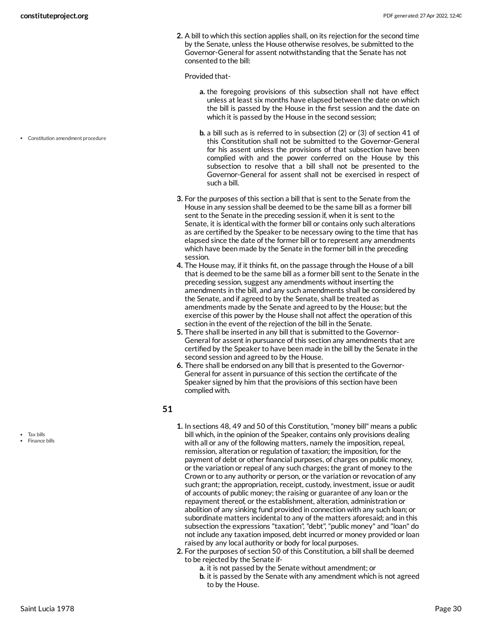Constitution amendment procedure

**2.** A bill to which this section applies shall, on its rejection for the second time by the Senate, unless the House otherwise resolves, be submitted to the Governor-General for assent notwithstanding that the Senate has not consented to the bill:

<span id="page-29-0"></span>Provided that-

- **a.** the foregoing provisions of this subsection shall not have effect unless at least six months have elapsed between the date on which the bill is passed by the House in the first session and the date on which it is passed by the House in the second session;
- **b.** a bill such as is referred to in subsection (2) or (3) of section 41 of this Constitution shall not be submitted to the Governor-General for his assent unless the provisions of that subsection have been complied with and the power conferred on the House by this subsection to resolve that a bill shall not be presented to the Governor-General for assent shall not be exercised in respect of such a bill.
- **3.** For the purposes of this section a bill that is sent to the Senate from the House in any session shall be deemed to be the same bill as a former bill sent to the Senate in the preceding session if, when it is sent to the Senate, it is identical with the former bill or contains only such alterations as are certified by the Speaker to be necessary owing to the time that has elapsed since the date of the former bill or to represent any amendments which have been made by the Senate in the former bill in the preceding session.
- **4.** The House may, if it thinks fit, on the passage through the House of a bill that is deemed to be the same bill as a former bill sent to the Senate in the preceding session, suggest any amendments without inserting the amendments in the bill, and any such amendments shall be considered by the Senate, and if agreed to by the Senate, shall be treated as amendments made by the Senate and agreed to by the House; but the exercise of this power by the House shall not affect the operation of this section in the event of the rejection of the bill in the Senate.
- **5.** There shall be inserted in any bill that is submitted to the Governor-General for assent in pursuance of this section any amendments that are certified by the Speaker to have been made in the bill by the Senate in the second session and agreed to by the House.
- **6.** There shall be endorsed on any bill that is presented to the Governor-General for assent in pursuance of this section the certificate of the Speaker signed by him that the provisions of this section have been complied with.

#### <span id="page-29-1"></span>**51**

- **1.** In sections 48, 49 and 50 of this Constitution, "money bill" means a public bill which, in the opinion of the Speaker, contains only provisions dealing with all or any of the following matters, namely the imposition, repeal, remission, alteration or regulation of taxation; the imposition, for the payment of debt or other financial purposes, of charges on public money, or the variation or repeal of any such charges; the grant of money to the Crown or to any authority or person, or the variation or revocation of any such grant; the appropriation, receipt, custody, investment, issue or audit of accounts of public money; the raising or guarantee of any loan or the repayment thereof, or the establishment, alteration, administration or abolition of any sinking fund provided in connection with any such loan; or subordinate matters incidental to any of the matters aforesaid; and in this subsection the expressions "taxation", "debt", "public money" and "loan" do not include any taxation imposed, debt incurred or money provided or loan raised by any local authority or body for local purposes.
- **2.** For the purposes of section 50 of this Constitution, a bill shall be deemed to be rejected by the Senate if
	- **a.** it is not passed by the Senate without amendment; or
	- **b.** it is passed by the Senate with any amendment which is not agreed to by the House.
- Tax bills
- Finance bills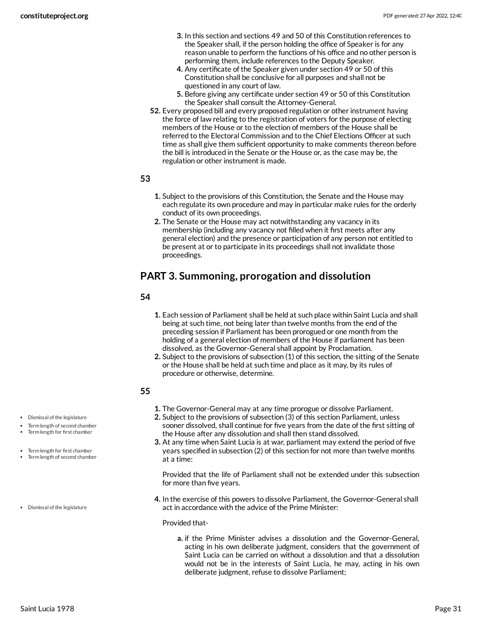- **3.** In this section and sections 49 and 50 of this Constitution references to the Speaker shall, if the person holding the office of Speaker is for any reason unable to perform the functions of his office and no other person is performing them, include references to the Deputy Speaker.
- **4.** Any certificate of the Speaker given under section 49 or 50 of this Constitution shall be conclusive for all purposes and shall not be questioned in any court of law.
- **5.** Before giving any certificate under section 49 or 50 of this Constitution the Speaker shall consult the Attorney-General.
- **52.** Every proposed bill and every proposed regulation or other instrument having the force of law relating to the registration of voters for the purpose of electing members of the House or to the election of members of the House shall be referred to the Electoral Commission and to the Chief Elections Officer at such time as shall give them sufficient opportunity to make comments thereon before the bill is introduced in the Senate or the House or, as the case may be, the regulation or other instrument is made.

#### **53**

- **1.** Subject to the provisions of this Constitution, the Senate and the House may each regulate its own procedure and may in particular make rules for the orderly conduct of its own proceedings.
- **2.** The Senate or the House may act notwithstanding any vacancy in its membership (including any vacancy not filled when it first meets after any general election) and the presence or participation of any person not entitled to be present at or to participate in its proceedings shall not invalidate those proceedings.

## <span id="page-30-0"></span>**PART 3. Summoning, prorogation and dissolution**

#### **54**

- **1.** Each session of Parliament shall be held at such place within Saint Lucia and shall being at such time, not being later than twelve months from the end of the preceding session if Parliament has been prorogued or one month from the holding of a general election of members of the House if parliament has been dissolved, as the Governor-General shall appoint by Proclamation.
- **2.** Subject to the provisions of subsection (1) of this section, the sitting of the Senate or the House shall be held at such time and place as it may, by its rules of procedure or otherwise, determine.

### <span id="page-30-1"></span>**55**

- **1.** The Governor-General may at any time prorogue or dissolve Parliament.
- **2.** Subject to the provisions of subsection (3) of this section Parliament, unless sooner dissolved, shall continue for five years from the date of the first sitting of the House after any dissolution and shall then stand dissolved.
- **3.** At any time when Saint Lucia is at war, parliament may extend the period of five years specified in subsection (2) of this section for not more than twelve months at a time:

Provided that the life of Parliament shall not be extended under this subsection for more than five years.

**4.** In the exercise of this powers to dissolve Parliament, the Governor-General shall act in accordance with the advice of the Prime Minister:

#### Provided that-

**a.** if the Prime Minister advises a dissolution and the Governor-General, acting in his own deliberate judgment, considers that the government of Saint Lucia can be carried on without a dissolution and that a dissolution would not be in the interests of Saint Lucia, he may, acting in his own deliberate judgment, refuse to dissolve Parliament;

- Dismissal of the legislature
- Term length of second chamber Term length for first chamber
- 
- Term length for first chamber Term length of second chamber
- Dismissal of the legislature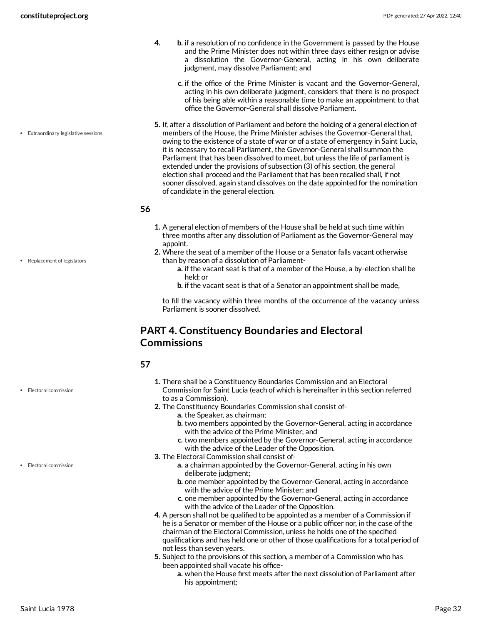- **4. b.** if a resolution of no confidence in the Government is passed by the House and the Prime Minister does not within three days either resign or advise a dissolution the Governor-General, acting in his own deliberate judgment, may dissolve Parliament; and
	- **c.** if the office of the Prime Minister is vacant and the Governor-General, acting in his own deliberate judgment, considers that there is no prospect of his being able within a reasonable time to make an appointment to that office the Governor-General shall dissolve Parliament.
- **5.** If, after a dissolution of Parliament and before the holding of a general election of members of the House, the Prime Minister advises the Governor-General that, owing to the existence of a state of war or of a state of emergency in Saint Lucia, it is necessary to recall Parliament, the Governor-General shall summon the Parliament that has been dissolved to meet, but unless the life of parliament is extended under the provisions of subsection (3) of his section, the general election shall proceed and the Parliament that has been recalled shall, if not sooner dissolved, again stand dissolves on the date appointed for the nomination of candidate in the general election.

#### <span id="page-31-2"></span>**56**

- **1.** A general election of members of the House shall be held at such time within three months after any dissolution of Parliament as the Governor-General may appoint
- **2.** Where the seat of a member of the House or a Senator falls vacant otherwise than by reason of a dissolution of Parliament
	- **a.** if the vacant seat is that of a member of the House, a by-election shall be held; or
	- **b.** if the vacant seat is that of a Senator an appointment shall be made,

to fill the vacancy within three months of the occurrence of the vacancy unless Parliament is sooner dissolved.

## <span id="page-31-0"></span>**PART 4. Constituency Boundaries and Electoral Commissions**

#### <span id="page-31-1"></span>**57**

- **1.** There shall be a Constituency Boundaries Commission and an Electoral Commission for Saint Lucia (each of which is hereinafter in this section referred to as a Commission).
- **2.** The Constituency Boundaries Commission shall consist of
	- **a.** the Speaker, as chairman;
	- **b.** two members appointed by the Governor-General, acting in accordance with the advice of the Prime Minister; and
	- **c.** two members appointed by the Governor-General, acting in accordance with the advice of the Leader of the Opposition.
- **3.** The Electoral Commission shall consist of
	- **a.** a chairman appointed by the Governor-General, acting in his own deliberate judgment;
	- **b.** one member appointed by the Governor-General, acting in accordance with the advice of the Prime Minister; and
	- **c.** one member appointed by the Governor-General, acting in accordance with the advice of the Leader of the Opposition.
- **4.** A person shall not be qualified to be appointed as a member of a Commission if he is a Senator or member of the House or a public officer nor, in the case of the chairman of the Electoral Commission, unless he holds one of the specified qualifications and has held one or other of those qualifications for a total period of not less than seven years.
- **5.** Subject to the provisions of this section, a member of a Commission who has been appointed shall vacate his office
	- **a.** when the House first meets after the next dissolution of Parliament after his appointment;

Extraordinary legislative sessions

Replacement of legislators

• Electoral commission

Electoral commission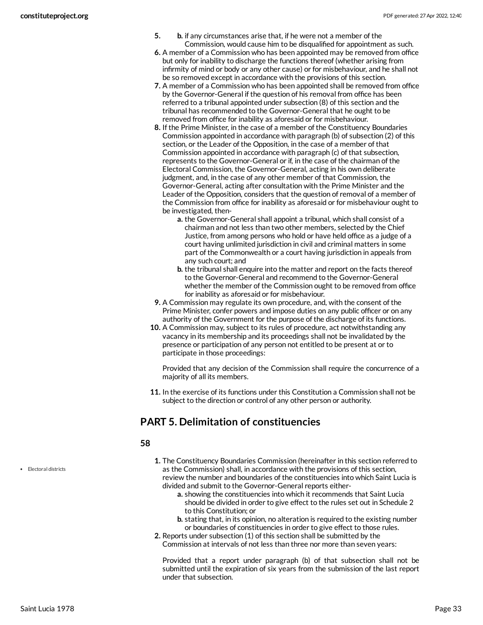- **5. b.** if any circumstances arise that, if he were not a member of the Commission, would cause him to be disqualified for appointment as such.
- **6.** A member of a Commission who has been appointed may be removed from office but only for inability to discharge the functions thereof (whether arising from infirmity of mind or body or any other cause) or for misbehaviour, and he shall not be so removed except in accordance with the provisions of this section.
- **7.** A member of a Commission who has been appointed shall be removed from office by the Governor-General if the question of his removal from office has been referred to a tribunal appointed under subsection (8) of this section and the tribunal has recommended to the Governor-General that he ought to be removed from office for inability as aforesaid or for misbehaviour.
- **8.** If the Prime Minister, in the case of a member of the Constituency Boundaries Commission appointed in accordance with paragraph (b) of subsection (2) of this section, or the Leader of the Opposition, in the case of a member of that Commission appointed in accordance with paragraph (c) of that subsection, represents to the Governor-General or if, in the case of the chairman of the Electoral Commission, the Governor-General, acting in his own deliberate judgment, and, in the case of any other member of that Commission, the Governor-General, acting after consultation with the Prime Minister and the Leader of the Opposition, considers that the question of removal of a member of the Commission from office for inability as aforesaid or for misbehaviour ought to be investigated, then
	- **a.** the Governor-General shall appoint a tribunal, which shall consist of a chairman and not less than two other members, selected by the Chief Justice, from among persons who hold or have held office as a judge of a court having unlimited jurisdiction in civil and criminal matters in some part of the Commonwealth or a court having jurisdiction in appeals from any such court; and
	- **b.** the tribunal shall enquire into the matter and report on the facts thereof to the Governor-General and recommend to the Governor-General whether the member of the Commission ought to be removed from office for inability as aforesaid or for misbehaviour.
- **9.** A Commission may regulate its own procedure, and, with the consent of the Prime Minister, confer powers and impose duties on any public officer or on any authority of the Government for the purpose of the discharge of its functions.
- **10.** A Commission may, subject to its rules of procedure, act notwithstanding any vacancy in its membership and its proceedings shall not be invalidated by the presence or participation of any person not entitled to be present at or to participate in those proceedings:

Provided that any decision of the Commission shall require the concurrence of a majority of all its members.

**11.** In the exercise of its functions under this Constitution a Commission shall not be subject to the direction or control of any other person or authority.

## <span id="page-32-0"></span>**PART 5. Delimitation of constituencies**

#### <span id="page-32-1"></span>**58**

• Electoral districts

- **1.** The Constituency Boundaries Commission (hereinafter in this section referred to as the Commission) shall, in accordance with the provisions of this section, review the number and boundaries of the constituencies into which Saint Lucia is divided and submit to the Governor-General reports either
	- **a.** showing the constituencies into which it recommends that Saint Lucia should be divided in order to give effect to the rules set out in Schedule 2 to this Constitution; or
	- **b.** stating that, in its opinion, no alteration is required to the existing number or boundaries of constituencies in order to give effect to those rules.
- **2.** Reports under subsection (1) of this section shall be submitted by the Commission at intervals of not less than three nor more than seven years:

Provided that a report under paragraph (b) of that subsection shall not be submitted until the expiration of six years from the submission of the last report under that subsection.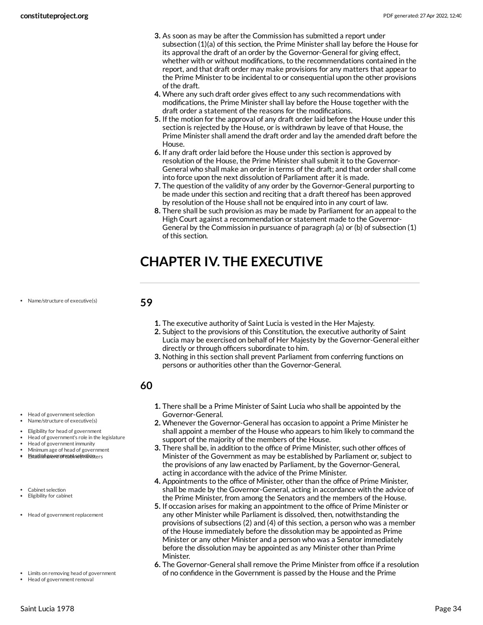- **3.** As soon as may be after the Commission has submitted a report under subsection (1)(a) of this section, the Prime Minister shall lay before the House for its approval the draft of an order by the Governor-General for giving effect, whether with or without modifications, to the recommendations contained in the report, and that draft order may make provisions for any matters that appear to the Prime Minister to be incidental to or consequential upon the other provisions of the draft.
- **4.** Where any such draft order gives effect to any such recommendations with modifications, the Prime Minister shall lay before the House together with the draft order a statement of the reasons for the modifications.
- **5.** If the motion for the approval of any draft order laid before the House under this section is rejected by the House, or is withdrawn by leave of that House, the Prime Minister shall amend the draft order and lay the amended draft before the House.
- **6.** If any draft order laid before the House under this section is approved by resolution of the House, the Prime Minister shall submit it to the Governor-General who shall make an order in terms of the draft; and that order shall come into force upon the next dissolution of Parliament after it is made.
- **7.** The question of the validity of any order by the Governor-General purporting to be made under this section and reciting that a draft thereof has been approved by resolution of the House shall not be enquired into in any court of law.
- **8.** There shall be such provision as may be made by Parliament for an appeal to the High Court against a recommendation or statement made to the Governor-General by the Commission in pursuance of paragraph (a) or (b) of subsection (1) of this section.

## <span id="page-33-0"></span>**CHAPTER IV. THE EXECUTIVE**

Name/structure of executive(s)

#### <span id="page-33-1"></span>**59**

- **1.** The executive authority of Saint Lucia is vested in the Her Majesty.
- **2.** Subject to the provisions of this Constitution, the executive authority of Saint Lucia may be exercised on behalf of Her Majesty by the Governor-General either directly or through officers subordinate to him.
- **3.** Nothing in this section shall prevent Parliament from conferring functions on persons or authorities other than the Governor-General.

## <span id="page-33-2"></span>**60**

- Head of government selection
- Name/structure of executive(s)
- Eligibility for head of government
- Head of government's role in the legislature
- Head of government immunity Minimum age of head of government
- Establish growt of reabtise leatinisters
- Cabinet selection
- Eligibility for cabinet
- Head of government replacement
- Limits on removing head of government
- Head of government removal
- **1.** There shall be a Prime Minister of Saint Lucia who shall be appointed by the Governor-General.
- **2.** Whenever the Governor-General has occasion to appoint a Prime Minister he shall appoint a member of the House who appears to him likely to command the support of the majority of the members of the House.
- **3.** There shall be, in addition to the office of Prime Minister, such other offices of Minister of the Government as may be established by Parliament or, subject to the provisions of any law enacted by Parliament, by the Governor-General, acting in accordance with the advice of the Prime Minister.
- **4.** Appointments to the office of Minister, other than the office of Prime Minister, shall be made by the Governor-General, acting in accordance with the advice of the Prime Minister, from among the Senators and the members of the House.
- **5.** If occasion arises for making an appointment to the office of Prime Minister or any other Minister while Parliament is dissolved, then, notwithstanding the provisions of subsections (2) and (4) of this section, a person who was a member of the House immediately before the dissolution may be appointed as Prime Minister or any other Minister and a person who was a Senator immediately before the dissolution may be appointed as any Minister other than Prime Minister.
- **6.** The Governor-General shall remove the Prime Minister from office if a resolution of no confidence in the Government is passed by the House and the Prime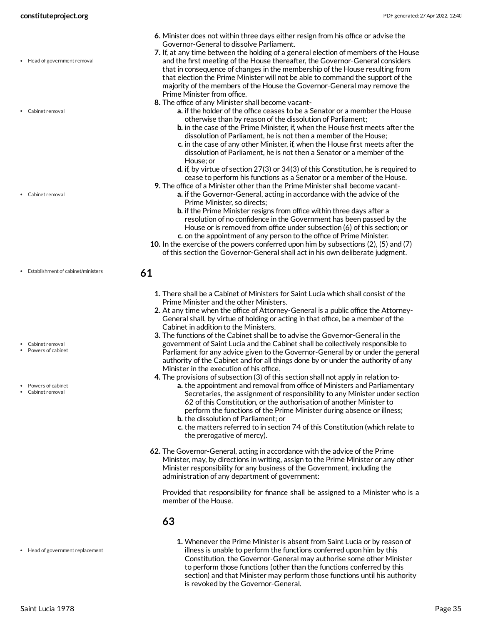- Head of government removal
- Cabinet removal

Cabinet removal

Establishment of cabinet/ministers

- Cabinet removal Powers of cabinet
- Powers of cabinet
- Cabinet removal
- **6.** Minister does not within three days either resign from his office or advise the Governor-General to dissolve Parliament.
- **7.** If, at any time between the holding of a general election of members of the House and the first meeting of the House thereafter, the Governor-General considers that in consequence of changes in the membership of the House resulting from that election the Prime Minister will not be able to command the support of the majority of the members of the House the Governor-General may remove the Prime Minister from office.
- **8.** The office of any Minister shall become vacant
	- **a.** if the holder of the office ceases to be a Senator or a member the House otherwise than by reason of the dissolution of Parliament;
	- **b.** in the case of the Prime Minister, if, when the House first meets after the dissolution of Parliament, he is not then a member of the House;
	- **c.** in the case of any other Minister, if, when the House first meets after the dissolution of Parliament, he is not then a Senator or a member of the House; or
	- **d.** if, by virtue of section 27(3) or 34(3) of this Constitution, he is required to cease to perform his functions as a Senator or a member of the House.
- **9.** The office of a Minister other than the Prime Minister shall become vacant
	- **a.** if the Governor-General, acting in accordance with the advice of the Prime Minister, so directs;
	- **b.** if the Prime Minister resigns from office within three days after a resolution of no confidence in the Government has been passed by the House or is removed from office under subsection (6) of this section; or **c.** on the appointment of any person to the office of Prime Minister.
- **10.** In the exercise of the powers conferred upon him by subsections (2), (5) and (7) of this section the Governor-General shall act in his own deliberate judgment.
- <span id="page-34-0"></span>**61**
	- **1.** There shall be a Cabinet of Ministers for Saint Lucia which shall consist of the Prime Minister and the other Ministers.
	- **2.** At any time when the office of Attorney-General is a public office the Attorney-General shall, by virtue of holding or acting in that office, be a member of the Cabinet in addition to the Ministers.
	- **3.** The functions of the Cabinet shall be to advise the Governor-General in the government of Saint Lucia and the Cabinet shall be collectively responsible to Parliament for any advice given to the Governor-General by or under the general authority of the Cabinet and for all things done by or under the authority of any Minister in the execution of his office.
	- **4.** The provisions of subsection (3) of this section shall not apply in relation to
		- **a.** the appointment and removal from office of Ministers and Parliamentary Secretaries, the assignment of responsibility to any Minister under section 62 of this Constitution, or the authorisation of another Minister to perform the functions of the Prime Minister during absence or illness;
			- **b.** the dissolution of Parliament; or
			- **c.** the matters referred to in section 74 of this Constitution (which relate to the prerogative of mercy).
	- **62.** The Governor-General, acting in accordance with the advice of the Prime Minister, may, by directions in writing, assign to the Prime Minister or any other Minister responsibility for any business of the Government, including the administration of any department of government:

Provided that responsibility for finance shall be assigned to a Minister who is a member of the House.

### <span id="page-34-1"></span>**63**

Head of government replacement

**1.** Whenever the Prime Minister is absent from Saint Lucia or by reason of illness is unable to perform the functions conferred upon him by this Constitution, the Governor-General may authorise some other Minister to perform those functions (other than the functions conferred by this section) and that Minister may perform those functions until his authority is revoked by the Governor-General.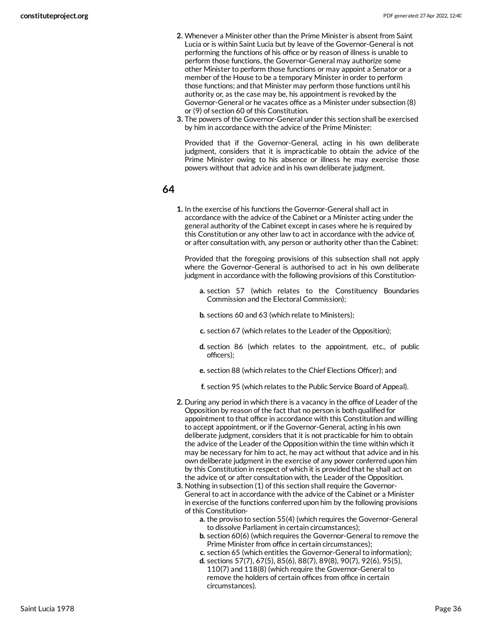- **2.** Whenever a Minister other than the Prime Minister is absent from Saint Lucia or is within Saint Lucia but by leave of the Governor-General is not performing the functions of his office or by reason of illness is unable to perform those functions, the Governor-General may authorize some other Minister to perform those functions or may appoint a Senator or a member of the House to be a temporary Minister in order to perform those functions; and that Minister may perform those functions until his authority or, as the case may be, his appointment is revoked by the Governor-General or he vacates office as a Minister under subsection (8) or (9) of section 60 of this Constitution.
- **3.** The powers of the Governor-General under this section shall be exercised by him in accordance with the advice of the Prime Minister:

Provided that if the Governor-General, acting in his own deliberate judgment, considers that it is impracticable to obtain the advice of the Prime Minister owing to his absence or illness he may exercise those powers without that advice and in his own deliberate judgment.

#### <span id="page-35-0"></span>**64**

**1.** In the exercise of his functions the Governor-General shall act in accordance with the advice of the Cabinet or a Minister acting under the general authority of the Cabinet except in cases where he is required by this Constitution or any other law to act in accordance with the advice of, or after consultation with, any person or authority other than the Cabinet:

Provided that the foregoing provisions of this subsection shall not apply where the Governor-General is authorised to act in his own deliberate judgment in accordance with the following provisions of this Constitution-

- **a.** section 57 (which relates to the Constituency Boundaries Commission and the Electoral Commission);
- **b.** sections 60 and 63 (which relate to Ministers);
- **c.** section 67 (which relates to the Leader of the Opposition);
- **d.** section 86 (which relates to the appointment, etc., of public officers);
- **e.** section 88 (which relates to the Chief Elections Officer); and
- **f.** section 95 (which relates to the Public Service Board of Appeal).
- **2.** During any period in which there is a vacancy in the office of Leader of the Opposition by reason of the fact that no person is both qualified for appointment to that office in accordance with this Constitution and willing to accept appointment, or if the Governor-General, acting in his own deliberate judgment, considers that it is not practicable for him to obtain the advice of the Leader of the Opposition within the time within which it may be necessary for him to act, he may act without that advice and in his own deliberate judgment in the exercise of any power conferred upon him by this Constitution in respect of which it is provided that he shall act on the advice of, or after consultation with, the Leader of the Opposition.
- **3.** Nothing in subsection (1) of this section shall require the Governor-General to act in accordance with the advice of the Cabinet or a Minister in exercise of the functions conferred upon him by the following provisions of this Constitution
	- **a.** the proviso to section 55(4) (which requires the Governor-General to dissolve Parliament in certain circumstances);
	- **b.** section 60(6) (which requires the Governor-General to remove the Prime Minister from office in certain circumstances);
	- **c.** section 65 (which entitles the Governor-General to information);
	- **d.** sections 57(7), 67(5), 85(6), 88(7), 89(8), 90(7), 92(6), 95(5), 110(7) and 118(8) (which require the Governor-General to remove the holders of certain offices from office in certain circumstances).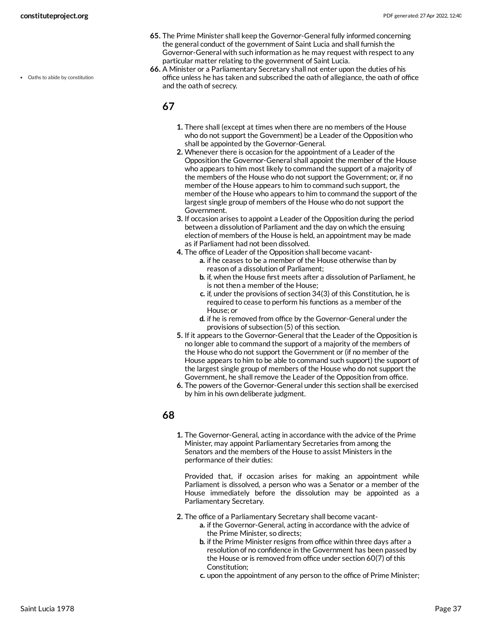- **65.** The Prime Minister shall keep the Governor-General fully informed concerning the general conduct of the government of Saint Lucia and shall furnish the Governor-General with such information as he may request with respect to any particular matter relating to the government of Saint Lucia.
- **66.** A Minister or a Parliamentary Secretary shall not enter upon the duties of his office unless he has taken and subscribed the oath of allegiance, the oath of office and the oath of secrecy.

### <span id="page-36-0"></span>**67**

- **1.** There shall (except at times when there are no members of the House who do not support the Government) be a Leader of the Opposition who shall be appointed by the Governor-General.
- **2.** Whenever there is occasion for the appointment of a Leader of the Opposition the Governor-General shall appoint the member of the House who appears to him most likely to command the support of a majority of the members of the House who do not support the Government; or, if no member of the House appears to him to command such support, the member of the House who appears to him to command the support of the largest single group of members of the House who do not support the Government.
- **3.** If occasion arises to appoint a Leader of the Opposition during the period between a dissolution of Parliament and the day on which the ensuing election of members of the House is held, an appointment may be made as if Parliament had not been dissolved.
- **4.** The office of Leader of the Opposition shall become vacant
	- **a.** if he ceases to be a member of the House otherwise than by reason of a dissolution of Parliament;
	- **b.** if, when the House first meets after a dissolution of Parliament, he is not then a member of the House;
	- **c.** if, under the provisions of section 34(3) of this Constitution, he is required to cease to perform his functions as a member of the House; or
	- **d.** if he is removed from office by the Governor-General under the provisions of subsection (5) of this section.
- **5.** If it appears to the Governor-General that the Leader of the Opposition is no longer able to command the support of a majority of the members of the House who do not support the Government or (if no member of the House appears to him to be able to command such support) the support of the largest single group of members of the House who do not support the Government, he shall remove the Leader of the Opposition from office.
- **6.** The powers of the Governor-General under this section shall be exercised by him in his own deliberate judgment.

## <span id="page-36-1"></span>**68**

**1.** The Governor-General, acting in accordance with the advice of the Prime Minister, may appoint Parliamentary Secretaries from among the Senators and the members of the House to assist Ministers in the performance of their duties:

Provided that, if occasion arises for making an appointment while Parliament is dissolved, a person who was a Senator or a member of the House immediately before the dissolution may be appointed as a Parliamentary Secretary.

- **2.** The office of a Parliamentary Secretary shall become vacant
	- **a.** if the Governor-General, acting in accordance with the advice of the Prime Minister, so directs;
	- **b.** if the Prime Minister resigns from office within three days after a resolution of no confidence in the Government has been passed by the House or is removed from office under section 60(7) of this Constitution;
	- **c.** upon the appointment of any person to the office of Prime Minister;

Oaths to abide by constitution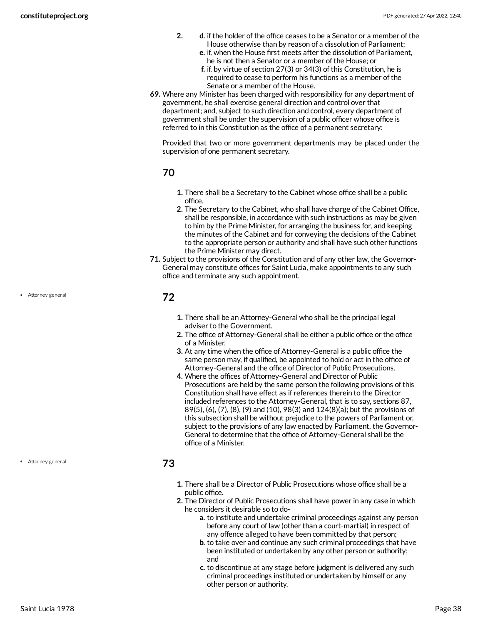- **2. d.** if the holder of the office ceases to be a Senator or a member of the House otherwise than by reason of a dissolution of Parliament;
	- **e.** if, when the House first meets after the dissolution of Parliament, he is not then a Senator or a member of the House; or
	- **f.** if, by virtue of section 27(3) or 34(3) of this Constitution, he is required to cease to perform his functions as a member of the Senate or a member of the House.
- **69.** Where any Minister has been charged with responsibility for any department of government, he shall exercise general direction and control over that department; and, subject to such direction and control, every department of government shall be under the supervision of a public officer whose office is referred to in this Constitution as the office of a permanent secretary:

Provided that two or more government departments may be placed under the supervision of one permanent secretary.

## <span id="page-37-0"></span>**70**

- **1.** There shall be a Secretary to the Cabinet whose office shall be a public office.
- **2.** The Secretary to the Cabinet, who shall have charge of the Cabinet Office, shall be responsible, in accordance with such instructions as may be given to him by the Prime Minister, for arranging the business for, and keeping the minutes of the Cabinet and for conveying the decisions of the Cabinet to the appropriate person or authority and shall have such other functions the Prime Minister may direct.
- **71.** Subject to the provisions of the Constitution and of any other law, the Governor-General may constitute offices for Saint Lucia, make appointments to any such office and terminate any such appointment.

### <span id="page-37-1"></span>**72**

- **1.** There shall be an Attorney-General who shall be the principal legal adviser to the Government.
- **2.** The office of Attorney-General shall be either a public office or the office of a Minister.
- **3.** At any time when the office of Attorney-General is a public office the same person may, if qualified, be appointed to hold or act in the office of Attorney-General and the office of Director of Public Prosecutions.
- **4.** Where the offices of Attorney-General and Director of Public Prosecutions are held by the same person the following provisions of this Constitution shall have effect as if references therein to the Director included references to the Attorney-General, that is to say, sections 87, 89(5), (6), (7), (8), (9) and (10), 98(3) and 124(8)(a); but the provisions of this subsection shall be without prejudice to the powers of Parliament or, subject to the provisions of any law enacted by Parliament, the Governor-General to determine that the office of Attorney-General shall be the office of a Minister.

### <span id="page-37-2"></span>**73**

- **1.** There shall be a Director of Public Prosecutions whose office shall be a public office.
- **2.** The Director of Public Prosecutions shall have power in any case in which he considers it desirable so to do
	- **a.** to institute and undertake criminal proceedings against any person before any court of law (other than a court-martial) in respect of any offence alleged to have been committed by that person;
	- **b.** to take over and continue any such criminal proceedings that have been instituted or undertaken by any other person or authority; and
	- **c.** to discontinue at any stage before judgment is delivered any such criminal proceedings instituted or undertaken by himself or any other person or authority.

Attorney general

Attorney general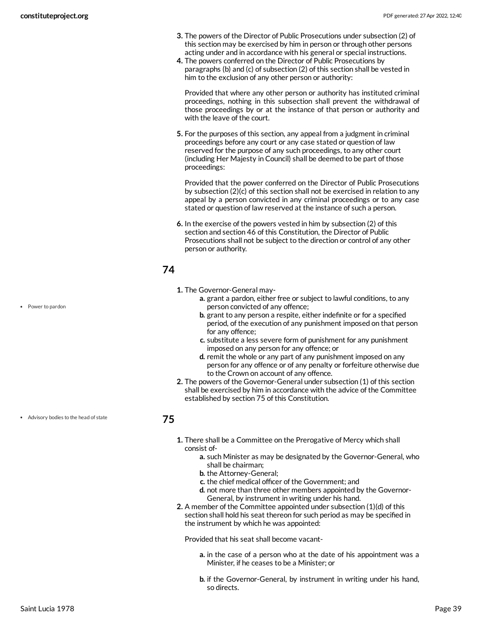- **3.** The powers of the Director of Public Prosecutions under subsection (2) of this section may be exercised by him in person or through other persons acting under and in accordance with his general or special instructions.
- **4.** The powers conferred on the Director of Public Prosecutions by paragraphs (b) and (c) of subsection (2) of this section shall be vested in him to the exclusion of any other person or authority:

Provided that where any other person or authority has instituted criminal proceedings, nothing in this subsection shall prevent the withdrawal of those proceedings by or at the instance of that person or authority and with the leave of the court.

**5.** For the purposes of this section, any appeal from a judgment in criminal proceedings before any court or any case stated or question of law reserved for the purpose of any such proceedings, to any other court (including Her Majesty in Council) shall be deemed to be part of those proceedings:

Provided that the power conferred on the Director of Public Prosecutions by subsection (2)(c) of this section shall not be exercised in relation to any appeal by a person convicted in any criminal proceedings or to any case stated or question of law reserved at the instance of such a person.

**6.** In the exercise of the powers vested in him by subsection (2) of this section and section 46 of this Constitution, the Director of Public Prosecutions shall not be subject to the direction or control of any other person or authority.

### <span id="page-38-0"></span>**74**

**1.** The Governor-General may-

- **a.** grant a pardon, either free or subject to lawful conditions, to any person convicted of any offence;
- **b.** grant to any person a respite, either indefinite or for a specified period, of the execution of any punishment imposed on that person for any offence;
- **c.** substitute a less severe form of punishment for any punishment imposed on any person for any offence; or
- **d.** remit the whole or any part of any punishment imposed on any person for any offence or of any penalty or forfeiture otherwise due to the Crown on account of any offence.
- **2.** The powers of the Governor-General under subsection (1) of this section shall be exercised by him in accordance with the advice of the Committee established by section 75 of this Constitution.

### <span id="page-38-1"></span>**75**

- **1.** There shall be a Committee on the Prerogative of Mercy which shall consist of
	- **a.** such Minister as may be designated by the Governor-General, who shall be chairman;
	- **b.** the Attorney-General;
	- **c.** the chief medical officer of the Government; and
	- **d.** not more than three other members appointed by the Governor-General, by instrument in writing under his hand.
- **2.** A member of the Committee appointed under subsection (1)(d) of this section shall hold his seat thereon for such period as may be specified in the instrument by which he was appointed:

Provided that his seat shall become vacant-

- **a.** in the case of a person who at the date of his appointment was a Minister, if he ceases to be a Minister; or
- **b.** if the Governor-General, by instrument in writing under his hand, so directs.

• Power to pardon

• Advisory bodies to the head of state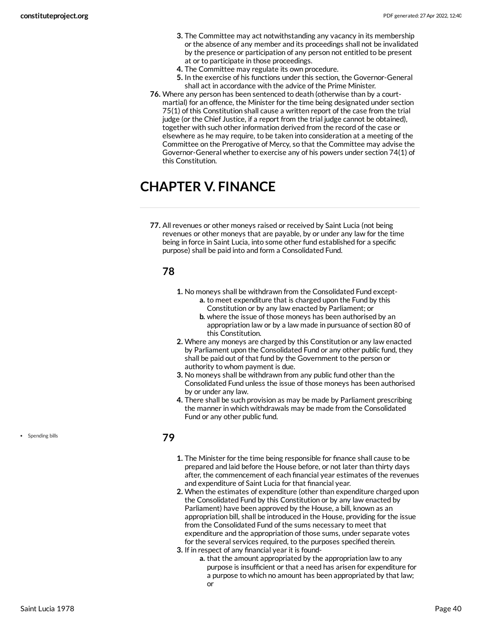- **3.** The Committee may act notwithstanding any vacancy in its membership or the absence of any member and its proceedings shall not be invalidated by the presence or participation of any person not entitled to be present at or to participate in those proceedings.
- **4.** The Committee may regulate its own procedure.
- **5.** In the exercise of his functions under this section, the Governor-General shall act in accordance with the advice of the Prime Minister.
- **76.** Where any person has been sentenced to death (otherwise than by a court
	- martial) for an offence, the Minister for the time being designated under section 75(1) of this Constitution shall cause a written report of the case from the trial judge (or the Chief Justice, if a report from the trial judge cannot be obtained), together with such other information derived from the record of the case or elsewhere as he may require, to be taken into consideration at a meeting of the Committee on the Prerogative of Mercy, so that the Committee may advise the Governor-General whether to exercise any of his powers under section 74(1) of this Constitution.

## <span id="page-39-0"></span>**CHAPTER V. FINANCE**

**77.** All revenues or other moneys raised or received by Saint Lucia (not being revenues or other moneys that are payable, by or under any law for the time being in force in Saint Lucia, into some other fund established for a specific purpose) shall be paid into and form a Consolidated Fund.

## <span id="page-39-1"></span>**78**

- **1.** No moneys shall be withdrawn from the Consolidated Fund except**a.** to meet expenditure that is charged upon the Fund by this
	- Constitution or by any law enacted by Parliament; or
	- **b.** where the issue of those moneys has been authorised by an appropriation law or by a law made in pursuance of section 80 of this Constitution.
- **2.** Where any moneys are charged by this Constitution or any law enacted by Parliament upon the Consolidated Fund or any other public fund, they shall be paid out of that fund by the Government to the person or authority to whom payment is due.
- **3.** No moneys shall be withdrawn from any public fund other than the Consolidated Fund unless the issue of those moneys has been authorised by or under any law.
- **4.** There shall be such provision as may be made by Parliament prescribing the manner in which withdrawals may be made from the Consolidated Fund or any other public fund.

## <span id="page-39-2"></span>**79**

- **1.** The Minister for the time being responsible for finance shall cause to be prepared and laid before the House before, or not later than thirty days after, the commencement of each financial year estimates of the revenues and expenditure of Saint Lucia for that financial year.
- **2.** When the estimates of expenditure (other than expenditure charged upon the Consolidated Fund by this Constitution or by any law enacted by Parliament) have been approved by the House, a bill, known as an appropriation bill, shall be introduced in the House, providing for the issue from the Consolidated Fund of the sums necessary to meet that expenditure and the appropriation of those sums, under separate votes for the several services required, to the purposes specified therein. **3.** If in respect of any financial year it is found
	- **a.** that the amount appropriated by the appropriation law to any purpose is insufficient or that a need has arisen for expenditure for a purpose to which no amount has been appropriated by that law; or

• Spending bills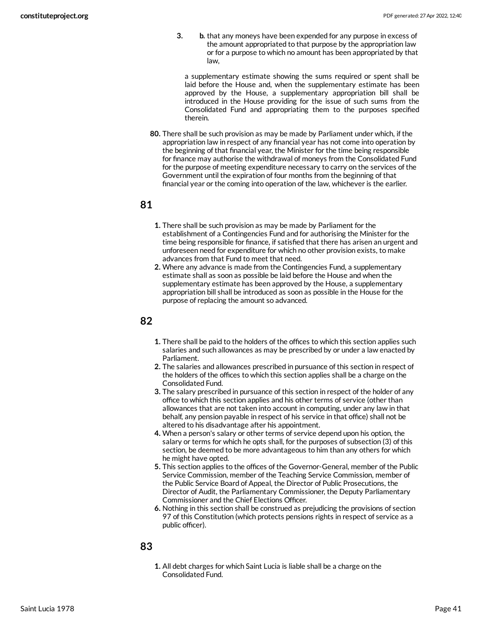**3. b.** that any moneys have been expended for any purpose in excess of the amount appropriated to that purpose by the appropriation law or for a purpose to which no amount has been appropriated by that law,

a supplementary estimate showing the sums required or spent shall be laid before the House and, when the supplementary estimate has been approved by the House, a supplementary appropriation bill shall be introduced in the House providing for the issue of such sums from the Consolidated Fund and appropriating them to the purposes specified therein.

**80.** There shall be such provision as may be made by Parliament under which, if the appropriation law in respect of any financial year has not come into operation by the beginning of that financial year, the Minister for the time being responsible for finance may authorise the withdrawal of moneys from the Consolidated Fund for the purpose of meeting expenditure necessary to carry on the services of the Government until the expiration of four months from the beginning of that financial year or the coming into operation of the law, whichever is the earlier.

### <span id="page-40-0"></span>**81**

- **1.** There shall be such provision as may be made by Parliament for the establishment of a Contingencies Fund and for authorising the Minister for the time being responsible for finance, if satisfied that there has arisen an urgent and unforeseen need for expenditure for which no other provision exists, to make advances from that Fund to meet that need.
- **2.** Where any advance is made from the Contingencies Fund, a supplementary estimate shall as soon as possible be laid before the House and when the supplementary estimate has been approved by the House, a supplementary appropriation bill shall be introduced as soon as possible in the House for the purpose of replacing the amount so advanced.

### <span id="page-40-1"></span>**82**

- **1.** There shall be paid to the holders of the offices to which this section applies such salaries and such allowances as may be prescribed by or under a law enacted by Parliament.
- **2.** The salaries and allowances prescribed in pursuance of this section in respect of the holders of the offices to which this section applies shall be a charge on the Consolidated Fund.
- **3.** The salary prescribed in pursuance of this section in respect of the holder of any office to which this section applies and his other terms of service (other than allowances that are not taken into account in computing, under any law in that behalf, any pension payable in respect of his service in that office) shall not be altered to his disadvantage after his appointment.
- **4.** When a person's salary or other terms of service depend upon his option, the salary or terms for which he opts shall, for the purposes of subsection (3) of this section, be deemed to be more advantageous to him than any others for which he might have opted.
- **5.** This section applies to the offices of the Governor-General, member of the Public Service Commission, member of the Teaching Service Commission, member of the Public Service Board of Appeal, the Director of Public Prosecutions, the Director of Audit, the Parliamentary Commissioner, the Deputy Parliamentary Commissioner and the Chief Elections Officer.
- **6.** Nothing in this section shall be construed as prejudicing the provisions of section 97 of this Constitution (which protects pensions rights in respect of service as a public officer).

### <span id="page-40-2"></span>**83**

**1.** All debt charges for which Saint Lucia is liable shall be a charge on the Consolidated Fund.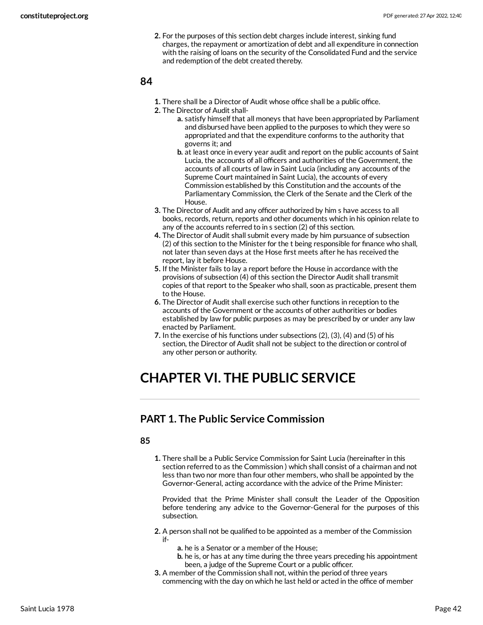**2.** For the purposes of this section debt charges include interest, sinking fund charges, the repayment or amortization of debt and all expenditure in connection with the raising of loans on the security of the Consolidated Fund and the service and redemption of the debt created thereby.

#### <span id="page-41-0"></span>**84**

- **1.** There shall be a Director of Audit whose office shall be a public office.
- **2.** The Director of Audit shall
	- **a.** satisfy himself that all moneys that have been appropriated by Parliament and disbursed have been applied to the purposes to which they were so appropriated and that the expenditure conforms to the authority that governs it; and
	- **b.** at least once in every year audit and report on the public accounts of Saint Lucia, the accounts of all officers and authorities of the Government, the accounts of all courts of law in Saint Lucia (including any accounts of the Supreme Court maintained in Saint Lucia), the accounts of every Commission established by this Constitution and the accounts of the Parliamentary Commission, the Clerk of the Senate and the Clerk of the House.
- **3.** The Director of Audit and any officer authorized by him s have access to all books, records, return, reports and other documents which in his opinion relate to any of the accounts referred to in s section (2) of this section.
- **4.** The Director of Audit shall submit every made by him pursuance of subsection (2) of this section to the Minister for the t being responsible for finance who shall, not later than seven days at the Hose first meets after he has received the report, lay it before House.
- **5.** If the Minister fails to lay a report before the House in accordance with the provisions of subsection (4) of this section the Director Audit shall transmit copies of that report to the Speaker who shall, soon as practicable, present them to the House.
- **6.** The Director of Audit shall exercise such other functions in reception to the accounts of the Government or the accounts of other authorities or bodies established by law for public purposes as may be prescribed by or under any law enacted by Parliament.
- **7.** In the exercise of his functions under subsections (2), (3), (4) and (5) of his section, the Director of Audit shall not be subject to the direction or control of any other person or authority.

## <span id="page-41-1"></span>**CHAPTER VI. THE PUBLIC SERVICE**

## <span id="page-41-2"></span>**PART 1. The Public Service Commission**

#### <span id="page-41-3"></span>**85**

**1.** There shall be a Public Service Commission for Saint Lucia (hereinafter in this section referred to as the Commission ) which shall consist of a chairman and not less than two nor more than four other members, who shall be appointed by the Governor-General, acting accordance with the advice of the Prime Minister:

Provided that the Prime Minister shall consult the Leader of the Opposition before tendering any advice to the Governor-General for the purposes of this subsection.

- **2.** A person shall not be qualified to be appointed as a member of the Commission if
	- **a.** he is a Senator or a member of the House;
	- **b.** he is, or has at any time during the three years preceding his appointment been, a judge of the Supreme Court or a public officer.
- **3.** A member of the Commission shall not, within the period of three years commencing with the day on which he last held or acted in the office of member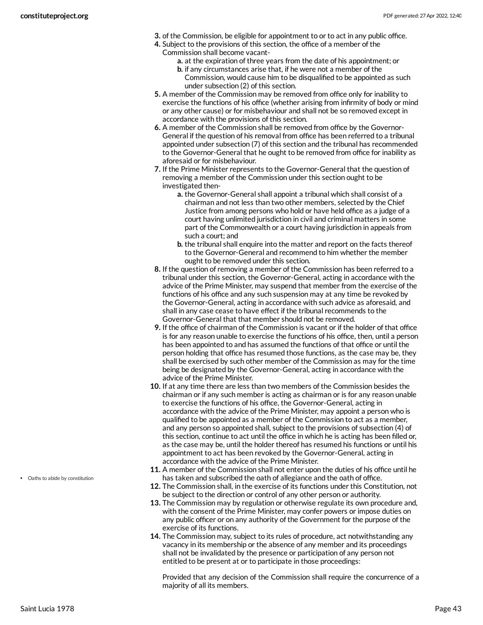- **3.** of the Commission, be eligible for appointment to or to act in any public office.
- **4.** Subject to the provisions of this section, the office of a member of the Commission shall become vacant
	- **a.** at the expiration of three years from the date of his appointment; or
	- **b.** if any circumstances arise that, if he were not a member of the Commission, would cause him to be disqualified to be appointed as such under subsection (2) of this section.
- **5.** A member of the Commission may be removed from office only for inability to exercise the functions of his office (whether arising from infirmity of body or mind or any other cause) or for misbehaviour and shall not be so removed except in accordance with the provisions of this section.
- **6.** A member of the Commission shall be removed from office by the Governor-General if the question of his removal from office has been referred to a tribunal appointed under subsection (7) of this section and the tribunal has recommended to the Governor-General that he ought to be removed from office for inability as aforesaid or for misbehaviour.
- **7.** If the Prime Minister represents to the Governor-General that the question of removing a member of the Commission under this section ought to be investigated then
	- **a.** the Governor-General shall appoint a tribunal which shall consist of a chairman and not less than two other members, selected by the Chief Justice from among persons who hold or have held office as a judge of a court having unlimited jurisdiction in civil and criminal matters in some part of the Commonwealth or a court having jurisdiction in appeals from such a court; and
	- **b.** the tribunal shall enquire into the matter and report on the facts thereof to the Governor-General and recommend to him whether the member ought to be removed under this section.
- **8.** If the question of removing a member of the Commission has been referred to a tribunal under this section, the Governor-General, acting in accordance with the advice of the Prime Minister, may suspend that member from the exercise of the functions of his office and any such suspension may at any time be revoked by the Governor-General, acting in accordance with such advice as aforesaid, and shall in any case cease to have effect if the tribunal recommends to the Governor-General that that member should not be removed.
- **9.** If the office of chairman of the Commission is vacant or if the holder of that office is for any reason unable to exercise the functions of his office, then, until a person has been appointed to and has assumed the functions of that office or until the person holding that office has resumed those functions, as the case may be, they shall be exercised by such other member of the Commission as may for the time being be designated by the Governor-General, acting in accordance with the advice of the Prime Minister.
- **10.** If at any time there are less than two members of the Commission besides the chairman or if any such member is acting as chairman or is for any reason unable to exercise the functions of his office, the Governor-General, acting in accordance with the advice of the Prime Minister, may appoint a person who is qualified to be appointed as a member of the Commission to act as a member, and any person so appointed shall, subject to the provisions of subsection (4) of this section, continue to act until the office in which he is acting has been filled or, as the case may be, until the holder thereof has resumed his functions or until his appointment to act has been revoked by the Governor-General, acting in accordance with the advice of the Prime Minister.
- **11.** A member of the Commission shall not enter upon the duties of his office until he has taken and subscribed the oath of allegiance and the oath of office.
- **12.** The Commission shall, in the exercise of its functions under this Constitution, not be subject to the direction or control of any other person or authority.
- **13.** The Commission may by regulation or otherwise regulate its own procedure and, with the consent of the Prime Minister, may confer powers or impose duties on any public officer or on any authority of the Government for the purpose of the exercise of its functions.
- **14.** The Commission may, subject to its rules of procedure, act notwithstanding any vacancy in its membership or the absence of any member and its proceedings shall not be invalidated by the presence or participation of any person not entitled to be present at or to participate in those proceedings:

Provided that any decision of the Commission shall require the concurrence of a majority of all its members.

Oaths to abide by constitution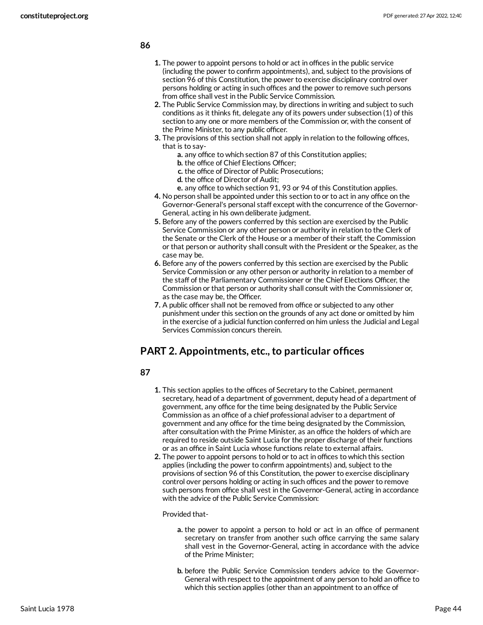**86**

- **1.** The power to appoint persons to hold or act in offices in the public service (including the power to confirm appointments), and, subject to the provisions of section 96 of this Constitution, the power to exercise disciplinary control over persons holding or acting in such offices and the power to remove such persons from office shall vest in the Public Service Commission.
- **2.** The Public Service Commission may, by directions in writing and subject to such conditions as it thinks fit, delegate any of its powers under subsection (1) of this section to any one or more members of the Commission or, with the consent of the Prime Minister, to any public officer.
- **3.** The provisions of this section shall not apply in relation to the following offices, that is to say
	- **a.** any office to which section 87 of this Constitution applies;
	- **b.** the office of Chief Elections Officer;
	- **c.** the office of Director of Public Prosecutions;
	- **d.** the office of Director of Audit;
	- **e.** any office to which section 91, 93 or 94 of this Constitution applies.
- **4.** No person shall be appointed under this section to or to act in any office on the Governor-General's personal staff except with the concurrence of the Governor-General, acting in his own deliberate judgment.
- **5.** Before any of the powers conferred by this section are exercised by the Public Service Commission or any other person or authority in relation to the Clerk of the Senate or the Clerk of the House or a member of their staff, the Commission or that person or authority shall consult with the President or the Speaker, as the case may be.
- **6.** Before any of the powers conferred by this section are exercised by the Public Service Commission or any other person or authority in relation to a member of the staff of the Parliamentary Commissioner or the Chief Elections Officer, the Commission or that person or authority shall consult with the Commissioner or, as the case may be, the Officer.
- **7.** A public officer shall not be removed from office or subjected to any other punishment under this section on the grounds of any act done or omitted by him in the exercise of a judicial function conferred on him unless the Judicial and Legal Services Commission concurs therein.

## <span id="page-43-0"></span>**PART 2. Appointments, etc., to particular offices**

#### **87**

- **1.** This section applies to the offices of Secretary to the Cabinet, permanent secretary, head of a department of government, deputy head of a department of government, any office for the time being designated by the Public Service Commission as an office of a chief professional adviser to a department of government and any office for the time being designated by the Commission, after consultation with the Prime Minister, as an office the holders of which are required to reside outside Saint Lucia for the proper discharge of their functions or as an office in Saint Lucia whose functions relate to external affairs.
- **2.** The power to appoint persons to hold or to act in offices to which this section applies (including the power to confirm appointments) and, subject to the provisions of section 96 of this Constitution, the power to exercise disciplinary control over persons holding or acting in such offices and the power to remove such persons from office shall vest in the Governor-General, acting in accordance with the advice of the Public Service Commission:

#### <span id="page-43-1"></span>Provided that-

- **a.** the power to appoint a person to hold or act in an office of permanent secretary on transfer from another such office carrying the same salary shall vest in the Governor-General, acting in accordance with the advice of the Prime Minister;
- **b.** before the Public Service Commission tenders advice to the Governor-General with respect to the appointment of any person to hold an office to which this section applies (other than an appointment to an office of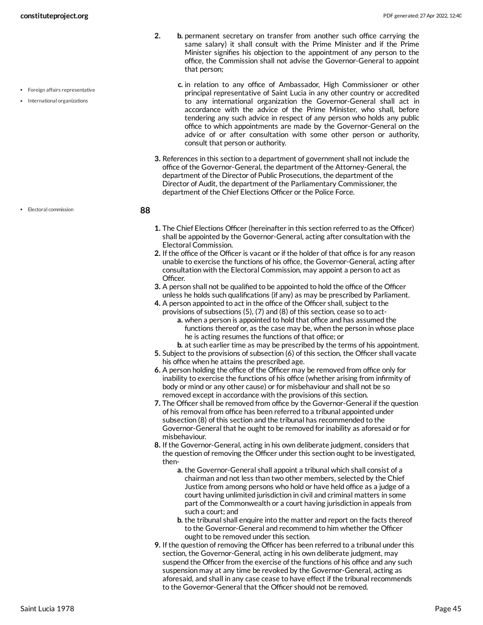- Foreign affairs representative
- International organizations

• Flectoral commission

- **2. b.** permanent secretary on transfer from another such office carrying the same salary) it shall consult with the Prime Minister and if the Prime Minister signifies his objection to the appointment of any person to the office, the Commission shall not advise the Governor-General to appoint that person;
	- **c.** in relation to any office of Ambassador, High Commissioner or other principal representative of Saint Lucia in any other country or accredited to any international organization the Governor-General shall act in accordance with the advice of the Prime Minister, who shall, before tendering any such advice in respect of any person who holds any public office to which appointments are made by the Governor-General on the advice of or after consultation with some other person or authority, consult that person or authority.
- **3.** References in this section to a department of government shall not include the office of the Governor-General, the department of the Attorney-General, the department of the Director of Public Prosecutions, the department of the Director of Audit, the department of the Parliamentary Commissioner, the department of the Chief Elections Officer or the Police Force.

<span id="page-44-0"></span>**88**

- **1.** The Chief Elections Officer (hereinafter in this section referred to as the Officer) shall be appointed by the Governor-General, acting after consultation with the Electoral Commission.
- **2.** If the office of the Officer is vacant or if the holder of that office is for any reason unable to exercise the functions of his office, the Governor-General, acting after consultation with the Electoral Commission, may appoint a person to act as Officer.
- **3.** A person shall not be qualified to be appointed to hold the office of the Officer unless he holds such qualifications (if any) as may be prescribed by Parliament.
- **4.** A person appointed to act in the office of the Officer shall, subject to the provisions of subsections (5), (7) and (8) of this section, cease so to act
	- **a.** when a person is appointed to hold that office and has assumed the functions thereof or, as the case may be, when the person in whose place he is acting resumes the functions of that office; or
	- **b.** at such earlier time as may be prescribed by the terms of his appointment.
- **5.** Subject to the provisions of subsection (6) of this section, the Officer shall vacate his office when he attains the prescribed age.
- **6.** A person holding the office of the Officer may be removed from office only for inability to exercise the functions of his office (whether arising from infirmity of body or mind or any other cause) or for misbehaviour and shall not be so removed except in accordance with the provisions of this section.
- **7.** The Officer shall be removed from office by the Governor-General if the question of his removal from office has been referred to a tribunal appointed under subsection (8) of this section and the tribunal has recommended to the Governor-General that he ought to be removed for inability as aforesaid or for misbehaviour.
- **8.** If the Governor-General, acting in his own deliberate judgment, considers that the question of removing the Officer under this section ought to be investigated, then
	- **a.** the Governor-General shall appoint a tribunal which shall consist of a chairman and not less than two other members, selected by the Chief Justice from among persons who hold or have held office as a judge of a court having unlimited jurisdiction in civil and criminal matters in some part of the Commonwealth or a court having jurisdiction in appeals from such a court; and
	- **b.** the tribunal shall enquire into the matter and report on the facts thereof to the Governor-General and recommend to him whether the Officer ought to be removed under this section.
- **9.** If the question of removing the Officer has been referred to a tribunal under this section, the Governor-General, acting in his own deliberate judgment, may suspend the Officer from the exercise of the functions of his office and any such suspension may at any time be revoked by the Governor-General, acting as aforesaid, and shall in any case cease to have effect if the tribunal recommends to the Governor-General that the Officer should not be removed.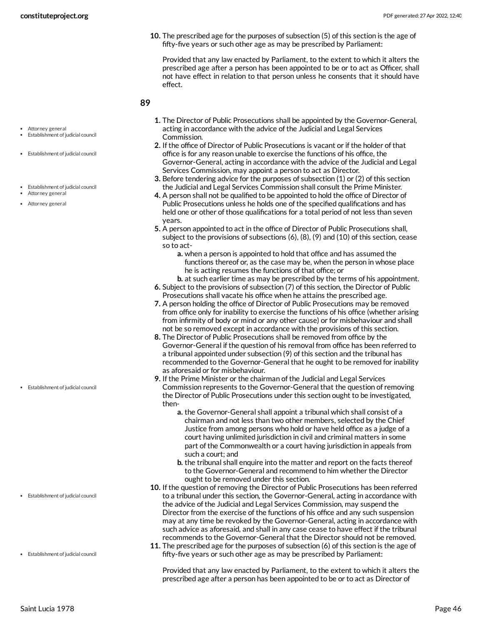**10.** The prescribed age for the purposes of subsection (5) of this section is the age of fifty-five years or such other age as may be prescribed by Parliament:

Provided that any law enacted by Parliament, to the extent to which it alters the prescribed age after a person has been appointed to be or to act as Officer, shall not have effect in relation to that person unless he consents that it should have effect.

#### <span id="page-45-0"></span>**89**

- **1.** The Director of Public Prosecutions shall be appointed by the Governor-General, acting in accordance with the advice of the Judicial and Legal Services Commission.
- **2.** If the office of Director of Public Prosecutions is vacant or if the holder of that office is for any reason unable to exercise the functions of his office, the Governor-General, acting in accordance with the advice of the Judicial and Legal Services Commission, may appoint a person to act as Director.
- **3.** Before tendering advice for the purposes of subsection (1) or (2) of this section the Judicial and Legal Services Commission shall consult the Prime Minister.
- **4.** A person shall not be qualified to be appointed to hold the office of Director of Public Prosecutions unless he holds one of the specified qualifications and has held one or other of those qualifications for a total period of not less than seven years.
- **5.** A person appointed to act in the office of Director of Public Prosecutions shall, subject to the provisions of subsections (6), (8), (9) and (10) of this section, cease so to act
	- **a.** when a person is appointed to hold that office and has assumed the functions thereof or, as the case may be, when the person in whose place he is acting resumes the functions of that office; or
	- **b.** at such earlier time as may be prescribed by the terms of his appointment.
- **6.** Subject to the provisions of subsection (7) of this section, the Director of Public Prosecutions shall vacate his office when he attains the prescribed age.
- **7.** A person holding the office of Director of Public Prosecutions may be removed from office only for inability to exercise the functions of his office (whether arising from infirmity of body or mind or any other cause) or for misbehaviour and shall not be so removed except in accordance with the provisions of this section.
- **8.** The Director of Public Prosecutions shall be removed from office by the Governor-General if the question of his removal from office has been referred to a tribunal appointed under subsection (9) of this section and the tribunal has recommended to the Governor-General that he ought to be removed for inability as aforesaid or for misbehaviour.
- **9.** If the Prime Minister or the chairman of the Judicial and Legal Services Commission represents to the Governor-General that the question of removing the Director of Public Prosecutions under this section ought to be investigated, then
	- **a.** the Governor-General shall appoint a tribunal which shall consist of a chairman and not less than two other members, selected by the Chief Justice from among persons who hold or have held office as a judge of a court having unlimited jurisdiction in civil and criminal matters in some part of the Commonwealth or a court having jurisdiction in appeals from such a court; and
	- **b.** the tribunal shall enquire into the matter and report on the facts thereof to the Governor-General and recommend to him whether the Director ought to be removed under this section.
- **10.** If the question of removing the Director of Public Prosecutions has been referred to a tribunal under this section, the Governor-General, acting in accordance with the advice of the Judicial and Legal Services Commission, may suspend the Director from the exercise of the functions of his office and any such suspension may at any time be revoked by the Governor-General, acting in accordance with such advice as aforesaid, and shall in any case cease to have effect if the tribunal recommends to the Governor-General that the Director should not be removed. **11.** The prescribed age for the purposes of subsection (6) of this section is the age of
- fifty-five years or such other age as may be prescribed by Parliament:

Provided that any law enacted by Parliament, to the extent to which it alters the prescribed age after a person has been appointed to be or to act as Director of

Attorney general

- Establishment of judicial council
- Establishment of judicial council
- Establishment of judicial council Attorney general
- Attorney general

Establishment of judicial council

- Establishment of judicial council
- Establishment of judicial council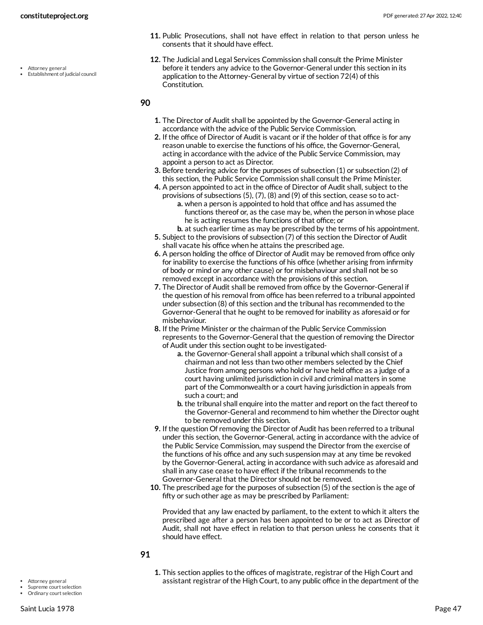Attorney general

Establishment of judicial council

- **11.** Public Prosecutions, shall not have effect in relation to that person unless he consents that it should have effect.
- **12.** The Judicial and Legal Services Commission shall consult the Prime Minister before it tenders any advice to the Governor-General under this section in its application to the Attorney-General by virtue of section 72(4) of this Constitution.

#### **90**

- **1.** The Director of Audit shall be appointed by the Governor-General acting in accordance with the advice of the Public Service Commission.
- **2.** If the office of Director of Audit is vacant or if the holder of that office is for any reason unable to exercise the functions of his office, the Governor-General, acting in accordance with the advice of the Public Service Commission, may appoint a person to act as Director.
- **3.** Before tendering advice for the purposes of subsection (1) or subsection (2) of this section, the Public Service Commission shall consult the Prime Minister.
- **4.** A person appointed to act in the office of Director of Audit shall, subject to the provisions of subsections (5), (7), (8) and (9) of this section, cease so to act**a.** when a person is appointed to hold that office and has assumed the
	- functions thereof or, as the case may be, when the person in whose place he is acting resumes the functions of that office; or
- **b.** at such earlier time as may be prescribed by the terms of his appointment. **5.** Subject to the provisions of subsection (7) of this section the Director of Audit
- shall vacate his office when he attains the prescribed age.
- **6.** A person holding the office of Director of Audit may be removed from office only for inability to exercise the functions of his office (whether arising from infirmity of body or mind or any other cause) or for misbehaviour and shall not be so removed except in accordance with the provisions of this section.
- **7.** The Director of Audit shall be removed from office by the Governor-General if the question of his removal from office has been referred to a tribunal appointed under subsection (8) of this section and the tribunal has recommended to the Governor-General that he ought to be removed for inability as aforesaid or for misbehaviour.
- **8.** If the Prime Minister or the chairman of the Public Service Commission represents to the Governor-General that the question of removing the Director of Audit under this section ought to be investigated
	- **a.** the Governor-General shall appoint a tribunal which shall consist of a chairman and not less than two other members selected by the Chief Justice from among persons who hold or have held office as a judge of a court having unlimited jurisdiction in civil and criminal matters in some part of the Commonwealth or a court having jurisdiction in appeals from such a court; and
	- **b.** the tribunal shall enquire into the matter and report on the fact thereof to the Governor-General and recommend to him whether the Director ought to be removed under this section.
- **9.** If the question Of removing the Director of Audit has been referred to a tribunal under this section, the Governor-General, acting in accordance with the advice of the Public Service Commission, may suspend the Director from the exercise of the functions of his office and any such suspension may at any time be revoked by the Governor-General, acting in accordance with such advice as aforesaid and shall in any case cease to have effect if the tribunal recommends to the Governor-General that the Director should not be removed.
- **10.** The prescribed age for the purposes of subsection (5) of the section is the age of fifty or such other age as may be prescribed by Parliament:

Provided that any law enacted by parliament, to the extent to which it alters the prescribed age after a person has been appointed to be or to act as Director of Audit, shall not have effect in relation to that person unless he consents that it should have effect.

#### <span id="page-46-0"></span>**91**

**1.** This section applies to the offices of magistrate, registrar of the High Court and assistant registrar of the High Court, to any public office in the department of the

Attorney general

Supreme court selection Ordinary court selection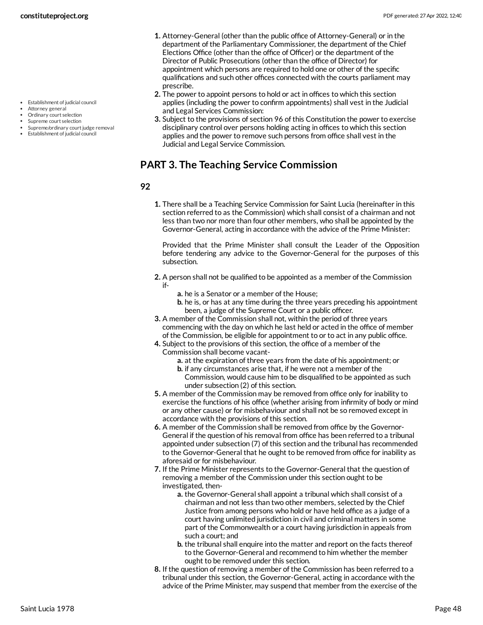- Establishment of judicial council
- Attorney general
- Ordinary court selection
- Supreme court selection Supreme/ordinary court judge removal
- Establishment of judicial council
- **1.** Attorney-General (other than the public office of Attorney-General) or in the department of the Parliamentary Commissioner, the department of the Chief Elections Office (other than the office of Officer) or the department of the Director of Public Prosecutions (other than the office of Director) for appointment which persons are required to hold one or other of the specific qualifications and such other offices connected with the courts parliament may prescribe.
- **2.** The power to appoint persons to hold or act in offices to which this section applies (including the power to confirm appointments) shall vest in the Judicial and Legal Services Commission:
- **3.** Subject to the provisions of section 96 of this Constitution the power to exercise disciplinary control over persons holding acting in offices to which this section applies and the power to remove such persons from office shall vest in the Judicial and Legal Service Commission.

## <span id="page-47-0"></span>**PART 3. The Teaching Service Commission**

#### **92**

**1.** There shall be a Teaching Service Commission for Saint Lucia (hereinafter in this section referred to as the Commission) which shall consist of a chairman and not less than two nor more than four other members, who shall be appointed by the Governor-General, acting in accordance with the advice of the Prime Minister:

Provided that the Prime Minister shall consult the Leader of the Opposition before tendering any advice to the Governor-General for the purposes of this subsection.

- **2.** A person shall not be qualified to be appointed as a member of the Commission if
	- **a.** he is a Senator or a member of the House;
	- **b.** he is, or has at any time during the three years preceding his appointment been, a judge of the Supreme Court or a public officer.
- **3.** A member of the Commission shall not, within the period of three years commencing with the day on which he last held or acted in the office of member of the Commission, be eligible for appointment to or to act in any public office.
- **4.** Subject to the provisions of this section, the office of a member of the Commission shall become vacant
	- **a.** at the expiration of three years from the date of his appointment; or
	- **b.** if any circumstances arise that, if he were not a member of the Commission, would cause him to be disqualified to be appointed as such under subsection (2) of this section.
- **5.** A member of the Commission may be removed from office only for inability to exercise the functions of his office (whether arising from infirmity of body or mind or any other cause) or for misbehaviour and shall not be so removed except in accordance with the provisions of this section.
- **6.** A member of the Commission shall be removed from office by the Governor-General if the question of his removal from office has been referred to a tribunal appointed under subsection (7) of this section and the tribunal has recommended to the Governor-General that he ought to be removed from office for inability as aforesaid or for misbehaviour.
- **7.** If the Prime Minister represents to the Governor-General that the question of removing a member of the Commission under this section ought to be investigated, then
	- **a.** the Governor-General shall appoint a tribunal which shall consist of a chairman and not less than two other members, selected by the Chief Justice from among persons who hold or have held office as a judge of a court having unlimited jurisdiction in civil and criminal matters in some part of the Commonwealth or a court having jurisdiction in appeals from such a court; and
	- **b.** the tribunal shall enquire into the matter and report on the facts thereof to the Governor-General and recommend to him whether the member ought to be removed under this section.
- **8.** If the question of removing a member of the Commission has been referred to a tribunal under this section, the Governor-General, acting in accordance with the advice of the Prime Minister, may suspend that member from the exercise of the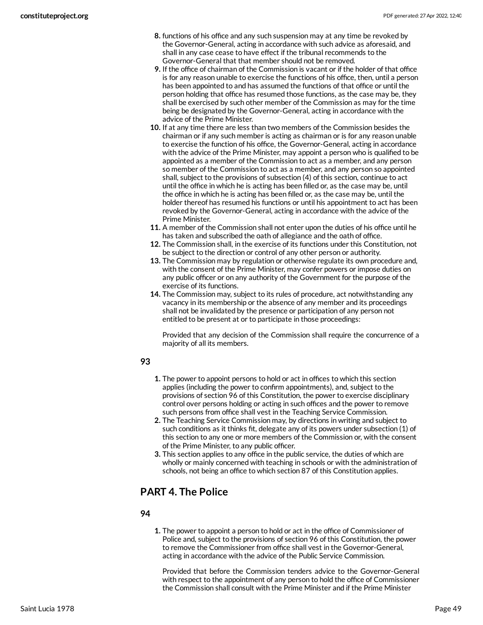- **8.** functions of his office and any such suspension may at any time be revoked by the Governor-General, acting in accordance with such advice as aforesaid, and shall in any case cease to have effect if the tribunal recommends to the Governor-General that that member should not be removed.
- **9.** If the office of chairman of the Commission is vacant or if the holder of that office is for any reason unable to exercise the functions of his office, then, until a person has been appointed to and has assumed the functions of that office or until the person holding that office has resumed those functions, as the case may be, they shall be exercised by such other member of the Commission as may for the time being be designated by the Governor-General, acting in accordance with the advice of the Prime Minister.
- **10.** If at any time there are less than two members of the Commission besides the chairman or if any such member is acting as chairman or is for any reason unable to exercise the function of his office, the Governor-General, acting in accordance with the advice of the Prime Minister, may appoint a person who is qualified to be appointed as a member of the Commission to act as a member, and any person so member of the Commission to act as a member, and any person so appointed shall, subject to the provisions of subsection (4) of this section, continue to act until the office in which he is acting has been filled or, as the case may be, until the office in which he is acting has been filled or, as the case may be, until the holder thereof has resumed his functions or until his appointment to act has been revoked by the Governor-General, acting in accordance with the advice of the Prime Minister.
- **11.** A member of the Commission shall not enter upon the duties of his office until he has taken and subscribed the oath of allegiance and the oath of office.
- **12.** The Commission shall, in the exercise of its functions under this Constitution, not be subject to the direction or control of any other person or authority.
- **13.** The Commission may by regulation or otherwise regulate its own procedure and, with the consent of the Prime Minister, may confer powers or impose duties on any public officer or on any authority of the Government for the purpose of the exercise of its functions.
- **14.** The Commission may, subject to its rules of procedure, act notwithstanding any vacancy in its membership or the absence of any member and its proceedings shall not be invalidated by the presence or participation of any person not entitled to be present at or to participate in those proceedings:

Provided that any decision of the Commission shall require the concurrence of a majority of all its members.

#### **93**

- **1.** The power to appoint persons to hold or act in offices to which this section applies (including the power to confirm appointments), and, subject to the provisions of section 96 of this Constitution, the power to exercise disciplinary control over persons holding or acting in such offices and the power to remove such persons from office shall vest in the Teaching Service Commission.
- **2.** The Teaching Service Commission may, by directions in writing and subject to such conditions as it thinks fit, delegate any of its powers under subsection (1) of this section to any one or more members of the Commission or, with the consent of the Prime Minister, to any public officer.
- **3.** This section applies to any office in the public service, the duties of which are wholly or mainly concerned with teaching in schools or with the administration of schools, not being an office to which section 87 of this Constitution applies.

## <span id="page-48-0"></span>**PART 4. The Police**

#### <span id="page-48-1"></span>**94**

**1.** The power to appoint a person to hold or act in the office of Commissioner of Police and, subject to the provisions of section 96 of this Constitution, the power to remove the Commissioner from office shall vest in the Governor-General, acting in accordance with the advice of the Public Service Commission.

Provided that before the Commission tenders advice to the Governor-General with respect to the appointment of any person to hold the office of Commissioner the Commission shall consult with the Prime Minister and if the Prime Minister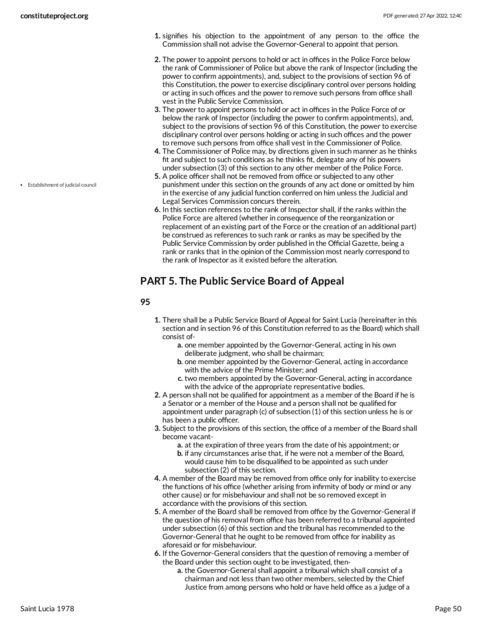- **1.** signifies his objection to the appointment of any person to the office the Commission shall not advise the Governor-General to appoint that person.
- **2.** The power to appoint persons to hold or act in offices in the Police Force below the rank of Commissioner of Police but above the rank of Inspector (including the power to confirm appointments), and, subject to the provisions of section 96 of this Constitution, the power to exercise disciplinary control over persons holding or acting in such offices and the power to remove such persons from office shall vest in the Public Service Commission.
- **3.** The power to appoint persons to hold or act in offices in the Police Force of or below the rank of Inspector (including the power to confirm appointments), and, subject to the provisions of section 96 of this Constitution, the power to exercise disciplinary control over persons holding or acting in such offices and the power to remove such persons from office shall vest in the Commissioner of Police.
- **4.** The Commissioner of Police may, by directions given in such manner as he thinks fit and subject to such conditions as he thinks fit, delegate any of his powers under subsection (3) of this section to any other member of the Police Force.
- **5.** A police officer shall not be removed from office or subjected to any other punishment under this section on the grounds of any act done or omitted by him in the exercise of any judicial function conferred on him unless the Judicial and Legal Services Commission concurs therein.
- **6.** In this section references to the rank of Inspector shall, if the ranks within the Police Force are altered (whether in consequence of the reorganization or replacement of an existing part of the Force or the creation of an additional part) be construed as references to such rank or ranks as may be specified by the Public Service Commission by order published in the Official Gazette, being a rank or ranks that in the opinion of the Commission most nearly correspond to the rank of Inspector as it existed before the alteration.

## <span id="page-49-0"></span>**PART 5. The Public Service Board of Appeal**

#### **95**

- **1.** There shall be a Public Service Board of Appeal for Saint Lucia (hereinafter in this section and in section 96 of this Constitution referred to as the Board) which shall consist of
	- **a.** one member appointed by the Governor-General, acting in his own deliberate judgment, who shall be chairman;
	- **b.** one member appointed by the Governor-General, acting in accordance with the advice of the Prime Minister; and
	- **c.** two members appointed by the Governor-General, acting in accordance with the advice of the appropriate representative bodies.
- **2.** A person shall not be qualified for appointment as a member of the Board if he is a Senator or a member of the House and a person shall not be qualified for appointment under paragraph (c) of subsection (1) of this section unless he is or has been a public officer.
- **3.** Subject to the provisions of this section, the office of a member of the Board shall become vacant
	- **a.** at the expiration of three years from the date of his appointment; or
	- **b.** if any circumstances arise that, if he were not a member of the Board, would cause him to be disqualified to be appointed as such under subsection (2) of this section.
- **4.** A member of the Board may be removed from office only for inability to exercise the functions of his office (whether arising from infirmity of body or mind or any other cause) or for misbehaviour and shall not be so removed except in accordance with the provisions of this section.
- **5.** A member of the Board shall be removed from office by the Governor-General if the question of his removal from office has been referred to a tribunal appointed under subsection (6) of this section and the tribunal has recommended to the Governor-General that he ought to be removed from office for inability as aforesaid or for misbehaviour.
- **6.** If the Governor-General considers that the question of removing a member of the Board under this section ought to be investigated, then
	- **a.** the Governor-General shall appoint a tribunal which shall consist of a chairman and not less than two other members, selected by the Chief Justice from among persons who hold or have held office as a judge of a

Establishment of judicial council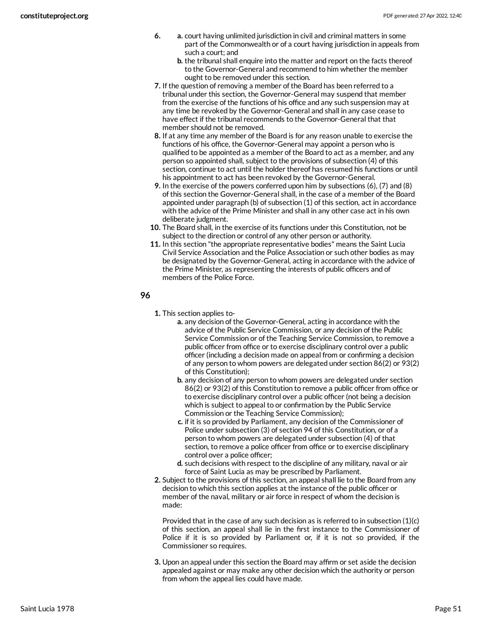- **6. a.** court having unlimited jurisdiction in civil and criminal matters in some part of the Commonwealth or of a court having jurisdiction in appeals from such a court; and
	- **b.** the tribunal shall enquire into the matter and report on the facts thereof to the Governor-General and recommend to him whether the member ought to be removed under this section.
- **7.** If the question of removing a member of the Board has been referred to a tribunal under this section, the Governor-General may suspend that member from the exercise of the functions of his office and any such suspension may at any time be revoked by the Governor-General and shall in any case cease to have effect if the tribunal recommends to the Governor-General that that member should not be removed.
- **8.** If at any time any member of the Board is for any reason unable to exercise the functions of his office, the Governor-General may appoint a person who is qualified to be appointed as a member of the Board to act as a member, and any person so appointed shall, subject to the provisions of subsection (4) of this section, continue to act until the holder thereof has resumed his functions or until his appointment to act has been revoked by the Governor-General.
- **9.** In the exercise of the powers conferred upon him by subsections (6), (7) and (8) of this section the Governor-General shall, in the case of a member of the Board appointed under paragraph (b) of subsection (1) of this section, act in accordance with the advice of the Prime Minister and shall in any other case act in his own deliberate judgment.
- **10.** The Board shall, in the exercise of its functions under this Constitution, not be subject to the direction or control of any other person or authority.
- **11.** In this section "the appropriate representative bodies" means the Saint Lucia Civil Service Association and the Police Association or such other bodies as may be designated by the Governor-General, acting in accordance with the advice of the Prime Minister, as representing the interests of public officers and of members of the Police Force.

#### **96**

**1.** This section applies to-

- **a.** any decision of the Governor-General, acting in accordance with the advice of the Public Service Commission, or any decision of the Public Service Commission or of the Teaching Service Commission, to remove a public officer from office or to exercise disciplinary control over a public officer (including a decision made on appeal from or confirming a decision of any person to whom powers are delegated under section 86(2) or 93(2) of this Constitution);
- **b.** any decision of any person to whom powers are delegated under section 86(2) or 93(2) of this Constitution to remove a public officer from office or to exercise disciplinary control over a public officer (not being a decision which is subject to appeal to or confirmation by the Public Service Commission or the Teaching Service Commission);
- **c.** if it is so provided by Parliament, any decision of the Commissioner of Police under subsection (3) of section 94 of this Constitution, or of a person to whom powers are delegated under subsection (4) of that section, to remove a police officer from office or to exercise disciplinary control over a police officer;
- **d.** such decisions with respect to the discipline of any military, naval or air force of Saint Lucia as may be prescribed by Parliament.
- **2.** Subject to the provisions of this section, an appeal shall lie to the Board from any decision to which this section applies at the instance of the public officer or member of the naval, military or air force in respect of whom the decision is made:

Provided that in the case of any such decision as is referred to in subsection  $(1)(c)$ of this section, an appeal shall lie in the first instance to the Commissioner of Police if it is so provided by Parliament or, if it is not so provided, if the Commissioner so requires.

**3.** Upon an appeal under this section the Board may affirm or set aside the decision appealed against or may make any other decision which the authority or person from whom the appeal lies could have made.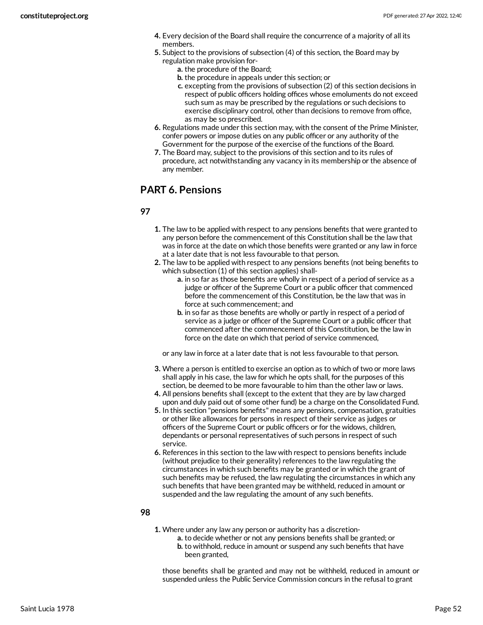- **4.** Every decision of the Board shall require the concurrence of a majority of all its members.
- **5.** Subject to the provisions of subsection (4) of this section, the Board may by regulation make provision for
	- **a.** the procedure of the Board;
	- **b.** the procedure in appeals under this section; or
	- **c.** excepting from the provisions of subsection (2) of this section decisions in respect of public officers holding offices whose emoluments do not exceed such sum as may be prescribed by the regulations or such decisions to exercise disciplinary control, other than decisions to remove from office, as may be so prescribed.
- **6.** Regulations made under this section may, with the consent of the Prime Minister, confer powers or impose duties on any public officer or any authority of the Government for the purpose of the exercise of the functions of the Board.
- **7.** The Board may, subject to the provisions of this section and to its rules of procedure, act notwithstanding any vacancy in its membership or the absence of any member.

## <span id="page-51-0"></span>**PART 6. Pensions**

#### **97**

- **1.** The law to be applied with respect to any pensions benefits that were granted to any person before the commencement of this Constitution shall be the law that was in force at the date on which those benefits were granted or any law in force at a later date that is not less favourable to that person.
- **2.** The law to be applied with respect to any pensions benefits (not being benefits to which subsection (1) of this section applies) shall
	- **a.** in so far as those benefits are wholly in respect of a period of service as a judge or officer of the Supreme Court or a public officer that commenced before the commencement of this Constitution, be the law that was in force at such commencement; and
	- **b.** in so far as those benefits are wholly or partly in respect of a period of service as a judge or officer of the Supreme Court or a public officer that commenced after the commencement of this Constitution, be the law in force on the date on which that period of service commenced,

or any law in force at a later date that is not less favourable to that person.

- **3.** Where a person is entitled to exercise an option as to which of two or more laws shall apply in his case, the law for which he opts shall, for the purposes of this section, be deemed to be more favourable to him than the other law or laws.
- **4.** All pensions benefits shall (except to the extent that they are by law charged upon and duly paid out of some other fund) be a charge on the Consolidated Fund.
- **5.** In this section "pensions benefits" means any pensions, compensation, gratuities or other like allowances for persons in respect of their service as judges or officers of the Supreme Court or public officers or for the widows, children, dependants or personal representatives of such persons in respect of such service.
- **6.** References in this section to the law with respect to pensions benefits include (without prejudice to their generality) references to the law regulating the circumstances in which such benefits may be granted or in which the grant of such benefits may be refused, the law regulating the circumstances in which any such benefits that have been granted may be withheld, reduced in amount or suspended and the law regulating the amount of any such benefits.

#### <span id="page-51-1"></span>**98**

- **1.** Where under any law any person or authority has a discretion
	- **a.** to decide whether or not any pensions benefits shall be granted; or **b.** to withhold, reduce in amount or suspend any such benefits that have been granted,

those benefits shall be granted and may not be withheld, reduced in amount or suspended unless the Public Service Commission concurs in the refusal to grant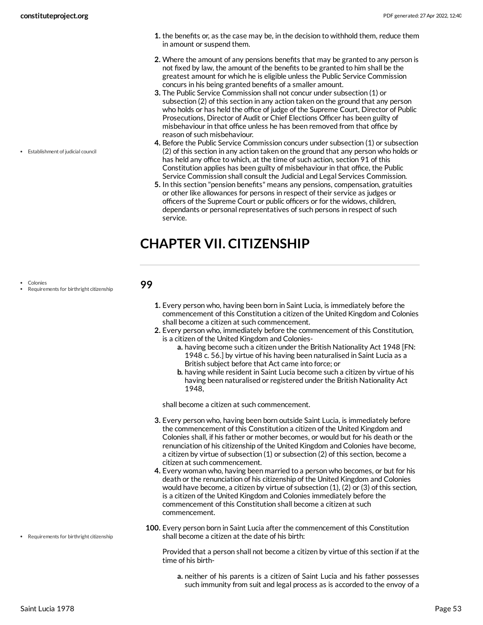Establishment of judicial council

- **1.** the benefits or, as the case may be, in the decision to withhold them, reduce them in amount or suspend them.
- **2.** Where the amount of any pensions benefits that may be granted to any person is not fixed by law, the amount of the benefits to be granted to him shall be the greatest amount for which he is eligible unless the Public Service Commission concurs in his being granted benefits of a smaller amount.
- **3.** The Public Service Commission shall not concur under subsection (1) or subsection (2) of this section in any action taken on the ground that any person who holds or has held the office of judge of the Supreme Court, Director of Public Prosecutions, Director of Audit or Chief Elections Officer has been guilty of misbehaviour in that office unless he has been removed from that office by reason of such misbehaviour.
- **4.** Before the Public Service Commission concurs under subsection (1) or subsection (2) of this section in any action taken on the ground that any person who holds or has held any office to which, at the time of such action, section 91 of this Constitution applies has been guilty of misbehaviour in that office, the Public Service Commission shall consult the Judicial and Legal Services Commission.
- **5.** In this section "pension benefits" means any pensions, compensation, gratuities or other like allowances for persons in respect of their service as judges or officers of the Supreme Court or public officers or for the widows, children, dependants or personal representatives of such persons in respect of such service.

## <span id="page-52-0"></span>**CHAPTER VII. CITIZENSHIP**

Colonies

#### Requirements for birthright citizenship

<span id="page-52-1"></span>**99**

- **1.** Every person who, having been born in Saint Lucia, is immediately before the commencement of this Constitution a citizen of the United Kingdom and Colonies shall become a citizen at such commencement.
- **2.** Every person who, immediately before the commencement of this Constitution, is a citizen of the United Kingdom and Colonies
	- **a.** having become such a citizen under the British Nationality Act 1948 [FN: 1948 c. 56.] by virtue of his having been naturalised in Saint Lucia as a British subject before that Act came into force; or
	- **b.** having while resident in Saint Lucia become such a citizen by virtue of his having been naturalised or registered under the British Nationality Act 1948,

shall become a citizen at such commencement.

- **3.** Every person who, having been born outside Saint Lucia, is immediately before the commencement of this Constitution a citizen of the United Kingdom and Colonies shall, if his father or mother becomes, or would but for his death or the renunciation of his citizenship of the United Kingdom and Colonies have become, a citizen by virtue of subsection (1) or subsection (2) of this section, become a citizen at such commencement.
- **4.** Every woman who, having been married to a person who becomes, or but for his death or the renunciation of his citizenship of the United Kingdom and Colonies would have become, a citizen by virtue of subsection (1), (2) or (3) of this section, is a citizen of the United Kingdom and Colonies immediately before the commencement of this Constitution shall become a citizen at such commencement.
- **100.** Every person born in Saint Lucia after the commencement of this Constitution shall become a citizen at the date of his birth:

Provided that a person shall not become a citizen by virtue of this section if at the time of his birth-

**a.** neither of his parents is a citizen of Saint Lucia and his father possesses such immunity from suit and legal process as is accorded to the envoy of a

Requirements for birthright citizenship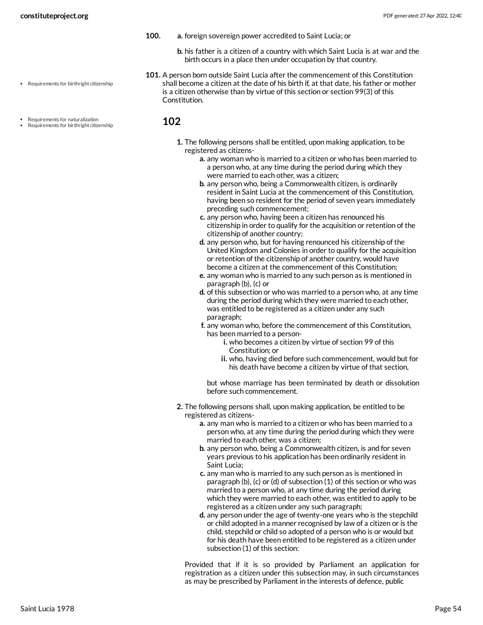- **100. a.** foreign sovereign power accredited to Saint Lucia; or
	- **b.** his father is a citizen of a country with which Saint Lucia is at war and the birth occurs in a place then under occupation by that country.
- **101.** A person born outside Saint Lucia after the commencement of this Constitution shall become a citizen at the date of his birth if, at that date, his father or mother is a citizen otherwise than by virtue of this section or section 99(3) of this Constitution.
- Requirements for naturalization

Requirements for birthright citizenship

Requirements for birthright citizenship

#### <span id="page-53-0"></span>**102**

- **1.** The following persons shall be entitled, upon making application, to be registered as citizens
	- **a.** any woman who is married to a citizen or who has been married to a person who, at any time during the period during which they were married to each other, was a citizen;
	- **b.** any person who, being a Commonwealth citizen, is ordinarily resident in Saint Lucia at the commencement of this Constitution, having been so resident for the period of seven years immediately preceding such commencement;
	- **c.** any person who, having been a citizen has renounced his citizenship in order to qualify for the acquisition or retention of the citizenship of another country;
	- **d.** any person who, but for having renounced his citizenship of the United Kingdom and Colonies in order to qualify for the acquisition or retention of the citizenship of another country, would have become a citizen at the commencement of this Constitution;
	- **e.** any woman who is married to any such person as is mentioned in paragraph (b), (c) or
	- **d.** of this subsection or who was married to a person who, at any time during the period during which they were married to each other, was entitled to be registered as a citizen under any such paragraph;
	- **f.** any woman who, before the commencement of this Constitution, has been married to a person
		- **i.** who becomes a citizen by virtue of section 99 of this Constitution; or
		- **ii.** who, having died before such commencement, would but for his death have become a citizen by virtue of that section,

but whose marriage has been terminated by death or dissolution before such commencement.

- **2.** The following persons shall, upon making application, be entitled to be registered as citizens
	- **a.** any man who is married to a citizen or who has been married to a person who, at any time during the period during which they were married to each other, was a citizen;
	- **b.** any person who, being a Commonwealth citizen, is and for seven years previous to his application has been ordinarily resident in Saint Lucia;
	- **c.** any man who is married to any such person as is mentioned in paragraph (b), (c) or (d) of subsection (1) of this section or who was married to a person who, at any time during the period during which they were married to each other, was entitled to apply to be registered as a citizen under any such paragraph;
	- **d.** any person under the age of twenty-one years who is the stepchild or child adopted in a manner recognised by law of a citizen or is the child, stepchild or child so adopted of a person who is or would but for his death have been entitled to be registered as a citizen under subsection (1) of this section:

Provided that if it is so provided by Parliament an application for registration as a citizen under this subsection may, in such circumstances as may be prescribed by Parliament in the interests of defence, public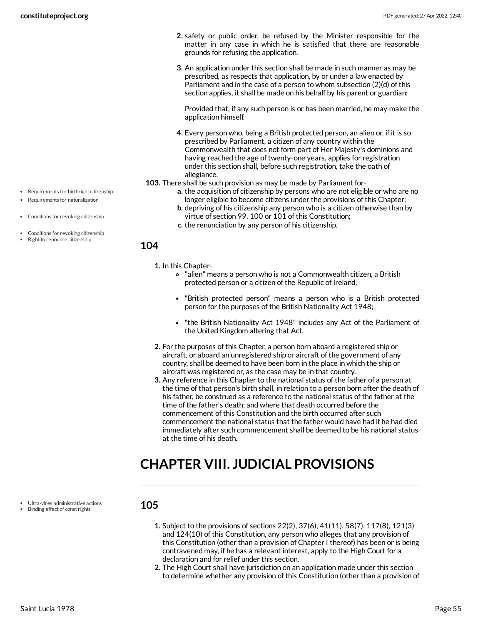- **2.** safety or public order, be refused by the Minister responsible for the matter in any case in which he is satisfied that there are reasonable grounds for refusing the application.
- **3.** An application under this section shall be made in such manner as may be prescribed, as respects that application, by or under a law enacted by Parliament and in the case of a person to whom subsection (2)(d) of this section applies, it shall be made on his behalf by his parent or guardian:

Provided that, if any such person is or has been married, he may make the application himself.

**4.** Every person who, being a British protected person, an alien or, if it is so prescribed by Parliament, a citizen of any country within the Commonwealth that does not form part of Her Majesty's dominions and having reached the age of twenty-one years, applies for registration under this section shall, before such registration, take the oath of allegiance.

- **103.** There shall be such provision as may be made by Parliament for
	- **a.** the acquisition of citizenship by persons who are not eligible or who are no longer eligible to become citizens under the provisions of this Chapter;
	- **b.** depriving of his citizenship any person who is a citizen otherwise than by virtue of section 99, 100 or 101 of this Constitution;
	- **c.** the renunciation by any person of his citizenship.

### <span id="page-54-0"></span>**104**

- **1.** In this Chapter-
	- "alien" means a person who is not a Commonwealth citizen, a British protected person or a citizen of the Republic of Ireland;
	- "British protected person" means a person who is a British protected person for the purposes of the British Nationality Act 1948;
	- "the British Nationality Act 1948" includes any Act of the Parliament of the United Kingdom altering that Act.
- **2.** For the purposes of this Chapter, a person born aboard a registered ship or aircraft, or aboard an unregistered ship or aircraft of the government of any country, shall be deemed to have been born in the place in which the ship or aircraft was registered or, as the case may be in that country.
- **3.** Any reference in this Chapter to the national status of the father of a person at the time of that person's birth shall, in relation to a person born after the death of his father, be construed as a reference to the national status of the father at the time of the father's death; and where that death occurred before the commencement of this Constitution and the birth occurred after such commencement the national status that the father would have had if he had died immediately after such commencement shall be deemed to be his national status at the time of his death.

## <span id="page-54-1"></span>**CHAPTER VIII. JUDICIAL PROVISIONS**

- Ultra-vires administrative actions
- Binding effect of const rights

### <span id="page-54-2"></span>**105**

- **1.** Subject to the provisions of sections 22(2), 37(6), 41(11), 58(7), 117(8), 121(3) and 124(10) of this Constitution, any person who alleges that any provision of this Constitution (other than a provision of Chapter I thereof) has been or is being contravened may, if he has a relevant interest, apply to the High Court for a declaration and for relief under this section.
- **2.** The High Court shall have jurisdiction on an application made under this section to determine whether any provision of this Constitution (other than a provision of
- Requirements for birthright citizenship
- Requirements for naturalization
- Conditions for revoking citizenship
- Conditions for revoking citizenship
- Right to renounce citizenship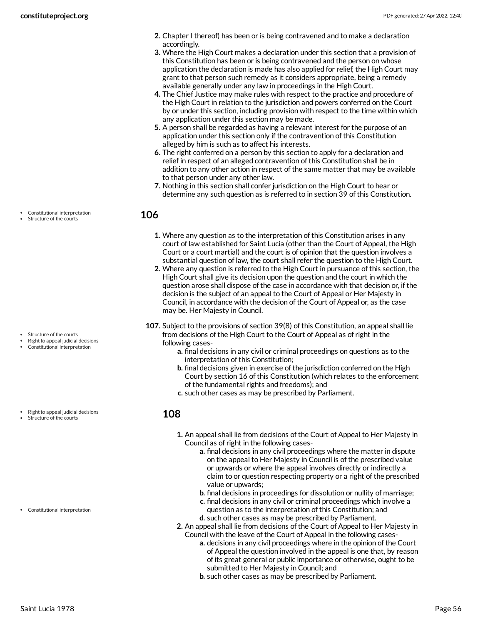- **2.** Chapter I thereof) has been or is being contravened and to make a declaration accordingly.
- **3.** Where the High Court makes a declaration under this section that a provision of this Constitution has been or is being contravened and the person on whose application the declaration is made has also applied for relief, the High Court may grant to that person such remedy as it considers appropriate, being a remedy available generally under any law in proceedings in the High Court.
- **4.** The Chief Justice may make rules with respect to the practice and procedure of the High Court in relation to the jurisdiction and powers conferred on the Court by or under this section, including provision with respect to the time within which any application under this section may be made.
- **5.** A person shall be regarded as having a relevant interest for the purpose of an application under this section only if the contravention of this Constitution alleged by him is such as to affect his interests.
- **6.** The right conferred on a person by this section to apply for a declaration and relief in respect of an alleged contravention of this Constitution shall be in addition to any other action in respect of the same matter that may be available to that person under any other law.
- **7.** Nothing in this section shall confer jurisdiction on the High Court to hear or determine any such question as is referred to in section 39 of this Constitution.

## <span id="page-55-0"></span>**106**

- **1.** Where any question as to the interpretation of this Constitution arises in any court of law established for Saint Lucia (other than the Court of Appeal, the High Court or a court martial) and the court is of opinion that the question involves a substantial question of law, the court shall refer the question to the High Court.
- **2.** Where any question is referred to the High Court in pursuance of this section, the High Court shall give its decision upon the question and the court in which the question arose shall dispose of the case in accordance with that decision or, if the decision is the subject of an appeal to the Court of Appeal or Her Majesty in Council, in accordance with the decision of the Court of Appeal or, as the case may be. Her Majesty in Council.
- **107.** Subject to the provisions of section 39(8) of this Constitution, an appeal shall lie from decisions of the High Court to the Court of Appeal as of right in the following cases
	- **a.** final decisions in any civil or criminal proceedings on questions as to the interpretation of this Constitution;
	- **b.** final decisions given in exercise of the jurisdiction conferred on the High Court by section 16 of this Constitution (which relates to the enforcement of the fundamental rights and freedoms); and
	- **c.** such other cases as may be prescribed by Parliament.

### <span id="page-55-1"></span>**108**

- **1.** An appeal shall lie from decisions of the Court of Appeal to Her Majesty in Council as of right in the following cases
	- **a.** final decisions in any civil proceedings where the matter in dispute on the appeal to Her Majesty in Council is of the prescribed value or upwards or where the appeal involves directly or indirectly a claim to or question respecting property or a right of the prescribed value or upwards;
	- **b.** final decisions in proceedings for dissolution or nullity of marriage;
	- **c.** final decisions in any civil or criminal proceedings which involve a question as to the interpretation of this Constitution; and
	- **d.** such other cases as may be prescribed by Parliament.
- **2.** An appeal shall lie from decisions of the Court of Appeal to Her Majesty in Council with the leave of the Court of Appeal in the following cases
	- **a.** decisions in any civil proceedings where in the opinion of the Court of Appeal the question involved in the appeal is one that, by reason of its great general or public importance or otherwise, ought to be submitted to Her Majesty in Council; and
	- **b.** such other cases as may be prescribed by Parliament.
- Constitutional interpretation Structure of the courts
- 

- Structure of the courts
- Right to appeal judicial decisions
- Constitutional interpretation
- Right to appeal judicial decisions Structure of the courts

Constitutional interpretation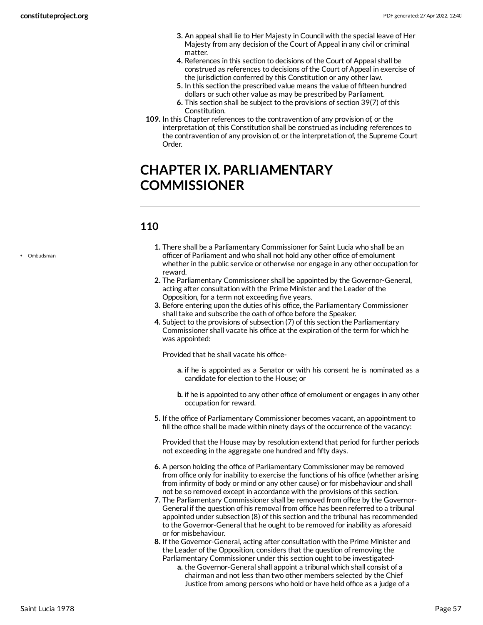- **3.** An appeal shall lie to Her Majesty in Council with the special leave of Her Majesty from any decision of the Court of Appeal in any civil or criminal matter.
- **4.** References in this section to decisions of the Court of Appeal shall be construed as references to decisions of the Court of Appeal in exercise of the jurisdiction conferred by this Constitution or any other law.
- **5.** In this section the prescribed value means the value of fifteen hundred dollars or such other value as may be prescribed by Parliament.
- **6.** This section shall be subject to the provisions of section 39(7) of this Constitution.
- **109.** In this Chapter references to the contravention of any provision of, or the interpretation of, this Constitution shall be construed as including references to the contravention of any provision of, or the interpretation of, the Supreme Court Order.

## <span id="page-56-0"></span>**CHAPTER IX. PARLIAMENTARY COMMISSIONER**

## <span id="page-56-1"></span>**110**

• Ombudsman

- **1.** There shall be a Parliamentary Commissioner for Saint Lucia who shall be an officer of Parliament and who shall not hold any other office of emolument whether in the public service or otherwise nor engage in any other occupation for reward.
- **2.** The Parliamentary Commissioner shall be appointed by the Governor-General, acting after consultation with the Prime Minister and the Leader of the Opposition, for a term not exceeding five years.
- **3.** Before entering upon the duties of his office, the Parliamentary Commissioner shall take and subscribe the oath of office before the Speaker.
- **4.** Subject to the provisions of subsection (7) of this section the Parliamentary Commissioner shall vacate his office at the expiration of the term for which he was appointed:

Provided that he shall vacate his office-

- **a.** if he is appointed as a Senator or with his consent he is nominated as a candidate for election to the House; or
- **b.** if he is appointed to any other office of emolument or engages in any other occupation for reward.
- **5.** If the office of Parliamentary Commissioner becomes vacant, an appointment to fill the office shall be made within ninety days of the occurrence of the vacancy:

Provided that the House may by resolution extend that period for further periods not exceeding in the aggregate one hundred and fifty days.

- **6.** A person holding the office of Parliamentary Commissioner may be removed from office only for inability to exercise the functions of his office (whether arising from infirmity of body or mind or any other cause) or for misbehaviour and shall not be so removed except in accordance with the provisions of this section.
- **7.** The Parliamentary Commissioner shall be removed from office by the Governor-General if the question of his removal from office has been referred to a tribunal appointed under subsection (8) of this section and the tribunal has recommended to the Governor-General that he ought to be removed for inability as aforesaid or for misbehaviour.
- **8.** If the Governor-General, acting after consultation with the Prime Minister and the Leader of the Opposition, considers that the question of removing the Parliamentary Commissioner under this section ought to be investigated
	- **a.** the Governor-General shall appoint a tribunal which shall consist of a chairman and not less than two other members selected by the Chief Justice from among persons who hold or have held office as a judge of a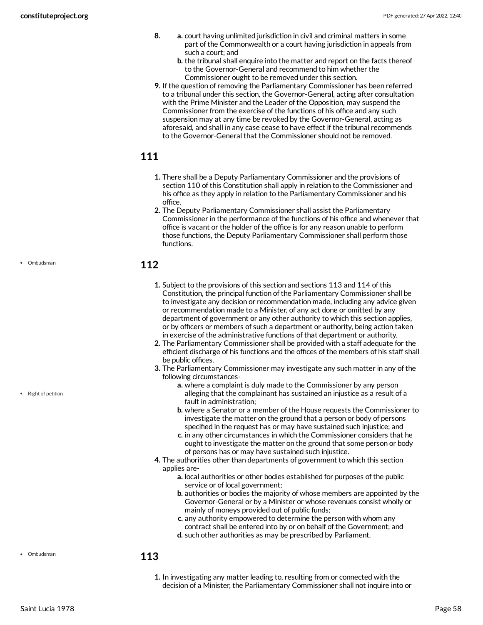- **8. a.** court having unlimited jurisdiction in civil and criminal matters in some part of the Commonwealth or a court having jurisdiction in appeals from such a court; and
	- **b.** the tribunal shall enquire into the matter and report on the facts thereof to the Governor-General and recommend to him whether the Commissioner ought to be removed under this section.
- **9.** If the question of removing the Parliamentary Commissioner has been referred to a tribunal under this section, the Governor-General, acting after consultation with the Prime Minister and the Leader of the Opposition, may suspend the Commissioner from the exercise of the functions of his office and any such suspension may at any time be revoked by the Governor-General, acting as aforesaid, and shall in any case cease to have effect if the tribunal recommends to the Governor-General that the Commissioner should not be removed.

## <span id="page-57-0"></span>**111**

- **1.** There shall be a Deputy Parliamentary Commissioner and the provisions of section 110 of this Constitution shall apply in relation to the Commissioner and his office as they apply in relation to the Parliamentary Commissioner and his office.
- **2.** The Deputy Parliamentary Commissioner shall assist the Parliamentary Commissioner in the performance of the functions of his office and whenever that office is vacant or the holder of the office is for any reason unable to perform those functions, the Deputy Parliamentary Commissioner shall perform those functions.

### <span id="page-57-1"></span>**112**

- **1.** Subject to the provisions of this section and sections 113 and 114 of this Constitution, the principal function of the Parliamentary Commissioner shall be to investigate any decision or recommendation made, including any advice given or recommendation made to a Minister, of any act done or omitted by any department of government or any other authority to which this section applies, or by officers or members of such a department or authority, being action taken in exercise of the administrative functions of that department or authority.
- **2.** The Parliamentary Commissioner shall be provided with a staff adequate for the efficient discharge of his functions and the offices of the members of his staff shall be public offices.
- **3.** The Parliamentary Commissioner may investigate any such matter in any of the following circumstances
	- **a.** where a complaint is duly made to the Commissioner by any person alleging that the complainant has sustained an injustice as a result of a fault in administration;
	- **b.** where a Senator or a member of the House requests the Commissioner to investigate the matter on the ground that a person or body of persons specified in the request has or may have sustained such injustice; and
	- **c.** in any other circumstances in which the Commissioner considers that he ought to investigate the matter on the ground that some person or body of persons has or may have sustained such injustice.
- **4.** The authorities other than departments of government to which this section applies are
	- **a.** local authorities or other bodies established for purposes of the public service or of local government;
	- **b.** authorities or bodies the majority of whose members are appointed by the Governor-General or by a Minister or whose revenues consist wholly or mainly of moneys provided out of public funds;
	- **c.** any authority empowered to determine the person with whom any contract shall be entered into by or on behalf of the Government; and
	- **d.** such other authorities as may be prescribed by Parliament.

• Ombudsman

<span id="page-57-2"></span>**113**

**1.** In investigating any matter leading to, resulting from or connected with the decision of a Minister, the Parliamentary Commissioner shall not inquire into or

Ombudsman

• Right of petition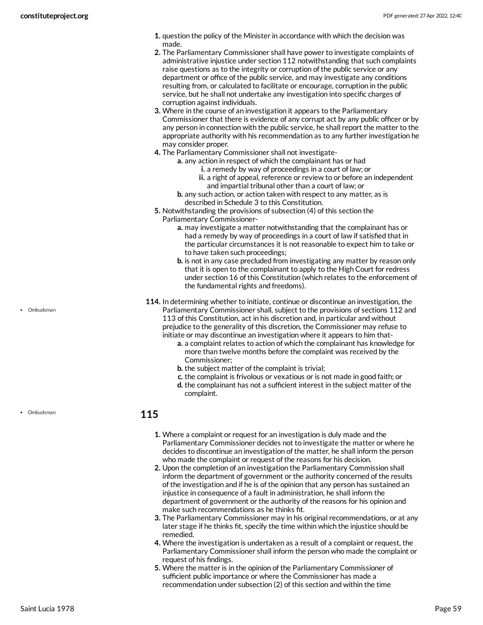- **1.** question the policy of the Minister in accordance with which the decision was made.
- **2.** The Parliamentary Commissioner shall have power to investigate complaints of administrative injustice under section 112 notwithstanding that such complaints raise questions as to the integrity or corruption of the public service or any department or office of the public service, and may investigate any conditions resulting from, or calculated to facilitate or encourage, corruption in the public service, but he shall not undertake any investigation into specific charges of corruption against individuals.
- **3.** Where in the course of an investigation it appears to the Parliamentary Commissioner that there is evidence of any corrupt act by any public officer or by any person in connection with the public service, he shall report the matter to the appropriate authority with his recommendation as to any further investigation he may consider proper.
- **4.** The Parliamentary Commissioner shall not investigate
	- **a.** any action in respect of which the complainant has or had
		- **i.** a remedy by way of proceedings in a court of law; or
		- **ii.** a right of appeal, reference or review to or before an independent and impartial tribunal other than a court of law; or
	- **b.** any such action, or action taken with respect to any matter, as is described in Schedule 3 to this Constitution.
- **5.** Notwithstanding the provisions of subsection (4) of this section the
	- Parliamentary Commissioner
		- **a.** may investigate a matter notwithstanding that the complainant has or had a remedy by way of proceedings in a court of law if satisfied that in the particular circumstances it is not reasonable to expect him to take or to have taken such proceedings;
		- **b.** is not in any case precluded from investigating any matter by reason only that it is open to the complainant to apply to the High Court for redress under section 16 of this Constitution (which relates to the enforcement of the fundamental rights and freedoms).
- **114.** In determining whether to initiate, continue or discontinue an investigation, the Parliamentary Commissioner shall, subject to the provisions of sections 112 and 113 of this Constitution, act in his discretion and, in particular and without prejudice to the generality of this discretion, the Commissioner may refuse to initiate or may discontinue an investigation where it appears to him that
	- **a.** a complaint relates to action of which the complainant has knowledge for more than twelve months before the complaint was received by the Commissioner;
	- **b.** the subject matter of the complaint is trivial;
	- **c.** the complaint is frivolous or vexatious or is not made in good faith; or
	- **d.** the complainant has not a sufficient interest in the subject matter of the complaint.

## <span id="page-58-0"></span>**115**

- **1.** Where a complaint or request for an investigation is duly made and the Parliamentary Commissioner decides not to investigate the matter or where he decides to discontinue an investigation of the matter, he shall inform the person who made the complaint or request of the reasons for his decision.
- **2.** Upon the completion of an investigation the Parliamentary Commission shall inform the department of government or the authority concerned of the results of the investigation and if he is of the opinion that any person has sustained an injustice in consequence of a fault in administration, he shall inform the department of government or the authority of the reasons for his opinion and make such recommendations as he thinks fit.
- **3.** The Parliamentary Commissioner may in his original recommendations, or at any later stage if he thinks fit, specify the time within which the injustice should be remedied.
- **4.** Where the investigation is undertaken as a result of a complaint or request, the Parliamentary Commissioner shall inform the person who made the complaint or request of his findings.
- **5.** Where the matter is in the opinion of the Parliamentary Commissioner of sufficient public importance or where the Commissioner has made a recommendation under subsection (2) of this section and within the time

Ombudsman

Ombudsman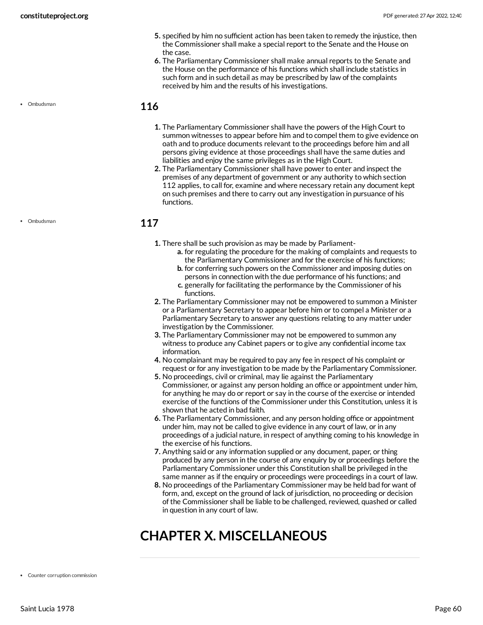Ombudsman

Ombudsman

- **5.** specified by him no sufficient action has been taken to remedy the injustice, then the Commissioner shall make a special report to the Senate and the House on the case.
- **6.** The Parliamentary Commissioner shall make annual reports to the Senate and the House on the performance of his functions which shall include statistics in such form and in such detail as may be prescribed by law of the complaints received by him and the results of his investigations.

## <span id="page-59-0"></span>**116**

- **1.** The Parliamentary Commissioner shall have the powers of the High Court to summon witnesses to appear before him and to compel them to give evidence on oath and to produce documents relevant to the proceedings before him and all persons giving evidence at those proceedings shall have the same duties and liabilities and enjoy the same privileges as in the High Court.
- **2.** The Parliamentary Commissioner shall have power to enter and inspect the premises of any department of government or any authority to which section 112 applies, to call for, examine and where necessary retain any document kept on such premises and there to carry out any investigation in pursuance of his functions.

## <span id="page-59-1"></span>**117**

- **1.** There shall be such provision as may be made by Parliament
	- **a.** for regulating the procedure for the making of complaints and requests to the Parliamentary Commissioner and for the exercise of his functions;
	- **b.** for conferring such powers on the Commissioner and imposing duties on persons in connection with the due performance of his functions; and
	- **c.** generally for facilitating the performance by the Commissioner of his functions.
- **2.** The Parliamentary Commissioner may not be empowered to summon a Minister or a Parliamentary Secretary to appear before him or to compel a Minister or a Parliamentary Secretary to answer any questions relating to any matter under investigation by the Commissioner.
- **3.** The Parliamentary Commissioner may not be empowered to summon any witness to produce any Cabinet papers or to give any confidential income tax information.
- **4.** No complainant may be required to pay any fee in respect of his complaint or request or for any investigation to be made by the Parliamentary Commissioner.
- **5.** No proceedings, civil or criminal, may lie against the Parliamentary Commissioner, or against any person holding an office or appointment under him, for anything he may do or report or say in the course of the exercise or intended exercise of the functions of the Commissioner under this Constitution, unless it is shown that he acted in bad faith.
- **6.** The Parliamentary Commissioner, and any person holding office or appointment under him, may not be called to give evidence in any court of law, or in any proceedings of a judicial nature, in respect of anything coming to his knowledge in the exercise of his functions.
- **7.** Anything said or any information supplied or any document, paper, or thing produced by any person in the course of any enquiry by or proceedings before the Parliamentary Commissioner under this Constitution shall be privileged in the same manner as if the enquiry or proceedings were proceedings in a court of law.
- **8.** No proceedings of the Parliamentary Commissioner may be held bad for want of form, and, except on the ground of lack of jurisdiction, no proceeding or decision of the Commissioner shall be liable to be challenged, reviewed, quashed or called in question in any court of law.

# <span id="page-59-3"></span><span id="page-59-2"></span>**CHAPTER X. MISCELLANEOUS**

Counter corruption commission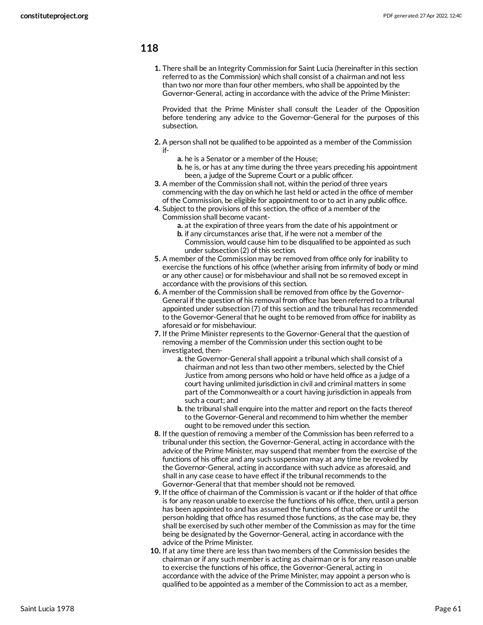## <span id="page-60-0"></span>**118**

**1.** There shall be an Integrity Commission for Saint Lucia (hereinafter in this section referred to as the Commission) which shall consist of a chairman and not less than two nor more than four other members, who shall be appointed by the Governor-General, acting in accordance with the advice of the Prime Minister:

Provided that the Prime Minister shall consult the Leader of the Opposition before tendering any advice to the Governor-General for the purposes of this subsection.

- **2.** A person shall not be qualified to be appointed as a member of the Commission if
	- **a.** he is a Senator or a member of the House;
	- **b.** he is, or has at any time during the three years preceding his appointment been, a judge of the Supreme Court or a public officer.
- **3.** A member of the Commission shall not, within the period of three years commencing with the day on which he last held or acted in the office of member of the Commission, be eligible for appointment to or to act in any public office.
- **4.** Subject to the provisions of this section, the office of a member of the Commission shall become vacant
	- **a.** at the expiration of three years from the date of his appointment or
	- **b.** if any circumstances arise that, if he were not a member of the Commission, would cause him to be disqualified to be appointed as such under subsection (2) of this section.
	- **5.** A member of the Commission may be removed from office only for inability to exercise the functions of his office (whether arising from infirmity of body or mind or any other cause) or for misbehaviour and shall not be so removed except in accordance with the provisions of this section.
	- **6.** A member of the Commission shall be removed from office by the Governor-General if the question of his removal from office has been referred to a tribunal appointed under subsection (7) of this section and the tribunal has recommended to the Governor-General that he ought to be removed from office for inability as aforesaid or for misbehaviour.
- **7.** If the Prime Minister represents to the Governor-General that the question of removing a member of the Commission under this section ought to be investigated, then
	- **a.** the Governor-General shall appoint a tribunal which shall consist of a chairman and not less than two other members, selected by the Chief Justice from among persons who hold or have held office as a judge of a court having unlimited jurisdiction in civil and criminal matters in some part of the Commonwealth or a court having jurisdiction in appeals from such a court; and
	- **b.** the tribunal shall enquire into the matter and report on the facts thereof to the Governor-General and recommend to him whether the member ought to be removed under this section.
- **8.** If the question of removing a member of the Commission has been referred to a tribunal under this section, the Governor-General, acting in accordance with the advice of the Prime Minister, may suspend that member from the exercise of the functions of his office and any such suspension may at any time be revoked by the Governor-General, acting in accordance with such advice as aforesaid, and shall in any case cease to have effect if the tribunal recommends to the Governor-General that that member should not be removed.
- **9.** If the office of chairman of the Commission is vacant or if the holder of that office is for any reason unable to exercise the functions of his office, then, until a person has been appointed to and has assumed the functions of that office or until the person holding that office has resumed those functions, as the case may be, they shall be exercised by such other member of the Commission as may for the time being be designated by the Governor-General, acting in accordance with the advice of the Prime Minister.
- **10.** If at any time there are less than two members of the Commission besides the chairman or if any such member is acting as chairman or is for any reason unable to exercise the functions of his office, the Governor-General, acting in accordance with the advice of the Prime Minister, may appoint a person who is qualified to be appointed as a member of the Commission to act as a member,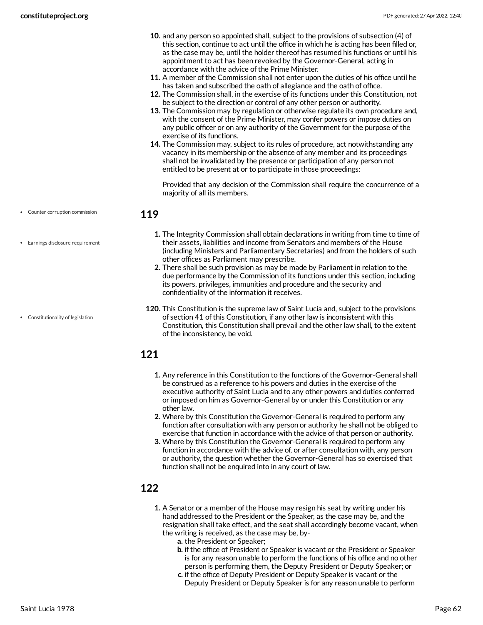- **10.** and any person so appointed shall, subject to the provisions of subsection (4) of this section, continue to act until the office in which he is acting has been filled or, as the case may be, until the holder thereof has resumed his functions or until his appointment to act has been revoked by the Governor-General, acting in accordance with the advice of the Prime Minister.
- **11.** A member of the Commission shall not enter upon the duties of his office until he has taken and subscribed the oath of allegiance and the oath of office.
- **12.** The Commission shall, in the exercise of its functions under this Constitution, not be subject to the direction or control of any other person or authority.
- **13.** The Commission may by regulation or otherwise regulate its own procedure and, with the consent of the Prime Minister, may confer powers or impose duties on any public officer or on any authority of the Government for the purpose of the exercise of its functions.
- **14.** The Commission may, subject to its rules of procedure, act notwithstanding any vacancy in its membership or the absence of any member and its proceedings shall not be invalidated by the presence or participation of any person not entitled to be present at or to participate in those proceedings:

Provided that any decision of the Commission shall require the concurrence of a majority of all its members.

#### Counter corruption commission

Earnings disclosure requirement

Constitutionality of legislation

- **1.** The Integrity Commission shall obtain declarations in writing from time to time of their assets, liabilities and income from Senators and members of the House (including Ministers and Parliamentary Secretaries) and from the holders of such other offices as Parliament may prescribe.
- **2.** There shall be such provision as may be made by Parliament in relation to the due performance by the Commission of its functions under this section, including its powers, privileges, immunities and procedure and the security and confidentiality of the information it receives.
- **120.** This Constitution is the supreme law of Saint Lucia and, subject to the provisions of section 41 of this Constitution, if any other law is inconsistent with this Constitution, this Constitution shall prevail and the other law shall, to the extent of the inconsistency, be void.

## <span id="page-61-1"></span>**121**

<span id="page-61-0"></span>**119**

- **1.** Any reference in this Constitution to the functions of the Governor-General shall be construed as a reference to his powers and duties in the exercise of the executive authority of Saint Lucia and to any other powers and duties conferred or imposed on him as Governor-General by or under this Constitution or any other law.
- **2.** Where by this Constitution the Governor-General is required to perform any function after consultation with any person or authority he shall not be obliged to exercise that function in accordance with the advice of that person or authority.
- **3.** Where by this Constitution the Governor-General is required to perform any function in accordance with the advice of, or after consultation with, any person or authority, the question whether the Governor-General has so exercised that function shall not be enquired into in any court of law.

## <span id="page-61-2"></span>**122**

- **1.** A Senator or a member of the House may resign his seat by writing under his hand addressed to the President or the Speaker, as the case may be, and the resignation shall take effect, and the seat shall accordingly become vacant, when the writing is received, as the case may be, by
	- **a.** the President or Speaker;
	- **b.** if the office of President or Speaker is vacant or the President or Speaker is for any reason unable to perform the functions of his office and no other person is performing them, the Deputy President or Deputy Speaker; or
	- **c.** if the office of Deputy President or Deputy Speaker is vacant or the Deputy President or Deputy Speaker is for any reason unable to perform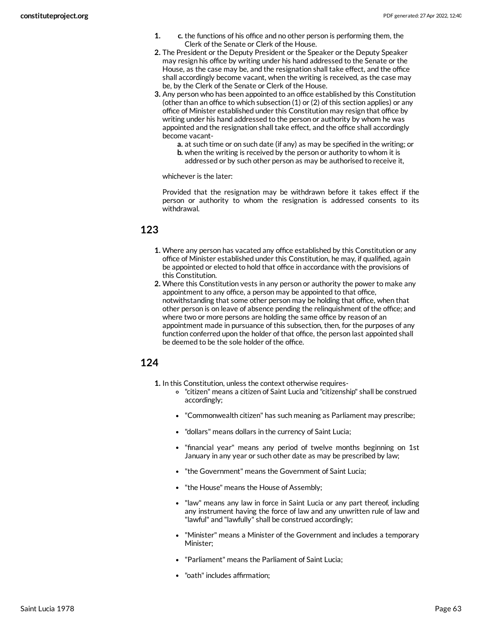- <span id="page-62-2"></span>**1. c.** the functions of his office and no other person is performing them, the Clerk of the Senate or Clerk of the House.
- **2.** The President or the Deputy President or the Speaker or the Deputy Speaker may resign his office by writing under his hand addressed to the Senate or the House, as the case may be, and the resignation shall take effect, and the office shall accordingly become vacant, when the writing is received, as the case may be, by the Clerk of the Senate or Clerk of the House.
- **3.** Any person who has been appointed to an office established by this Constitution (other than an office to which subsection (1) or (2) of this section applies) or any office of Minister established under this Constitution may resign that office by writing under his hand addressed to the person or authority by whom he was appointed and the resignation shall take effect, and the office shall accordingly become vacant
	- **a.** at such time or on such date (if any) as may be specified in the writing; or **b.** when the writing is received by the person or authority to whom it is
		- addressed or by such other person as may be authorised to receive it,

whichever is the later:

Provided that the resignation may be withdrawn before it takes effect if the person or authority to whom the resignation is addressed consents to its withdrawal.

#### <span id="page-62-0"></span>**123**

- **1.** Where any person has vacated any office established by this Constitution or any office of Minister established under this Constitution, he may, if qualified, again be appointed or elected to hold that office in accordance with the provisions of this Constitution.
- **2.** Where this Constitution vests in any person or authority the power to make any appointment to any office, a person may be appointed to that office, notwithstanding that some other person may be holding that office, when that other person is on leave of absence pending the relinquishment of the office; and where two or more persons are holding the same office by reason of an appointment made in pursuance of this subsection, then, for the purposes of any function conferred upon the holder of that office, the person last appointed shall be deemed to be the sole holder of the office.

#### <span id="page-62-1"></span>**124**

- **1.** In this Constitution, unless the context otherwise requires-
	- "citizen" means a citizen of Saint Lucia and "citizenship" shall be construed accordingly;
	- "Commonwealth citizen" has such meaning as Parliament may prescribe;
	- "dollars" means dollars in the currency of Saint Lucia;
	- "financial year" means any period of twelve months beginning on 1st January in any year or such other date as may be prescribed by law;
	- "the Government" means the Government of Saint Lucia;
	- "the House" means the House of Assembly;
	- "law" means any law in force in Saint Lucia or any part thereof, including any instrument having the force of law and any unwritten rule of law and "lawful" and "lawfully" shall be construed accordingly;
	- "Minister" means a Minister of the Government and includes a temporary Minister;
	- "Parliament" means the Parliament of Saint Lucia;
	- "oath" includes affirmation;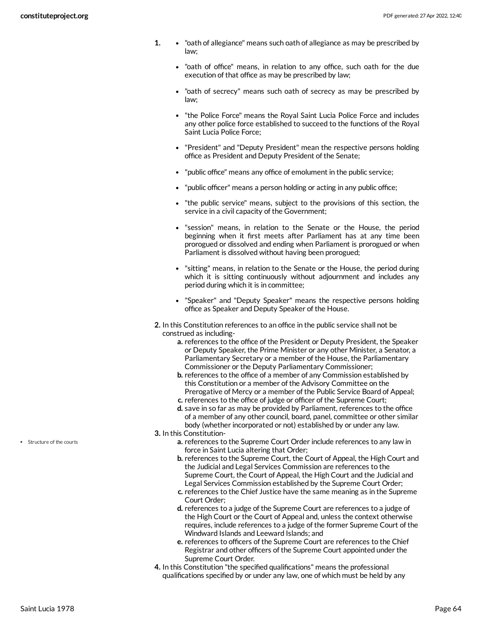- **1.** "oath of allegiance" means such oath of allegiance as may be prescribed by law;
	- "oath of office" means, in relation to any office, such oath for the due execution of that office as may be prescribed by law;
	- "oath of secrecy" means such oath of secrecy as may be prescribed by law;
	- "the Police Force" means the Royal Saint Lucia Police Force and includes any other police force established to succeed to the functions of the Royal Saint Lucia Police Force;
	- "President" and "Deputy President" mean the respective persons holding office as President and Deputy President of the Senate;
	- "public office" means any office of emolument in the public service;
	- "public officer" means a person holding or acting in any public office;
	- "the public service" means, subject to the provisions of this section, the service in a civil capacity of the Government;
	- "session" means, in relation to the Senate or the House, the period beginning when it first meets after Parliament has at any time been prorogued or dissolved and ending when Parliament is prorogued or when Parliament is dissolved without having been prorogued;
	- "sitting" means, in relation to the Senate or the House, the period during which it is sitting continuously without adjournment and includes any period during which it is in committee;
	- "Speaker" and "Deputy Speaker" means the respective persons holding office as Speaker and Deputy Speaker of the House.
- **2.** In this Constitution references to an office in the public service shall not be construed as including
	- **a.** references to the office of the President or Deputy President, the Speaker or Deputy Speaker, the Prime Minister or any other Minister, a Senator, a Parliamentary Secretary or a member of the House, the Parliamentary Commissioner or the Deputy Parliamentary Commissioner;
	- **b.** references to the office of a member of any Commission established by this Constitution or a member of the Advisory Committee on the Prerogative of Mercy or a member of the Public Service Board of Appeal;
	- **c.** references to the office of judge or officer of the Supreme Court;
	- **d.** save in so far as may be provided by Parliament, references to the office of a member of any other council, board, panel, committee or other similar body (whether incorporated or not) established by or under any law.
- **3.** In this Constitution
	- **a.** references to the Supreme Court Order include references to any law in force in Saint Lucia altering that Order;
	- **b.** references to the Supreme Court, the Court of Appeal, the High Court and the Judicial and Legal Services Commission are references to the Supreme Court, the Court of Appeal, the High Court and the Judicial and Legal Services Commission established by the Supreme Court Order;
	- **c.** references to the Chief Justice have the same meaning as in the Supreme Court Order;
	- **d.** references to a judge of the Supreme Court are references to a judge of the High Court or the Court of Appeal and, unless the context otherwise requires, include references to a judge of the former Supreme Court of the Windward Islands and Leeward Islands; and
	- **e.** references to officers of the Supreme Court are references to the Chief Registrar and other officers of the Supreme Court appointed under the Supreme Court Order.
- **4.** In this Constitution "the specified qualifications" means the professional qualifications specified by or under any law, one of which must be held by any

Structure of the courts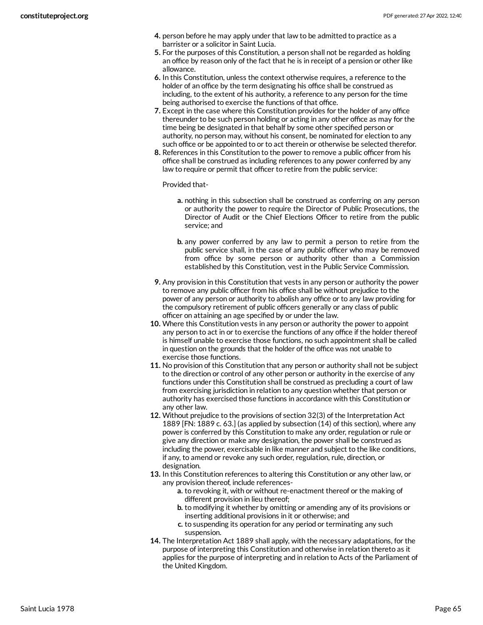- **4.** person before he may apply under that law to be admitted to practice as a barrister or a solicitor in Saint Lucia.
- **5.** For the purposes of this Constitution, a person shall not be regarded as holding an office by reason only of the fact that he is in receipt of a pension or other like allowance.
- **6.** In this Constitution, unless the context otherwise requires, a reference to the holder of an office by the term designating his office shall be construed as including, to the extent of his authority, a reference to any person for the time being authorised to exercise the functions of that office.
- **7.** Except in the case where this Constitution provides for the holder of any office thereunder to be such person holding or acting in any other office as may for the time being be designated in that behalf by some other specified person or authority, no person may, without his consent, be nominated for election to any such office or be appointed to or to act therein or otherwise be selected therefor.
- **8.** References in this Constitution to the power to remove a public officer from his office shall be construed as including references to any power conferred by any law to require or permit that officer to retire from the public service:

Provided that-

- **a.** nothing in this subsection shall be construed as conferring on any person or authority the power to require the Director of Public Prosecutions, the Director of Audit or the Chief Elections Officer to retire from the public service; and
- **b.** any power conferred by any law to permit a person to retire from the public service shall, in the case of any public officer who may be removed from office by some person or authority other than a Commission established by this Constitution, vest in the Public Service Commission.
- **9.** Any provision in this Constitution that vests in any person or authority the power to remove any public officer from his office shall be without prejudice to the power of any person or authority to abolish any office or to any law providing for the compulsory retirement of public officers generally or any class of public officer on attaining an age specified by or under the law.
- **10.** Where this Constitution vests in any person or authority the power to appoint any person to act in or to exercise the functions of any office if the holder thereof is himself unable to exercise those functions, no such appointment shall be called in question on the grounds that the holder of the office was not unable to exercise those functions.
- **11.** No provision of this Constitution that any person or authority shall not be subject to the direction or control of any other person or authority in the exercise of any functions under this Constitution shall be construed as precluding a court of law from exercising jurisdiction in relation to any question whether that person or authority has exercised those functions in accordance with this Constitution or any other law.
- **12.** Without prejudice to the provisions of section 32(3) of the Interpretation Act 1889 [FN: 1889 c. 63.] (as applied by subsection (14) of this section), where any power is conferred by this Constitution to make any order, regulation or rule or give any direction or make any designation, the power shall be construed as including the power, exercisable in like manner and subject to the like conditions, if any, to amend or revoke any such order, regulation, rule, direction, or designation.
- **13.** In this Constitution references to altering this Constitution or any other law, or any provision thereof, include references
	- **a.** to revoking it, with or without re-enactment thereof or the making of different provision in lieu thereof;
	- **b.** to modifying it whether by omitting or amending any of its provisions or inserting additional provisions in it or otherwise; and
	- **c.** to suspending its operation for any period or terminating any such suspension.
- **14.** The Interpretation Act 1889 shall apply, with the necessary adaptations, for the purpose of interpreting this Constitution and otherwise in relation thereto as it applies for the purpose of interpreting and in relation to Acts of the Parliament of the United Kingdom.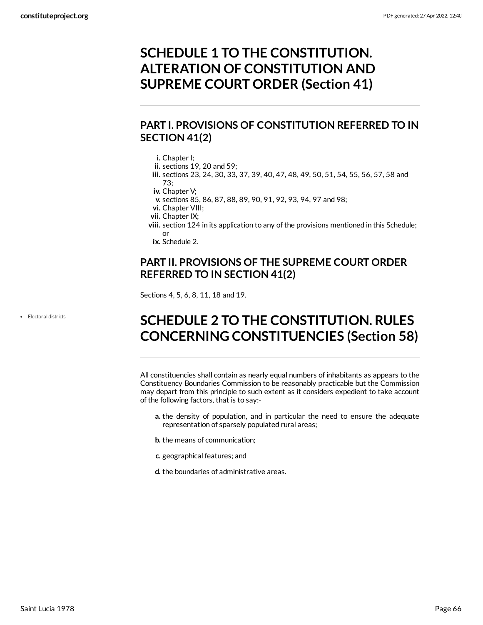## <span id="page-65-0"></span>**SCHEDULE 1 TO THE CONSTITUTION. ALTERATION OF CONSTITUTION AND SUPREME COURT ORDER (Section 41)**

## <span id="page-65-1"></span>**PART I. PROVISIONS OF CONSTITUTION REFERRED TO IN SECTION 41(2)**

**i.** Chapter I;

- **ii.** sections 19, 20 and 59;
- **iii.** sections 23, 24, 30, 33, 37, 39, 40, 47, 48, 49, 50, 51, 54, 55, 56, 57, 58 and 73;
- **iv.** Chapter V;
- **v.** sections 85, 86, 87, 88, 89, 90, 91, 92, 93, 94, 97 and 98;
- **vi.** Chapter VIII;
- **vii.** Chapter IX;
- **viii.** section 124 in its application to any of the provisions mentioned in this Schedule; or

**ix.** Schedule 2.

## <span id="page-65-2"></span>**PART II. PROVISIONS OF THE SUPREME COURT ORDER REFERRED TO IN SECTION 41(2)**

Sections 4, 5, 6, 8, 11, 18 and 19.

• Electoral districts

## <span id="page-65-3"></span>**SCHEDULE 2 TO THE CONSTITUTION. RULES CONCERNING CONSTITUENCIES (Section 58)**

All constituencies shall contain as nearly equal numbers of inhabitants as appears to the Constituency Boundaries Commission to be reasonably practicable but the Commission may depart from this principle to such extent as it considers expedient to take account of the following factors, that is to say:-

- **a.** the density of population, and in particular the need to ensure the adequate representation of sparsely populated rural areas;
- **b.** the means of communication;
- **c.** geographical features; and
- <span id="page-65-4"></span>**d.** the boundaries of administrative areas.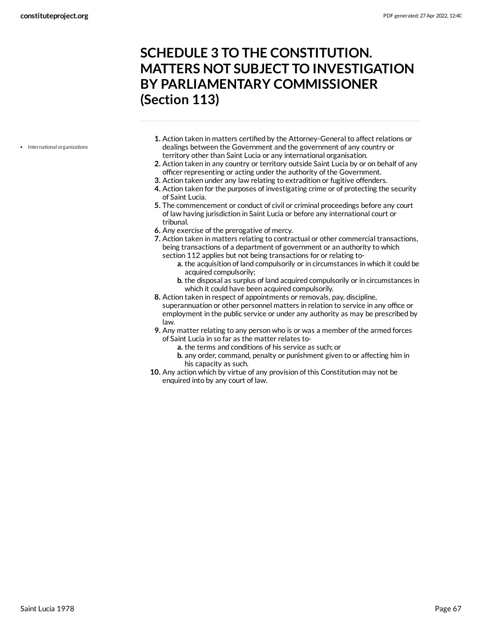## <span id="page-66-0"></span>**SCHEDULE 3 TO THE CONSTITUTION. MATTERS NOT SUBJECT TO INVESTIGATION BY PARLIAMENTARY COMMISSIONER (Section 113)**

• International organizations

- **1.** Action taken in matters certified by the Attorney-General to affect relations or dealings between the Government and the government of any country or territory other than Saint Lucia or any international organisation.
- **2.** Action taken in any country or territory outside Saint Lucia by or on behalf of any officer representing or acting under the authority of the Government.
- **3.** Action taken under any law relating to extradition or fugitive offenders.
- **4.** Action taken for the purposes of investigating crime or of protecting the security of Saint Lucia.
- **5.** The commencement or conduct of civil or criminal proceedings before any court of law having jurisdiction in Saint Lucia or before any international court or tribunal.
- **6.** Any exercise of the prerogative of mercy.
- **7.** Action taken in matters relating to contractual or other commercial transactions, being transactions of a department of government or an authority to which section 112 applies but not being transactions for or relating to
	- **a.** the acquisition of land compulsorily or in circumstances in which it could be acquired compulsorily;
	- **b.** the disposal as surplus of land acquired compulsorily or in circumstances in which it could have been acquired compulsorily.
- **8.** Action taken in respect of appointments or removals, pay, discipline, superannuation or other personnel matters in relation to service in any office or employment in the public service or under any authority as may be prescribed by law.
- **9.** Any matter relating to any person who is or was a member of the armed forces of Saint Lucia in so far as the matter relates to
	- **a.** the terms and conditions of his service as such; or
	- **b.** any order, command, penalty or punishment given to or affecting him in his capacity as such.
- **10.** Any action which by virtue of any provision of this Constitution may not be enquired into by any court of law.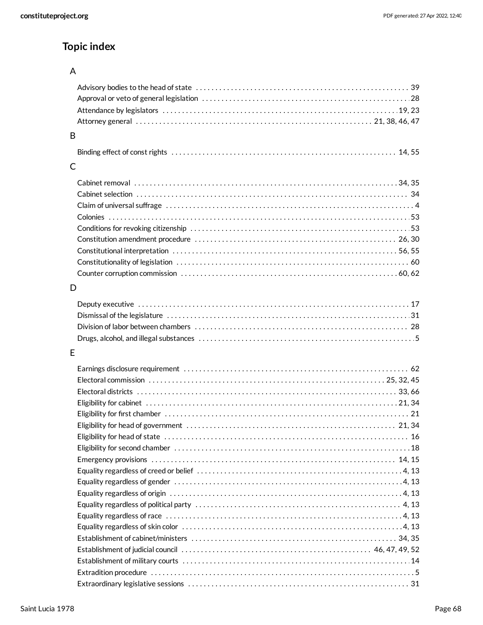## **Topic index**

## A

| B |  |
|---|--|
|   |  |
| C |  |
|   |  |
|   |  |
|   |  |
|   |  |
|   |  |
|   |  |
|   |  |
|   |  |
|   |  |
|   |  |
| D |  |
|   |  |
|   |  |
|   |  |
|   |  |
| E |  |
|   |  |
|   |  |
|   |  |
|   |  |
|   |  |
|   |  |
|   |  |
|   |  |
|   |  |
|   |  |
|   |  |
|   |  |
|   |  |
|   |  |
|   |  |
|   |  |
|   |  |
|   |  |
|   |  |
|   |  |
|   |  |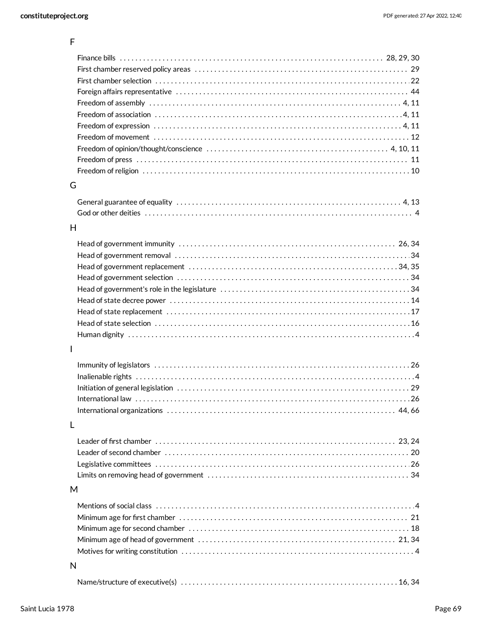#### F

| G |  |
|---|--|
|   |  |
|   |  |
| H |  |
|   |  |
|   |  |
|   |  |
|   |  |
|   |  |
|   |  |
|   |  |
|   |  |
|   |  |
|   |  |
|   |  |
|   |  |
|   |  |
|   |  |
|   |  |
| L |  |
|   |  |
|   |  |
|   |  |
|   |  |
| M |  |
|   |  |
|   |  |
|   |  |
|   |  |
|   |  |
|   |  |

|--|--|--|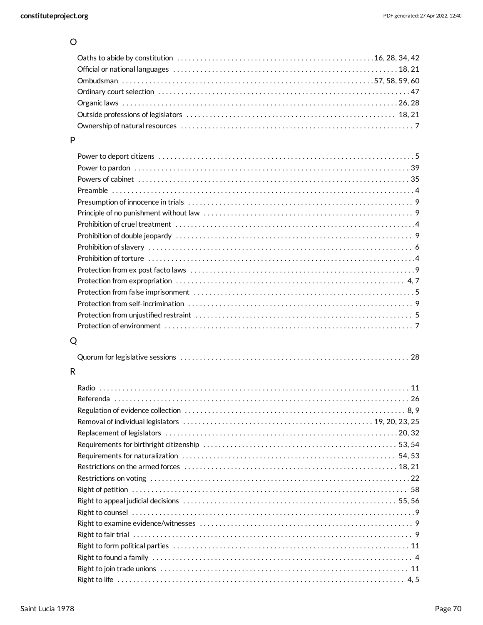## $\circ$

## $\overline{P}$

## $\mathsf Q$

|--|--|--|

## $\overline{\mathsf{R}}$

| Restrictions on the armed forces $\dots\dots\dots\dots\dots\dots\dots\dots\dots\dots\dots\dots\dots\dots\dots\dots\dots$ |  |
|--------------------------------------------------------------------------------------------------------------------------|--|
|                                                                                                                          |  |
|                                                                                                                          |  |
|                                                                                                                          |  |
|                                                                                                                          |  |
|                                                                                                                          |  |
|                                                                                                                          |  |
|                                                                                                                          |  |
|                                                                                                                          |  |
|                                                                                                                          |  |
|                                                                                                                          |  |